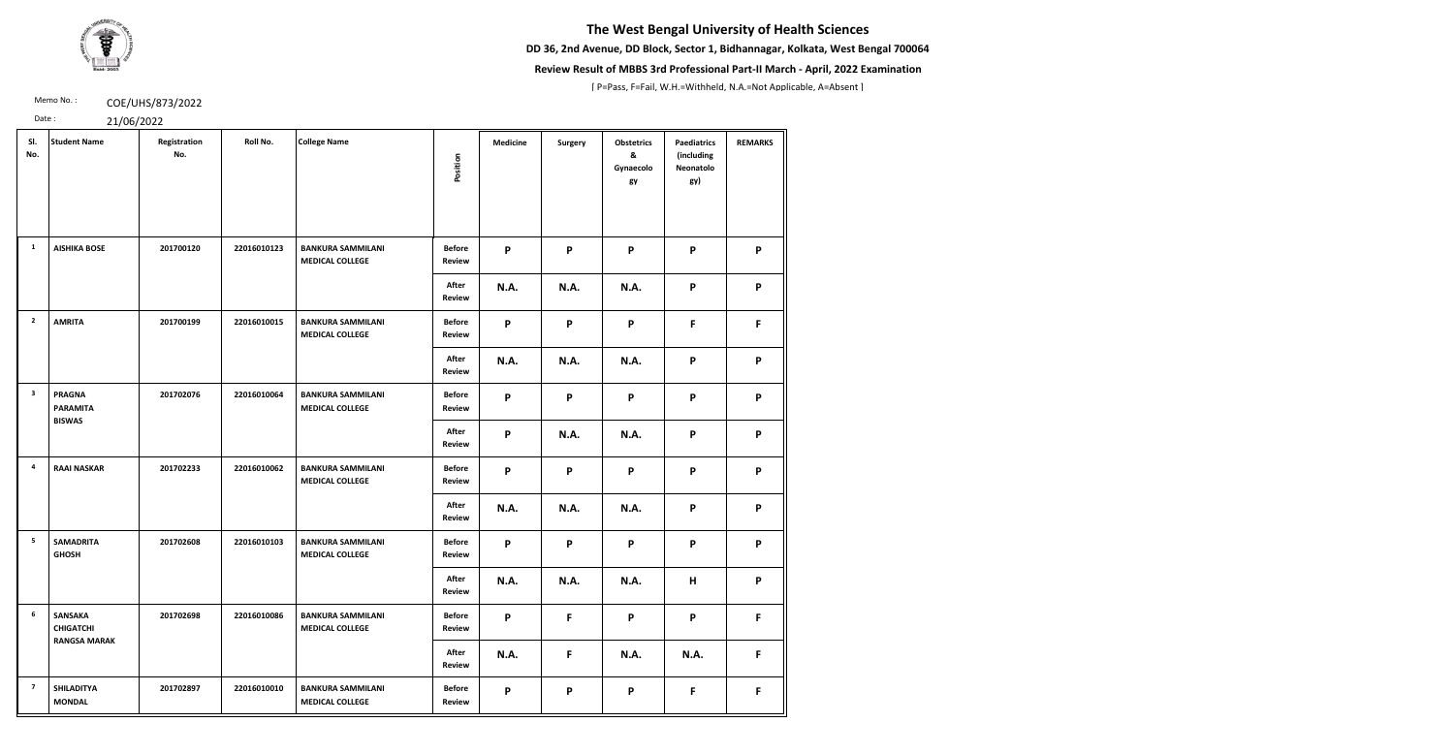**DD 36, 2nd Avenue, DD Block, Sector 1, Bidhannagar, Kolkata, West Bengal 700064**



### **Review Result of MBBS 3rd Professional Part-II March - April, 2022 Examination**

[ P=Pass, F=Fail, W.H.=Withheld, N.A.=Not Applicable, A=Absent ]

Memo No.: **COE/UHS/873/2022** 

| SI.<br>No.              | <b>Student Name</b>                                       | Registration<br>No. | Roll No.    | <b>College Name</b>                                | Position                       | <b>Medicine</b>           | <b>Surgery</b> | <b>Obstetrics</b><br>&<br>Gynaecolo<br>gy | <b>Paediatrics</b><br>(including<br>Neonatolo<br>gy) | <b>REMARKS</b> |
|-------------------------|-----------------------------------------------------------|---------------------|-------------|----------------------------------------------------|--------------------------------|---------------------------|----------------|-------------------------------------------|------------------------------------------------------|----------------|
| <b>1</b>                | <b>AISHIKA BOSE</b>                                       | 201700120           | 22016010123 | <b>BANKURA SAMMILANI</b><br><b>MEDICAL COLLEGE</b> | <b>Before</b><br><b>Review</b> | P                         | P              | P                                         | P                                                    | P              |
|                         |                                                           |                     |             |                                                    | After<br><b>Review</b>         | <b>N.A.</b>               | <b>N.A.</b>    | N.A.                                      | P                                                    | P              |
| $\overline{2}$          | <b>AMRITA</b>                                             | 201700199           | 22016010015 | <b>BANKURA SAMMILANI</b><br><b>MEDICAL COLLEGE</b> | <b>Before</b><br><b>Review</b> | P                         | P              | P                                         | F                                                    | F.             |
|                         |                                                           |                     |             |                                                    | After<br><b>Review</b>         | <b>N.A.</b>               | <b>N.A.</b>    | <b>N.A.</b>                               | P                                                    | P              |
| $\overline{\mathbf{3}}$ | <b>PRAGNA</b><br><b>PARAMITA</b><br><b>BISWAS</b>         | 201702076           | 22016010064 | <b>BANKURA SAMMILANI</b><br><b>MEDICAL COLLEGE</b> | <b>Before</b><br>Review        | P                         | P              | P                                         | P                                                    | P              |
|                         |                                                           |                     |             |                                                    | After<br><b>Review</b>         | $\boldsymbol{\mathsf{P}}$ | <b>N.A.</b>    | <b>N.A.</b>                               | P                                                    | P              |
| $\overline{4}$          | <b>RAAI NASKAR</b>                                        | 201702233           | 22016010062 | <b>BANKURA SAMMILANI</b><br><b>MEDICAL COLLEGE</b> | <b>Before</b><br><b>Review</b> | P                         | P              | P                                         | P                                                    | P              |
|                         |                                                           |                     |             |                                                    | After<br><b>Review</b>         | <b>N.A.</b>               | <b>N.A.</b>    | <b>N.A.</b>                               | P                                                    | P              |
| 5                       | <b>SAMADRITA</b><br><b>GHOSH</b>                          | 201702608           | 22016010103 | <b>BANKURA SAMMILANI</b><br><b>MEDICAL COLLEGE</b> | <b>Before</b><br><b>Review</b> | P                         | P              | P                                         | P                                                    | P              |
|                         |                                                           |                     |             |                                                    | After<br><b>Review</b>         | <b>N.A.</b>               | <b>N.A.</b>    | <b>N.A.</b>                               | H                                                    | P              |
| $6\phantom{.}6$         | <b>SANSAKA</b><br><b>CHIGATCHI</b><br><b>RANGSA MARAK</b> | 201702698           | 22016010086 | <b>BANKURA SAMMILANI</b><br><b>MEDICAL COLLEGE</b> | <b>Before</b><br><b>Review</b> | P                         | F              | P                                         | P                                                    | F.             |
|                         |                                                           |                     |             |                                                    | After<br><b>Review</b>         | <b>N.A.</b>               | F              | <b>N.A.</b>                               | <b>N.A.</b>                                          | F              |
| $\overline{7}$          | <b>SHILADITYA</b><br><b>MONDAL</b>                        | 201702897           | 22016010010 | <b>BANKURA SAMMILANI</b><br><b>MEDICAL COLLEGE</b> | <b>Before</b><br><b>Review</b> | P                         | P              | P                                         | F                                                    | F.             |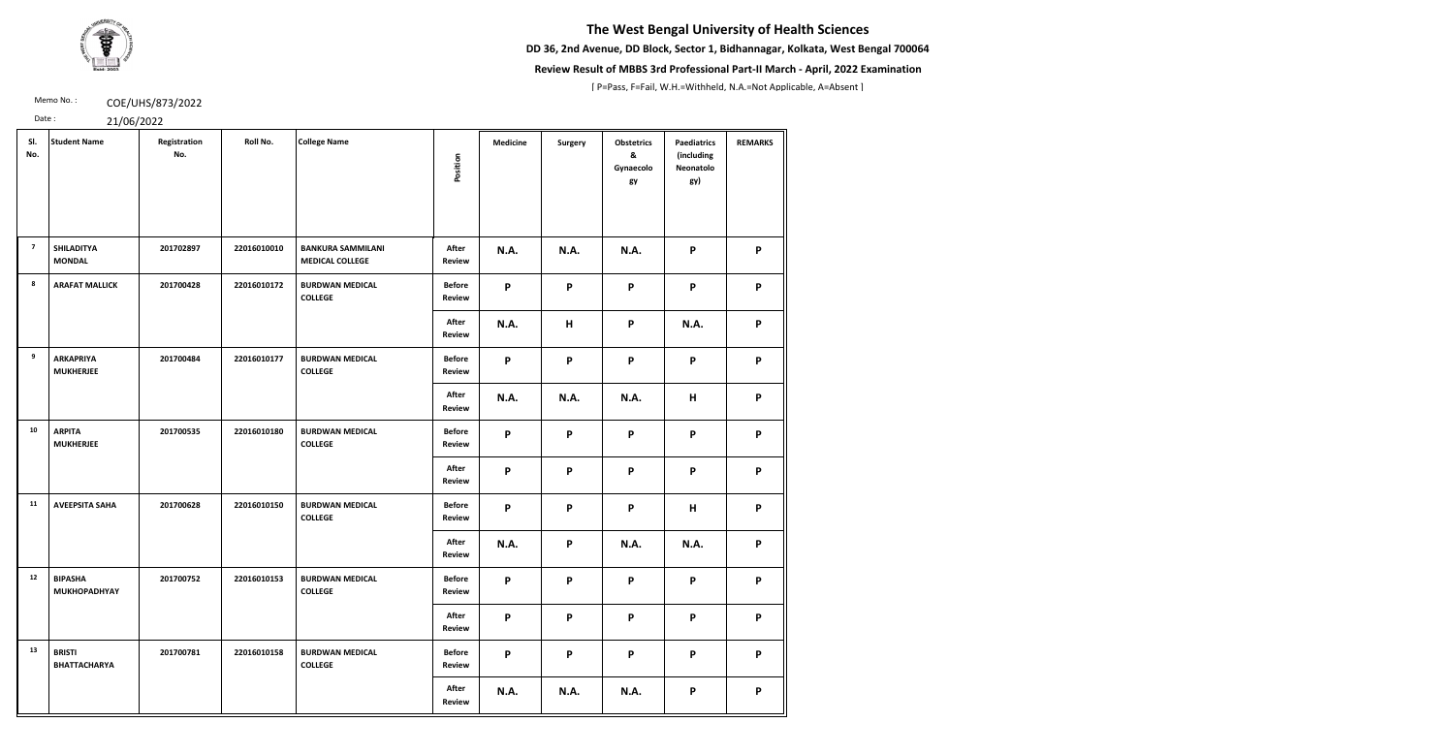**DD 36, 2nd Avenue, DD Block, Sector 1, Bidhannagar, Kolkata, West Bengal 700064**



### **Review Result of MBBS 3rd Professional Part-II March - April, 2022 Examination**

[ P=Pass, F=Fail, W.H.=Withheld, N.A.=Not Applicable, A=Absent ]

Memo No.: **COE/UHS/873/2022** 

| SI.<br>No.     | <b>Student Name</b>                   | Registration<br>No. | Roll No.    | <b>College Name</b>                                | Position                       | <b>Medicine</b>           | <b>Surgery</b> | <b>Obstetrics</b><br>&<br>Gynaecolo<br>gy | <b>Paediatrics</b><br>(including<br>Neonatolo<br>gy) | <b>REMARKS</b> |
|----------------|---------------------------------------|---------------------|-------------|----------------------------------------------------|--------------------------------|---------------------------|----------------|-------------------------------------------|------------------------------------------------------|----------------|
| $\overline{7}$ | <b>SHILADITYA</b><br><b>MONDAL</b>    | 201702897           | 22016010010 | <b>BANKURA SAMMILANI</b><br><b>MEDICAL COLLEGE</b> | After<br>Review                | <b>N.A.</b>               | <b>N.A.</b>    | <b>N.A.</b>                               | P                                                    | P              |
| 8              | <b>ARAFAT MALLICK</b>                 | 201700428           | 22016010172 | <b>BURDWAN MEDICAL</b><br><b>COLLEGE</b>           | <b>Before</b><br><b>Review</b> | P                         | P              | P                                         | P                                                    | P              |
|                |                                       |                     |             |                                                    | After<br>Review                | <b>N.A.</b>               | H              | P                                         | N.A.                                                 | P              |
| 9              | <b>ARKAPRIYA</b><br><b>MUKHERJEE</b>  | 201700484           | 22016010177 | <b>BURDWAN MEDICAL</b><br><b>COLLEGE</b>           | <b>Before</b><br>Review        | P                         | P              | P                                         | P                                                    | P              |
|                |                                       |                     |             |                                                    | After<br>Review                | <b>N.A.</b>               | <b>N.A.</b>    | N.A.                                      | H                                                    | P              |
| 10             | <b>ARPITA</b><br><b>MUKHERJEE</b>     | 201700535           | 22016010180 | <b>BURDWAN MEDICAL</b><br><b>COLLEGE</b>           | <b>Before</b><br><b>Review</b> | P                         | P              | P                                         | $\mathsf{P}$                                         | P              |
|                |                                       |                     |             |                                                    | After<br>Review                | $\mathsf{P}$              | P              | P                                         | P                                                    | P              |
| 11             | <b>AVEEPSITA SAHA</b>                 | 201700628           | 22016010150 | <b>BURDWAN MEDICAL</b><br><b>COLLEGE</b>           | <b>Before</b><br><b>Review</b> | $\boldsymbol{\mathsf{P}}$ | P              | P                                         | H                                                    | P              |
|                |                                       |                     |             |                                                    | After<br><b>Review</b>         | N.A.                      | P              | <b>N.A.</b>                               | N.A.                                                 | P              |
| 12             | <b>BIPASHA</b><br><b>MUKHOPADHYAY</b> | 201700752           | 22016010153 | <b>BURDWAN MEDICAL</b><br><b>COLLEGE</b>           | <b>Before</b><br><b>Review</b> | P                         | P              | P                                         | P                                                    | P              |
|                |                                       |                     |             |                                                    | After<br><b>Review</b>         | P                         | P              | P                                         | P                                                    | P              |
| 13             | <b>BRISTI</b><br><b>BHATTACHARYA</b>  | 201700781           | 22016010158 | <b>BURDWAN MEDICAL</b><br><b>COLLEGE</b>           | <b>Before</b><br><b>Review</b> | P                         | P              | P                                         | P                                                    | P              |
|                |                                       |                     |             |                                                    | After<br><b>Review</b>         | N.A.                      | <b>N.A.</b>    | <b>N.A.</b>                               | P                                                    | P              |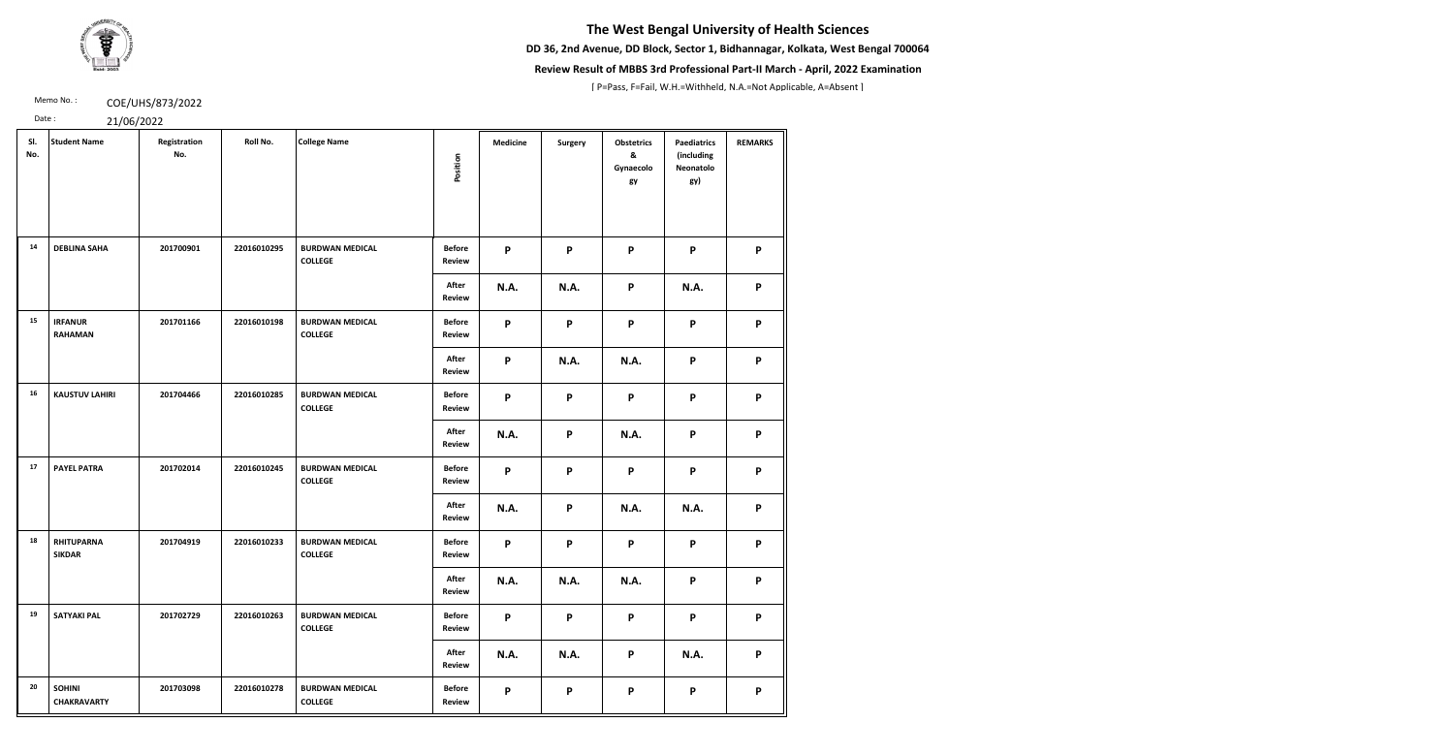**DD 36, 2nd Avenue, DD Block, Sector 1, Bidhannagar, Kolkata, West Bengal 700064**



### **Review Result of MBBS 3rd Professional Part-II March - April, 2022 Examination**

[ P=Pass, F=Fail, W.H.=Withheld, N.A.=Not Applicable, A=Absent ]

Memo No.: **COE/UHS/873/2022** 

| SI.<br>No. | <b>Student Name</b>                 | Registration<br>No. | Roll No.    | <b>College Name</b>                      | Position                       | <b>Medicine</b>           | <b>Surgery</b> | <b>Obstetrics</b><br>&<br>Gynaecolo<br>gy | <b>Paediatrics</b><br>(including<br>Neonatolo<br>gy) | <b>REMARKS</b> |
|------------|-------------------------------------|---------------------|-------------|------------------------------------------|--------------------------------|---------------------------|----------------|-------------------------------------------|------------------------------------------------------|----------------|
| 14         | <b>DEBLINA SAHA</b>                 | 201700901           | 22016010295 | <b>BURDWAN MEDICAL</b><br><b>COLLEGE</b> | <b>Before</b><br><b>Review</b> | P                         | P              | P                                         | P                                                    | P              |
|            |                                     |                     |             |                                          | After<br>Review                | <b>N.A.</b>               | <b>N.A.</b>    | P                                         | N.A.                                                 | P              |
| 15         | <b>IRFANUR</b><br><b>RAHAMAN</b>    | 201701166           | 22016010198 | <b>BURDWAN MEDICAL</b><br><b>COLLEGE</b> | <b>Before</b><br>Review        | P                         | P              | P                                         | $\boldsymbol{\mathsf{P}}$                            | P              |
|            |                                     |                     |             |                                          | After<br><b>Review</b>         | $\boldsymbol{\mathsf{P}}$ | <b>N.A.</b>    | <b>N.A.</b>                               | $\boldsymbol{\mathsf{P}}$                            | P              |
| 16         | <b>KAUSTUV LAHIRI</b>               | 201704466           | 22016010285 | <b>BURDWAN MEDICAL</b><br><b>COLLEGE</b> | <b>Before</b><br>Review        | P                         | P              | P                                         | $\boldsymbol{\mathsf{P}}$                            | P              |
|            |                                     |                     |             |                                          | After<br>Review                | N.A.                      | P              | <b>N.A.</b>                               | $\boldsymbol{\mathsf{P}}$                            | P              |
| 17         | <b>PAYEL PATRA</b>                  | 201702014           | 22016010245 | <b>BURDWAN MEDICAL</b><br><b>COLLEGE</b> | <b>Before</b><br><b>Review</b> | P                         | P              | P                                         | P                                                    | P              |
|            |                                     |                     |             |                                          | After<br><b>Review</b>         | N.A.                      | P              | <b>N.A.</b>                               | <b>N.A.</b>                                          | P              |
| 18         | <b>RHITUPARNA</b><br><b>SIKDAR</b>  | 201704919           | 22016010233 | <b>BURDWAN MEDICAL</b><br><b>COLLEGE</b> | <b>Before</b><br><b>Review</b> | P                         | P              | P                                         | P                                                    | P              |
|            |                                     |                     |             |                                          | After<br><b>Review</b>         | N.A.                      | <b>N.A.</b>    | <b>N.A.</b>                               | P                                                    | P              |
| 19         | <b>SATYAKI PAL</b>                  | 201702729           | 22016010263 | <b>BURDWAN MEDICAL</b><br><b>COLLEGE</b> | <b>Before</b><br>Review        | P                         | P              | P                                         | P                                                    | P              |
|            |                                     |                     |             |                                          | After<br><b>Review</b>         | N.A.                      | <b>N.A.</b>    | P                                         | <b>N.A.</b>                                          | P              |
| 20         | <b>SOHINI</b><br><b>CHAKRAVARTY</b> | 201703098           | 22016010278 | <b>BURDWAN MEDICAL</b><br><b>COLLEGE</b> | <b>Before</b><br><b>Review</b> | P                         | P              | P                                         | P                                                    | P              |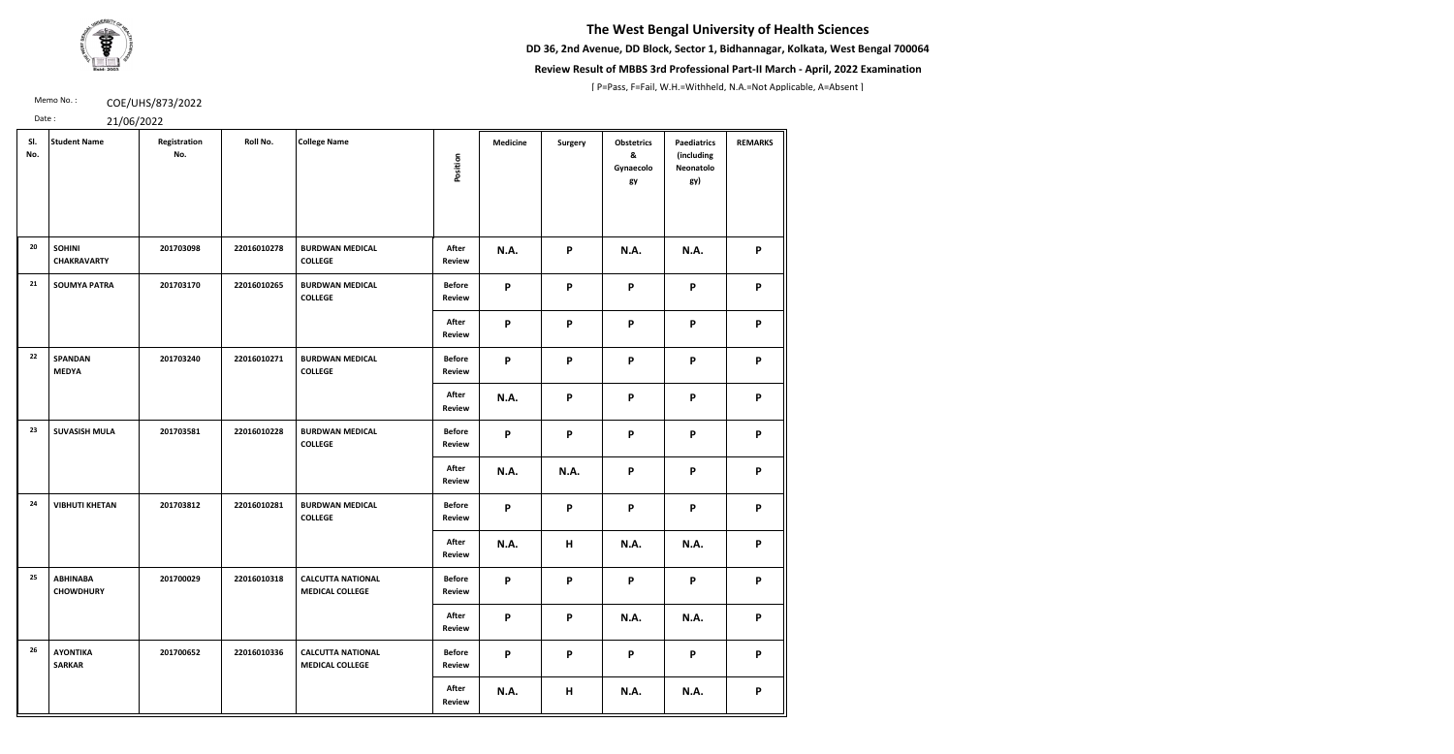**DD 36, 2nd Avenue, DD Block, Sector 1, Bidhannagar, Kolkata, West Bengal 700064**



### **Review Result of MBBS 3rd Professional Part-II March - April, 2022 Examination**

[ P=Pass, F=Fail, W.H.=Withheld, N.A.=Not Applicable, A=Absent ]

Memo No.: **COE/UHS/873/2022** 

| SI.<br>No. | <b>Student Name</b>                 | Registration<br>No. | Roll No.    | <b>College Name</b>                                | Position                       | <b>Medicine</b> | <b>Surgery</b> | <b>Obstetrics</b><br>&<br>Gynaecolo<br>gy | <b>Paediatrics</b><br>(including<br>Neonatolo<br>gy) | <b>REMARKS</b>            |
|------------|-------------------------------------|---------------------|-------------|----------------------------------------------------|--------------------------------|-----------------|----------------|-------------------------------------------|------------------------------------------------------|---------------------------|
| 20         | <b>SOHINI</b><br><b>CHAKRAVARTY</b> | 201703098           | 22016010278 | <b>BURDWAN MEDICAL</b><br><b>COLLEGE</b>           | After<br><b>Review</b>         | <b>N.A.</b>     | P              | <b>N.A.</b>                               | N.A.                                                 | P                         |
| 21         | <b>SOUMYA PATRA</b>                 | 201703170           | 22016010265 | <b>BURDWAN MEDICAL</b><br><b>COLLEGE</b>           | <b>Before</b><br>Review        | P               | P              | $\mathsf{P}$                              | P                                                    | P                         |
|            |                                     |                     |             |                                                    | After<br>Review                | P               | P              | P                                         | P                                                    | $\boldsymbol{\mathsf{P}}$ |
| 22         | <b>SPANDAN</b><br><b>MEDYA</b>      | 201703240           | 22016010271 | <b>BURDWAN MEDICAL</b><br><b>COLLEGE</b>           | <b>Before</b><br><b>Review</b> | P               | P              | P                                         | P                                                    | P                         |
|            |                                     |                     |             |                                                    | After<br>Review                | <b>N.A.</b>     | P              | P                                         | P                                                    | P                         |
| 23         | <b>SUVASISH MULA</b>                | 201703581           | 22016010228 | <b>BURDWAN MEDICAL</b><br><b>COLLEGE</b>           | <b>Before</b><br>Review        | P               | P              | P                                         | P                                                    | P                         |
|            |                                     |                     |             |                                                    | After<br><b>Review</b>         | <b>N.A.</b>     | <b>N.A.</b>    | P                                         | P                                                    | P                         |
| 24         | <b>VIBHUTI KHETAN</b>               | 201703812           | 22016010281 | <b>BURDWAN MEDICAL</b><br><b>COLLEGE</b>           | <b>Before</b><br><b>Review</b> | P               | P              | P                                         | P                                                    | P                         |
|            |                                     |                     |             |                                                    | After<br>Review                | <b>N.A.</b>     | H              | <b>N.A.</b>                               | <b>N.A.</b>                                          | P                         |
| 25         | <b>ABHINABA</b><br><b>CHOWDHURY</b> | 201700029           | 22016010318 | <b>CALCUTTA NATIONAL</b><br><b>MEDICAL COLLEGE</b> | <b>Before</b><br><b>Review</b> | P               | P              | P                                         | P                                                    | P                         |
|            |                                     |                     |             |                                                    | After<br>Review                | P               | P              | <b>N.A.</b>                               | <b>N.A.</b>                                          | P                         |
| 26         | <b>AYONTIKA</b><br><b>SARKAR</b>    | 201700652           | 22016010336 | <b>CALCUTTA NATIONAL</b><br><b>MEDICAL COLLEGE</b> | <b>Before</b><br><b>Review</b> | P               | P              | P                                         | P                                                    | P                         |
|            |                                     |                     |             |                                                    | After<br><b>Review</b>         | <b>N.A.</b>     | H              | <b>N.A.</b>                               | <b>N.A.</b>                                          | P                         |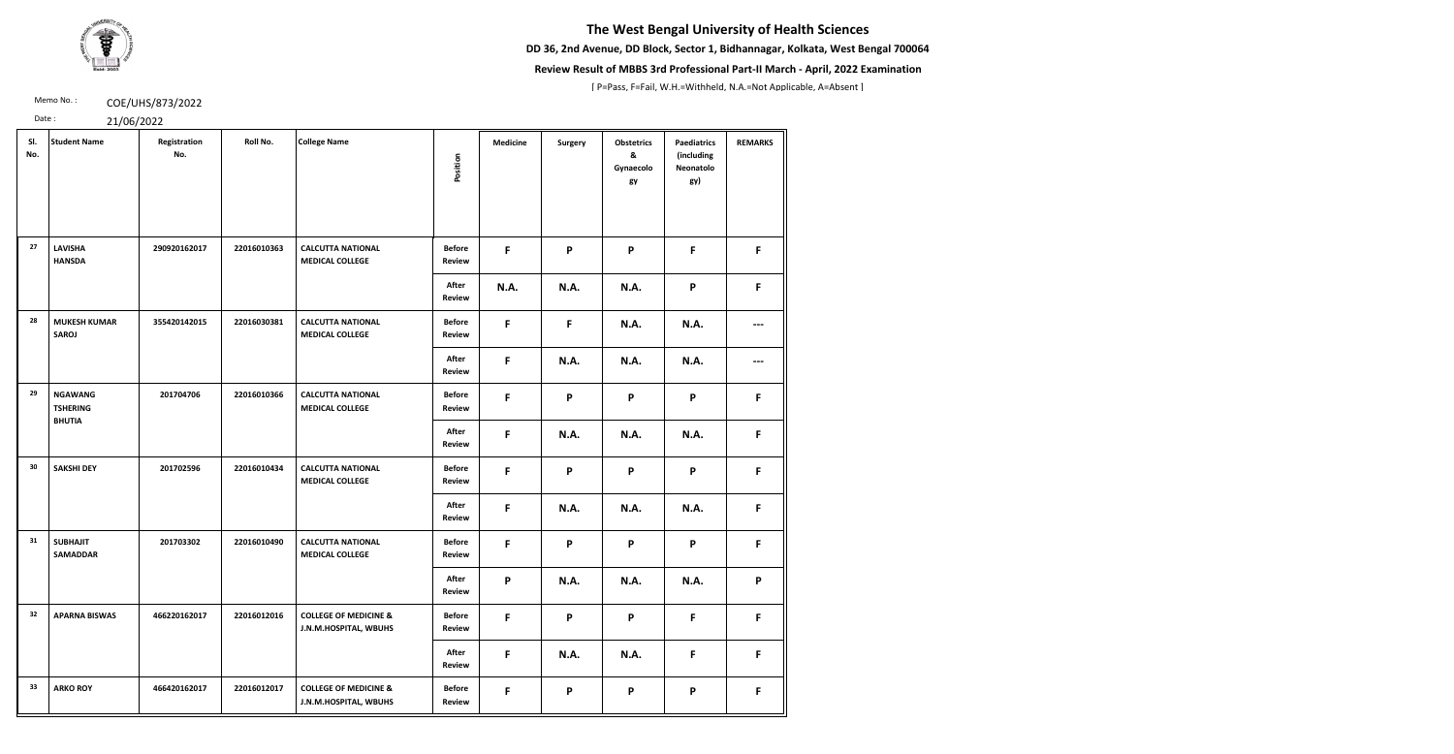**DD 36, 2nd Avenue, DD Block, Sector 1, Bidhannagar, Kolkata, West Bengal 700064**



### **Review Result of MBBS 3rd Professional Part-II March - April, 2022 Examination**

[ P=Pass, F=Fail, W.H.=Withheld, N.A.=Not Applicable, A=Absent ]

Memo No.: **COE/UHS/873/2022** 

| SI.<br>No. | <b>Student Name</b>                                | Registration<br>No. | Roll No.    | <b>College Name</b>                                       | Position                       | <b>Medicine</b> | <b>Surgery</b>            | <b>Obstetrics</b><br>&<br>Gynaecolo<br>gy | <b>Paediatrics</b><br>(including<br>Neonatolo<br>gy) | <b>REMARKS</b> |
|------------|----------------------------------------------------|---------------------|-------------|-----------------------------------------------------------|--------------------------------|-----------------|---------------------------|-------------------------------------------|------------------------------------------------------|----------------|
| 27         | <b>LAVISHA</b><br><b>HANSDA</b>                    | 290920162017        | 22016010363 | <b>CALCUTTA NATIONAL</b><br><b>MEDICAL COLLEGE</b>        | <b>Before</b><br>Review        | F               | P                         | P                                         | F                                                    | F              |
|            |                                                    |                     |             |                                                           | After<br><b>Review</b>         | <b>N.A.</b>     | <b>N.A.</b>               | <b>N.A.</b>                               | $\boldsymbol{\mathsf{P}}$                            | F              |
| 28         | <b>MUKESH KUMAR</b><br><b>SAROJ</b>                | 355420142015        | 22016030381 | <b>CALCUTTA NATIONAL</b><br><b>MEDICAL COLLEGE</b>        | <b>Before</b><br><b>Review</b> | F               | F                         | <b>N.A.</b>                               | N.A.                                                 | ---            |
|            |                                                    |                     |             |                                                           | After<br>Review                | F               | <b>N.A.</b>               | <b>N.A.</b>                               | N.A.                                                 |                |
| 29         | <b>NGAWANG</b><br><b>TSHERING</b><br><b>BHUTIA</b> | 201704706           | 22016010366 | <b>CALCUTTA NATIONAL</b><br><b>MEDICAL COLLEGE</b>        | <b>Before</b><br>Review        | F               | P                         | P                                         | P                                                    | F.             |
|            |                                                    |                     |             |                                                           | After<br>Review                | F               | <b>N.A.</b>               | <b>N.A.</b>                               | N.A.                                                 | F              |
| 30         | <b>SAKSHI DEY</b>                                  | 201702596           | 22016010434 | <b>CALCUTTA NATIONAL</b><br><b>MEDICAL COLLEGE</b>        | <b>Before</b><br>Review        | F               | P                         | P                                         | P                                                    | F              |
|            |                                                    |                     |             |                                                           | After<br>Review                | F               | <b>N.A.</b>               | <b>N.A.</b>                               | N.A.                                                 | F              |
| 31         | <b>SUBHAJIT</b><br><b>SAMADDAR</b>                 | 201703302           | 22016010490 | <b>CALCUTTA NATIONAL</b><br><b>MEDICAL COLLEGE</b>        | <b>Before</b><br><b>Review</b> | F               | P                         | P                                         | P                                                    | F              |
|            |                                                    |                     |             |                                                           | After<br><b>Review</b>         | P               | <b>N.A.</b>               | <b>N.A.</b>                               | <b>N.A.</b>                                          | P              |
| 32         | <b>APARNA BISWAS</b>                               | 466220162017        | 22016012016 | <b>COLLEGE OF MEDICINE &amp;</b><br>J.N.M.HOSPITAL, WBUHS | <b>Before</b><br><b>Review</b> | $\mathsf F$     | $\boldsymbol{\mathsf{P}}$ | P                                         | $\mathsf{F}$                                         | F              |
|            |                                                    |                     |             |                                                           | After<br><b>Review</b>         | F               | <b>N.A.</b>               | <b>N.A.</b>                               | F                                                    | F              |
| 33         | <b>ARKO ROY</b>                                    | 466420162017        | 22016012017 | <b>COLLEGE OF MEDICINE &amp;</b><br>J.N.M.HOSPITAL, WBUHS | <b>Before</b><br><b>Review</b> | F               | P                         | P                                         | P                                                    | F.             |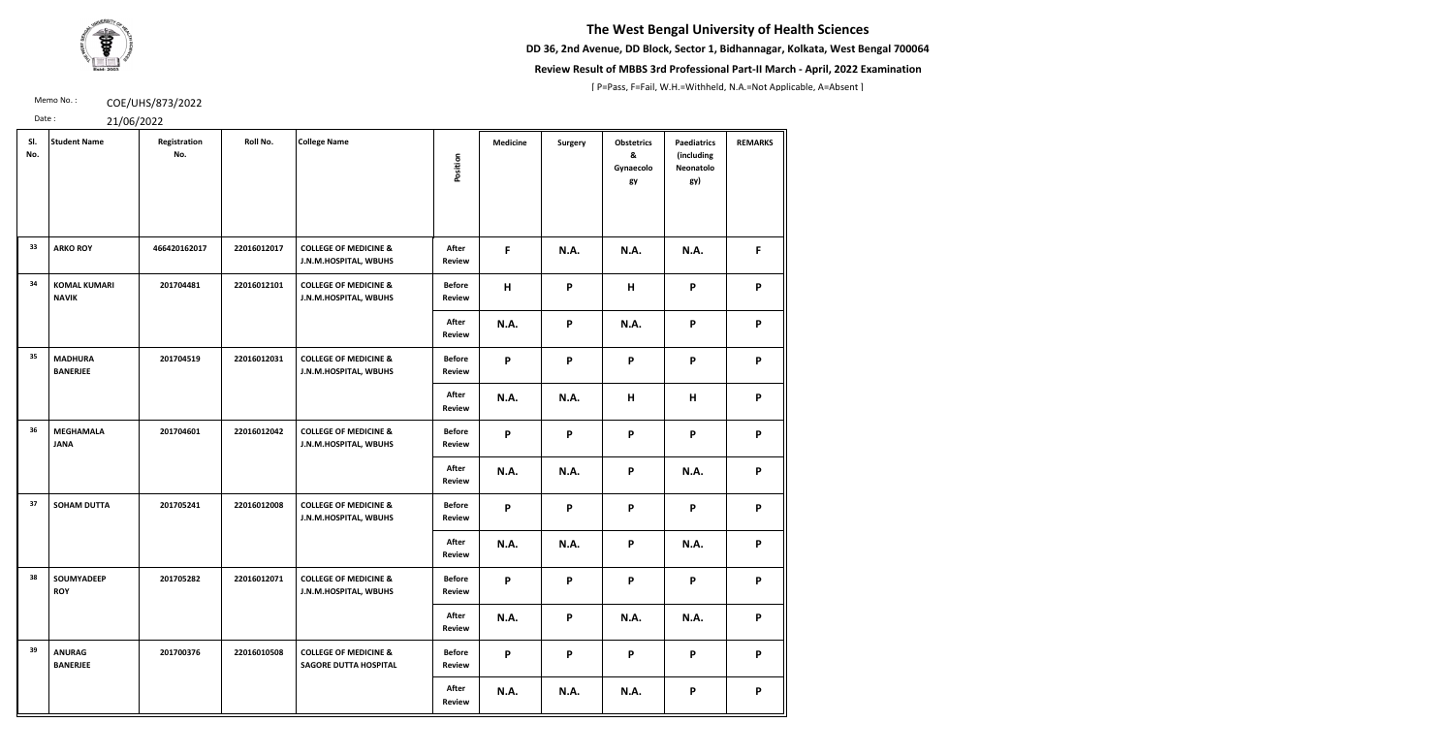**DD 36, 2nd Avenue, DD Block, Sector 1, Bidhannagar, Kolkata, West Bengal 700064**



### **Review Result of MBBS 3rd Professional Part-II March - April, 2022 Examination**

[ P=Pass, F=Fail, W.H.=Withheld, N.A.=Not Applicable, A=Absent ]

Memo No.: **COE/UHS/873/2022** 

| Date:      | 21/06/2022                          |                     |             |                                                                  |                                |                 |                |                                           |                                                      |                |
|------------|-------------------------------------|---------------------|-------------|------------------------------------------------------------------|--------------------------------|-----------------|----------------|-------------------------------------------|------------------------------------------------------|----------------|
| SI.<br>No. | <b>Student Name</b>                 | Registration<br>No. | Roll No.    | <b>College Name</b>                                              | Position                       | <b>Medicine</b> | <b>Surgery</b> | <b>Obstetrics</b><br>&<br>Gynaecolo<br>gy | <b>Paediatrics</b><br>(including<br>Neonatolo<br>gy) | <b>REMARKS</b> |
| 33         | <b>ARKO ROY</b>                     | 466420162017        | 22016012017 | <b>COLLEGE OF MEDICINE &amp;</b><br>J.N.M.HOSPITAL, WBUHS        | After<br><b>Review</b>         | F               | <b>N.A.</b>    | <b>N.A.</b>                               | N.A.                                                 | F              |
| 34         | <b>KOMAL KUMARI</b><br><b>NAVIK</b> | 201704481           | 22016012101 | <b>COLLEGE OF MEDICINE &amp;</b><br>J.N.M.HOSPITAL, WBUHS        | <b>Before</b><br><b>Review</b> | H               | P              | H                                         | P                                                    | P              |
|            |                                     |                     |             |                                                                  | After<br><b>Review</b>         | <b>N.A.</b>     | P              | <b>N.A.</b>                               | P                                                    | P              |
| 35         | <b>MADHURA</b><br><b>BANERJEE</b>   | 201704519           | 22016012031 | <b>COLLEGE OF MEDICINE &amp;</b><br>J.N.M.HOSPITAL, WBUHS        | <b>Before</b><br><b>Review</b> | P               | P              | P                                         | P                                                    | P              |
|            |                                     |                     |             |                                                                  | After<br><b>Review</b>         | N.A.            | <b>N.A.</b>    | Н                                         | н                                                    | P              |
| 36         | <b>MEGHAMALA</b><br><b>JANA</b>     | 201704601           | 22016012042 | <b>COLLEGE OF MEDICINE &amp;</b><br>J.N.M.HOSPITAL, WBUHS        | <b>Before</b><br><b>Review</b> | P               | P              | P                                         | P                                                    | P              |
|            |                                     |                     |             |                                                                  | After<br><b>Review</b>         | <b>N.A.</b>     | <b>N.A.</b>    | P                                         | N.A.                                                 | P              |
| 37         | <b>SOHAM DUTTA</b>                  | 201705241           | 22016012008 | <b>COLLEGE OF MEDICINE &amp;</b><br>J.N.M.HOSPITAL, WBUHS        | <b>Before</b><br>Review        | P               | P              | P                                         | P                                                    | P              |
|            |                                     |                     |             |                                                                  | After<br><b>Review</b>         | <b>N.A.</b>     | <b>N.A.</b>    | P                                         | <b>N.A.</b>                                          | P              |
| 38         | <b>SOUMYADEEP</b><br><b>ROY</b>     | 201705282           | 22016012071 | <b>COLLEGE OF MEDICINE &amp;</b><br>J.N.M.HOSPITAL, WBUHS        | <b>Before</b><br><b>Review</b> | P               | P              | P                                         | P                                                    | P              |
|            |                                     |                     |             |                                                                  | After<br>Review                | <b>N.A.</b>     | P              | <b>N.A.</b>                               | <b>N.A.</b>                                          | P              |
| 39         | <b>ANURAG</b><br><b>BANERJEE</b>    | 201700376           | 22016010508 | <b>COLLEGE OF MEDICINE &amp;</b><br><b>SAGORE DUTTA HOSPITAL</b> | <b>Before</b><br><b>Review</b> | P               | P              | P                                         | P                                                    | P              |
|            |                                     |                     |             |                                                                  | After                          | <b>N.A.</b>     | <b>N.A.</b>    | <b>N.A.</b>                               | P                                                    | P              |

**Review**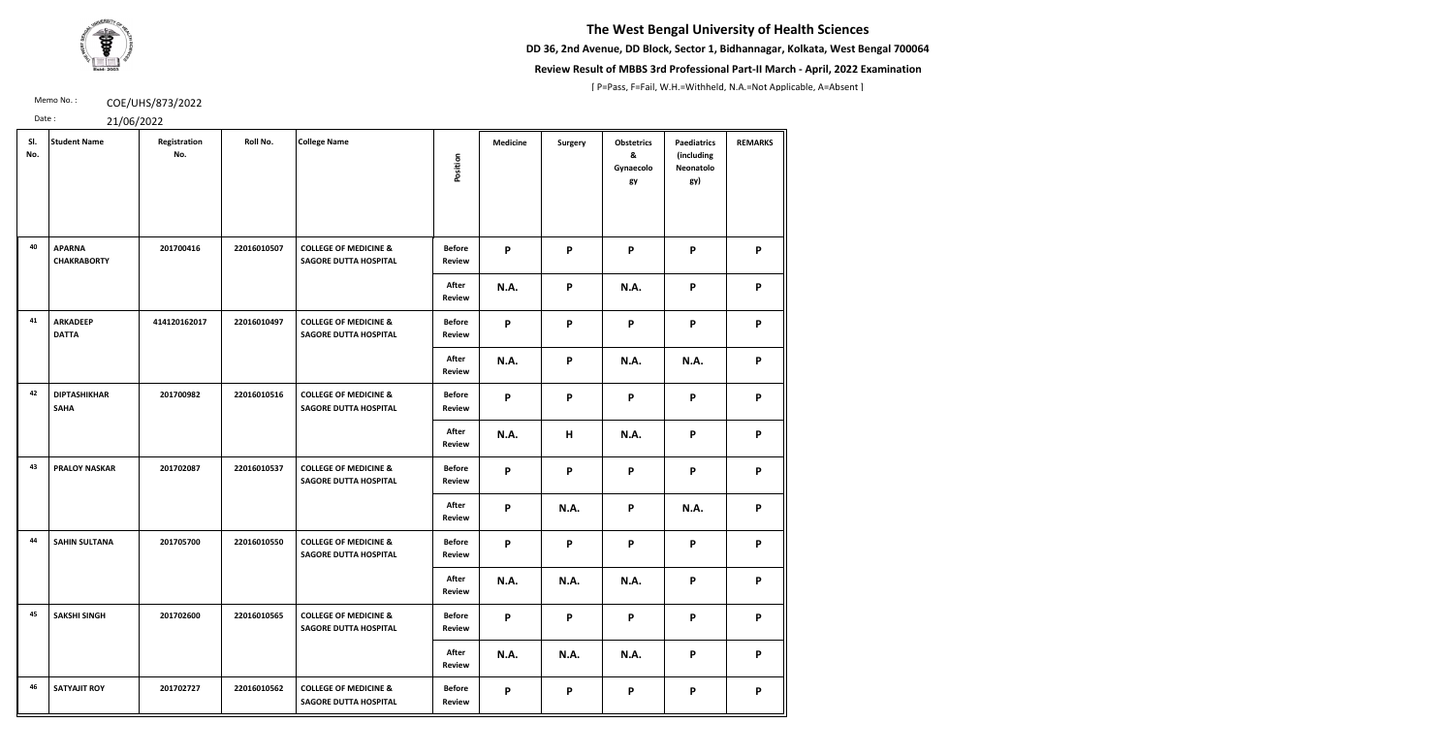**DD 36, 2nd Avenue, DD Block, Sector 1, Bidhannagar, Kolkata, West Bengal 700064**



### **Review Result of MBBS 3rd Professional Part-II March - April, 2022 Examination**

[ P=Pass, F=Fail, W.H.=Withheld, N.A.=Not Applicable, A=Absent ]

Memo No.: **COE/UHS/873/2022** 

| SI.<br>No. | <b>Student Name</b>                 | Registration<br>No. | Roll No.    | <b>College Name</b>                                              | Position                       | <b>Medicine</b>           | <b>Surgery</b> | <b>Obstetrics</b><br>&<br>Gynaecolo<br>gy | <b>Paediatrics</b><br>(including<br>Neonatolo<br>gy) | <b>REMARKS</b> |
|------------|-------------------------------------|---------------------|-------------|------------------------------------------------------------------|--------------------------------|---------------------------|----------------|-------------------------------------------|------------------------------------------------------|----------------|
| 40         | <b>APARNA</b><br><b>CHAKRABORTY</b> | 201700416           | 22016010507 | <b>COLLEGE OF MEDICINE &amp;</b><br><b>SAGORE DUTTA HOSPITAL</b> | <b>Before</b><br>Review        | P                         | P              | P                                         | P                                                    | P              |
|            |                                     |                     |             |                                                                  | After<br><b>Review</b>         | <b>N.A.</b>               | P              | <b>N.A.</b>                               | P                                                    | P              |
| 41         | <b>ARKADEEP</b><br><b>DATTA</b>     | 414120162017        | 22016010497 | <b>COLLEGE OF MEDICINE &amp;</b><br><b>SAGORE DUTTA HOSPITAL</b> | <b>Before</b><br><b>Review</b> | P                         | P              | P                                         | P                                                    | P              |
|            |                                     |                     |             |                                                                  | After<br>Review                | <b>N.A.</b>               | P              | <b>N.A.</b>                               | N.A.                                                 | P              |
| 42         | <b>DIPTASHIKHAR</b><br><b>SAHA</b>  | 201700982           | 22016010516 | <b>COLLEGE OF MEDICINE &amp;</b><br><b>SAGORE DUTTA HOSPITAL</b> | <b>Before</b><br>Review        | $\mathsf{P}$              | P              | P                                         | P                                                    | P              |
|            |                                     |                     |             |                                                                  | After<br>Review                | N.A.                      | H              | <b>N.A.</b>                               | P                                                    | P              |
| 43         | <b>PRALOY NASKAR</b>                | 201702087           | 22016010537 | <b>COLLEGE OF MEDICINE &amp;</b><br><b>SAGORE DUTTA HOSPITAL</b> | <b>Before</b><br><b>Review</b> | P                         | P              | P                                         | P                                                    | P              |
|            |                                     |                     |             |                                                                  | After<br>Review                | $\boldsymbol{\mathsf{P}}$ | <b>N.A.</b>    | P                                         | <b>N.A.</b>                                          | P              |
| 44         | <b>SAHIN SULTANA</b>                | 201705700           | 22016010550 | <b>COLLEGE OF MEDICINE &amp;</b><br><b>SAGORE DUTTA HOSPITAL</b> | <b>Before</b><br><b>Review</b> | P                         | P              | P                                         | P                                                    | P              |
|            |                                     |                     |             |                                                                  | After<br>Review                | <b>N.A.</b>               | N.A.           | <b>N.A.</b>                               | P                                                    | P              |
| 45         | <b>SAKSHI SINGH</b>                 | 201702600           | 22016010565 | <b>COLLEGE OF MEDICINE &amp;</b><br><b>SAGORE DUTTA HOSPITAL</b> | <b>Before</b><br><b>Review</b> | P                         | P              | P                                         | P                                                    | P              |
|            |                                     |                     |             |                                                                  | After<br><b>Review</b>         | <b>N.A.</b>               | N.A.           | <b>N.A.</b>                               | P                                                    | P              |
| 46         | <b>SATYAJIT ROY</b>                 | 201702727           | 22016010562 | <b>COLLEGE OF MEDICINE &amp;</b><br><b>SAGORE DUTTA HOSPITAL</b> | <b>Before</b><br><b>Review</b> | P                         | P              | P                                         | P                                                    | P              |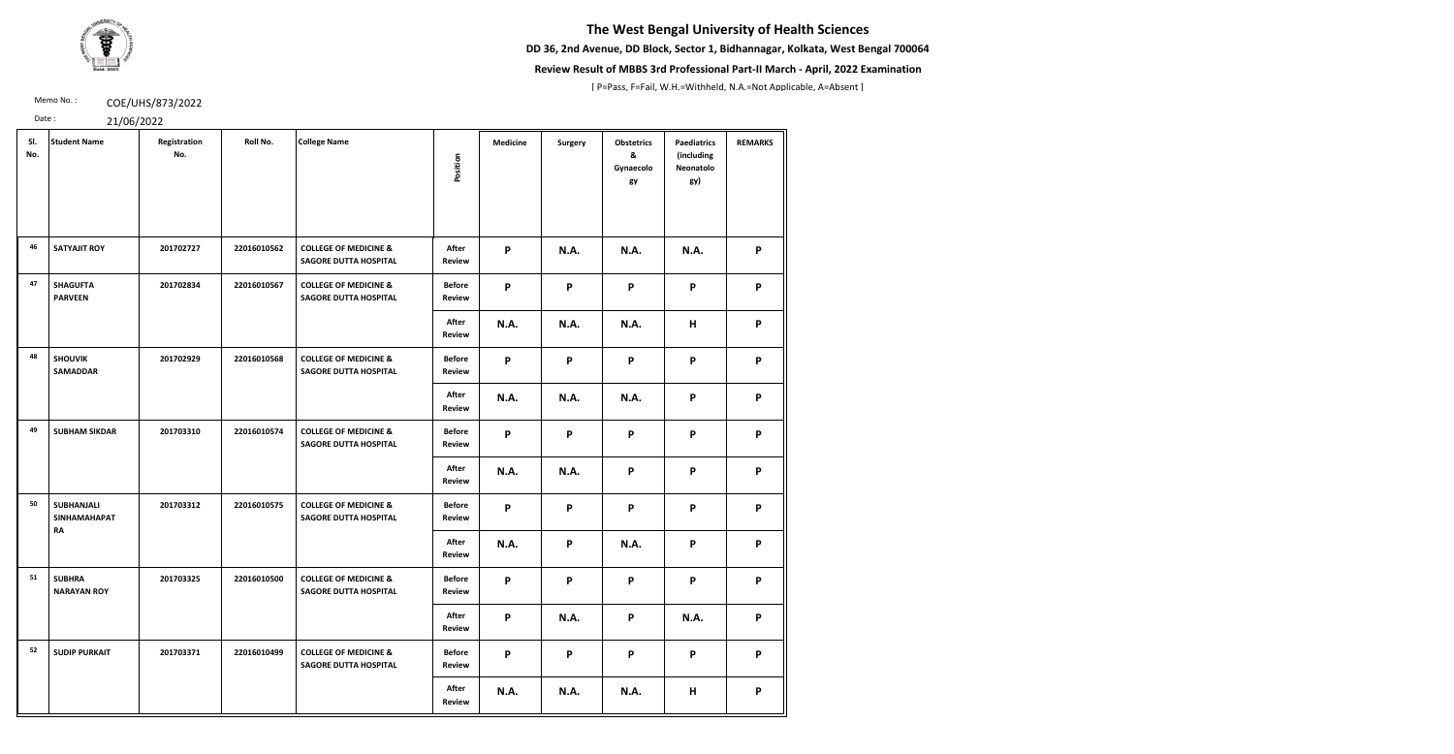**DD 36, 2nd Avenue, DD Block, Sector 1, Bidhannagar, Kolkata, West Bengal 700064**



### **Review Result of MBBS 3rd Professional Part-II March - April, 2022 Examination**

[ P=Pass, F=Fail, W.H.=Withheld, N.A.=Not Applicable, A=Absent ]

Memo No.: **COE/UHS/873/2022** 

| Date: | 21/06/2022 |
|-------|------------|
|-------|------------|

| SI.<br>No. | <b>Student Name</b>                                   | Registration<br>No. | Roll No.    | <b>College Name</b>                                              | Position                       | <b>Medicine</b>           | <b>Surgery</b>            | <b>Obstetrics</b><br>&<br>Gynaecolo<br>gy | <b>Paediatrics</b><br>(including<br>Neonatolo<br>gy) | <b>REMARKS</b> |
|------------|-------------------------------------------------------|---------------------|-------------|------------------------------------------------------------------|--------------------------------|---------------------------|---------------------------|-------------------------------------------|------------------------------------------------------|----------------|
| 46         | <b>SATYAJIT ROY</b>                                   | 201702727           | 22016010562 | <b>COLLEGE OF MEDICINE &amp;</b><br><b>SAGORE DUTTA HOSPITAL</b> | After<br><b>Review</b>         | $\boldsymbol{\mathsf{P}}$ | <b>N.A.</b>               | N.A.                                      | N.A.                                                 | P              |
| 47         | <b>SHAGUFTA</b><br><b>PARVEEN</b>                     | 201702834           | 22016010567 | <b>COLLEGE OF MEDICINE &amp;</b><br><b>SAGORE DUTTA HOSPITAL</b> | <b>Before</b><br><b>Review</b> | P                         | $\mathsf{P}$              | P                                         | P                                                    | P              |
|            |                                                       |                     |             |                                                                  | After<br><b>Review</b>         | <b>N.A.</b>               | <b>N.A.</b>               | <b>N.A.</b>                               | н                                                    | P              |
| 48         | <b>SHOUVIK</b><br><b>SAMADDAR</b>                     | 201702929           | 22016010568 | <b>COLLEGE OF MEDICINE &amp;</b><br><b>SAGORE DUTTA HOSPITAL</b> | <b>Before</b><br><b>Review</b> | P                         | $\boldsymbol{\mathsf{P}}$ | P                                         | P                                                    | P              |
|            |                                                       |                     |             |                                                                  | After<br><b>Review</b>         | <b>N.A.</b>               | <b>N.A.</b>               | N.A.                                      | P                                                    | P              |
| 49         | <b>SUBHAM SIKDAR</b>                                  | 201703310           | 22016010574 | <b>COLLEGE OF MEDICINE &amp;</b><br><b>SAGORE DUTTA HOSPITAL</b> | <b>Before</b><br><b>Review</b> | $\mathsf{P}$              | P                         | P                                         | P                                                    | P              |
|            |                                                       |                     |             |                                                                  | After<br><b>Review</b>         | <b>N.A.</b>               | N.A.                      | P                                         | P                                                    | P              |
| 50         | <b>SUBHANJALI</b><br><b>SINHAMAHAPAT</b><br><b>RA</b> | 201703312           | 22016010575 | <b>COLLEGE OF MEDICINE &amp;</b><br><b>SAGORE DUTTA HOSPITAL</b> | <b>Before</b><br><b>Review</b> | $\mathsf{P}$              | $\boldsymbol{\mathsf{P}}$ | P                                         | P                                                    | P              |
|            |                                                       |                     |             |                                                                  | After<br><b>Review</b>         | <b>N.A.</b>               | P                         | <b>N.A.</b>                               | P                                                    | P              |
| 51         | <b>SUBHRA</b><br><b>NARAYAN ROY</b>                   | 201703325           | 22016010500 | <b>COLLEGE OF MEDICINE &amp;</b><br><b>SAGORE DUTTA HOSPITAL</b> | <b>Before</b><br><b>Review</b> | P                         | P                         | P                                         | P                                                    | P              |
|            |                                                       |                     |             |                                                                  | After<br><b>Review</b>         | P                         | <b>N.A.</b>               | P                                         | N.A.                                                 | P              |
| 52         | <b>SUDIP PURKAIT</b>                                  | 201703371           | 22016010499 | <b>COLLEGE OF MEDICINE &amp;</b><br><b>SAGORE DUTTA HOSPITAL</b> | <b>Before</b><br><b>Review</b> | $\mathsf{P}$              | $\mathsf{P}$              | P                                         | P                                                    | P              |
|            |                                                       |                     |             |                                                                  | After<br><b>Review</b>         | <b>N.A.</b>               | N.A.                      | <b>N.A.</b>                               | H                                                    | P              |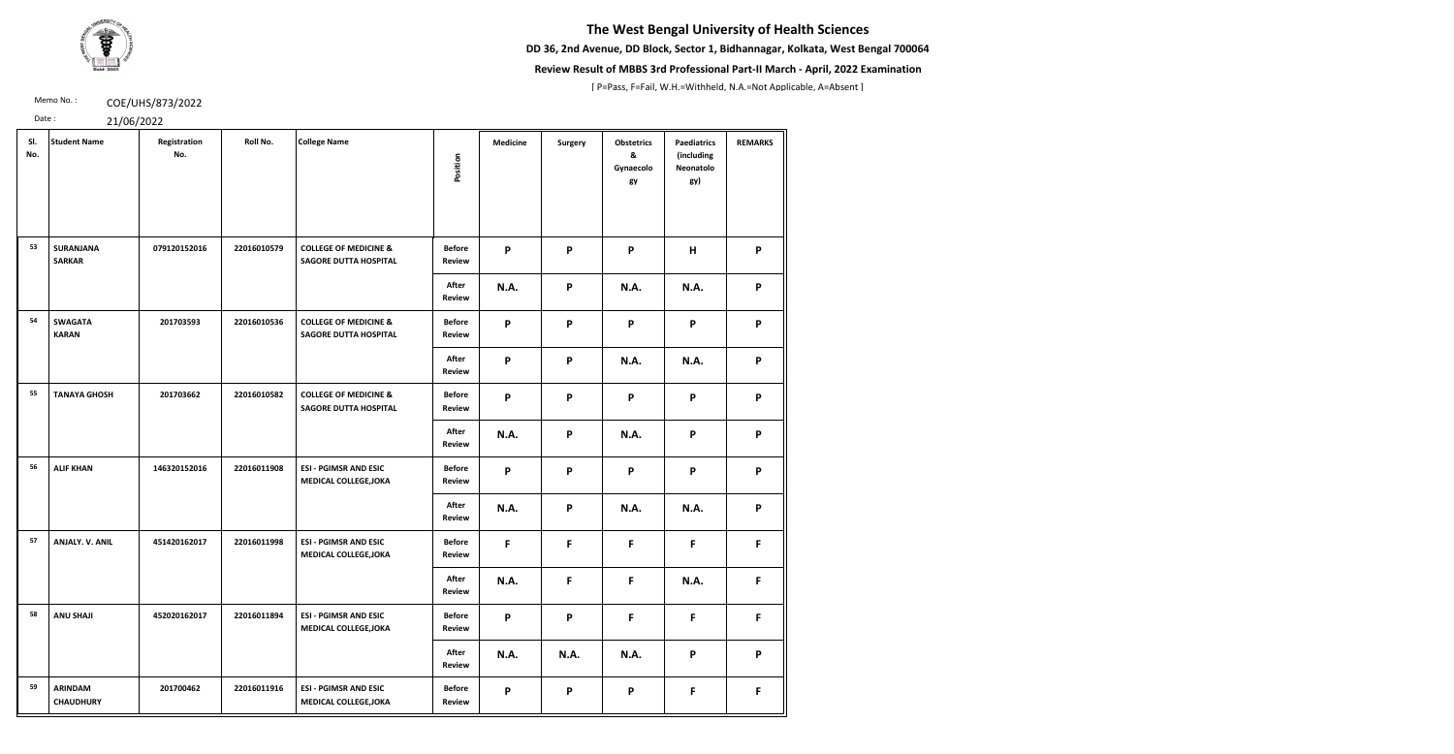**DD 36, 2nd Avenue, DD Block, Sector 1, Bidhannagar, Kolkata, West Bengal 700064**



### **Review Result of MBBS 3rd Professional Part-II March - April, 2022 Examination**

[ P=Pass, F=Fail, W.H.=Withheld, N.A.=Not Applicable, A=Absent ]

Memo No.: **COE/UHS/873/2022** 

| SI.<br>No. | <b>Student Name</b>                | Registration<br>No. | Roll No.    | <b>College Name</b>                                              | Position                       | <b>Medicine</b> | Surgery                   | <b>Obstetrics</b><br>&<br>Gynaecolo<br>gy | <b>Paediatrics</b><br>(including<br>Neonatolo<br>gy) | <b>REMARKS</b> |
|------------|------------------------------------|---------------------|-------------|------------------------------------------------------------------|--------------------------------|-----------------|---------------------------|-------------------------------------------|------------------------------------------------------|----------------|
| 53         | <b>SURANJANA</b><br><b>SARKAR</b>  | 079120152016        | 22016010579 | <b>COLLEGE OF MEDICINE &amp;</b><br><b>SAGORE DUTTA HOSPITAL</b> | <b>Before</b><br><b>Review</b> | P               | P                         | P                                         | H                                                    | P              |
|            |                                    |                     |             |                                                                  | After<br><b>Review</b>         | <b>N.A.</b>     | $\boldsymbol{\mathsf{P}}$ | <b>N.A.</b>                               | N.A.                                                 | P              |
| 54         | <b>SWAGATA</b><br><b>KARAN</b>     | 201703593           | 22016010536 | <b>COLLEGE OF MEDICINE &amp;</b><br><b>SAGORE DUTTA HOSPITAL</b> | <b>Before</b><br><b>Review</b> | P               | P                         | P                                         | P                                                    | P              |
|            |                                    |                     |             |                                                                  | After<br><b>Review</b>         | P               | P                         | <b>N.A.</b>                               | N.A.                                                 | P              |
| 55         | <b>TANAYA GHOSH</b>                | 201703662           | 22016010582 | <b>COLLEGE OF MEDICINE &amp;</b><br><b>SAGORE DUTTA HOSPITAL</b> | <b>Before</b><br><b>Review</b> | P               | P                         | P                                         | P                                                    | P              |
|            |                                    |                     |             |                                                                  | After<br><b>Review</b>         | <b>N.A.</b>     | $\boldsymbol{\mathsf{P}}$ | <b>N.A.</b>                               | P                                                    | P              |
| 56         | <b>ALIF KHAN</b>                   | 146320152016        | 22016011908 | <b>ESI - PGIMSR AND ESIC</b><br><b>MEDICAL COLLEGE, JOKA</b>     | <b>Before</b><br><b>Review</b> | P               | P                         | P                                         | P                                                    | P              |
|            |                                    |                     |             |                                                                  | After<br><b>Review</b>         | <b>N.A.</b>     | P                         | <b>N.A.</b>                               | N.A.                                                 | P              |
| 57         | ANJALY. V. ANIL                    | 451420162017        | 22016011998 | <b>ESI - PGIMSR AND ESIC</b><br><b>MEDICAL COLLEGE, JOKA</b>     | <b>Before</b><br><b>Review</b> | F               | F                         | F                                         | F                                                    | F.             |
|            |                                    |                     |             |                                                                  | After<br><b>Review</b>         | <b>N.A.</b>     | $\mathsf F$               | $\mathsf F$                               | N.A.                                                 | F              |
| 58         | <b>ANU SHAJI</b>                   | 452020162017        | 22016011894 | <b>ESI - PGIMSR AND ESIC</b><br><b>MEDICAL COLLEGE, JOKA</b>     | <b>Before</b><br><b>Review</b> | P               | P                         | $\mathsf{F}$                              | F                                                    | F.             |
|            |                                    |                     |             |                                                                  | After<br><b>Review</b>         | <b>N.A.</b>     | <b>N.A.</b>               | <b>N.A.</b>                               | P                                                    | P              |
| 59         | <b>ARINDAM</b><br><b>CHAUDHURY</b> | 201700462           | 22016011916 | <b>ESI - PGIMSR AND ESIC</b><br><b>MEDICAL COLLEGE, JOKA</b>     | <b>Before</b><br><b>Review</b> | P               | P                         | P                                         | F                                                    | F              |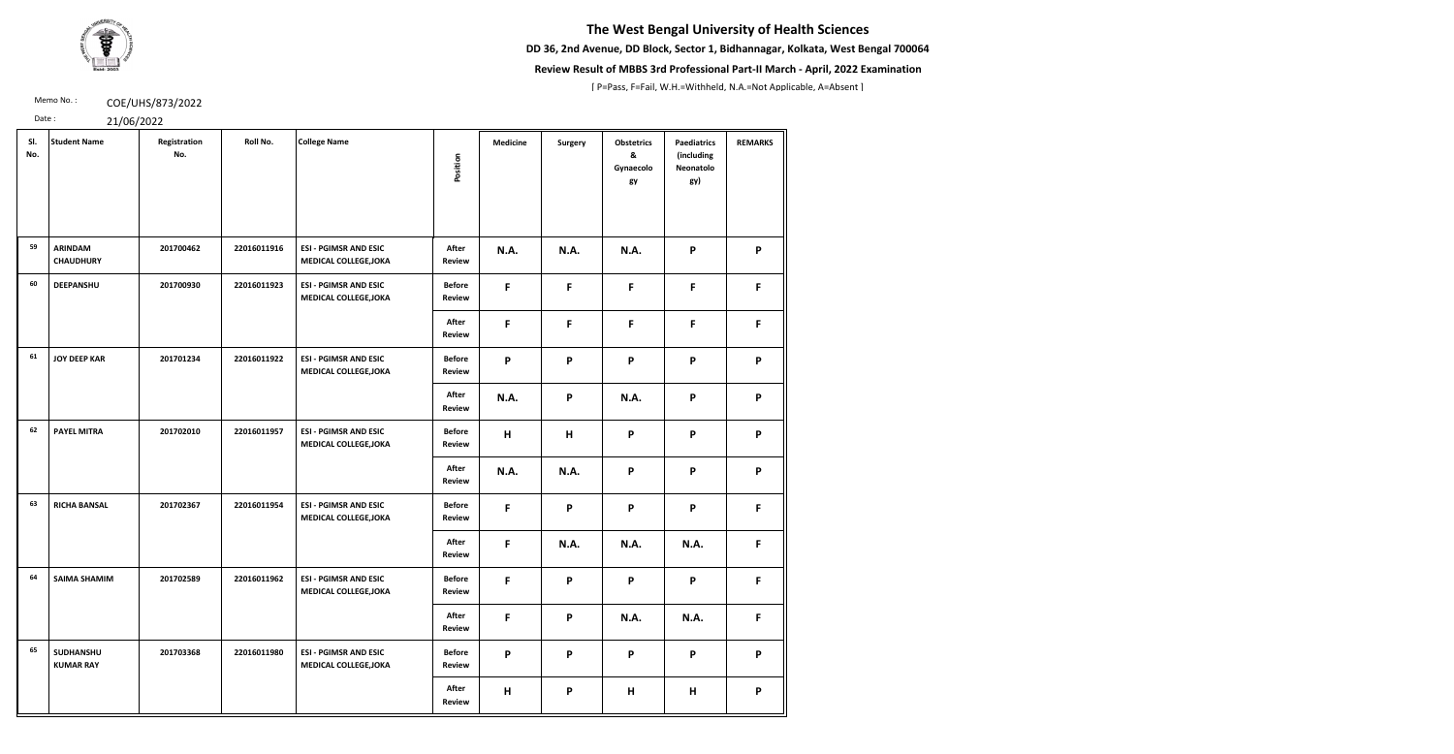**DD 36, 2nd Avenue, DD Block, Sector 1, Bidhannagar, Kolkata, West Bengal 700064**



### **Review Result of MBBS 3rd Professional Part-II March - April, 2022 Examination**

[ P=Pass, F=Fail, W.H.=Withheld, N.A.=Not Applicable, A=Absent ]

Memo No.: **COE/UHS/873/2022** 

| SI.<br>No. | <b>Student Name</b>                | Registration<br>No. | Roll No.    | <b>College Name</b>                                          | Position                       | <b>Medicine</b>           | <b>Surgery</b>            | <b>Obstetrics</b><br>&<br>Gynaecolo<br>gy | <b>Paediatrics</b><br>(including<br>Neonatolo<br>gy) | <b>REMARKS</b> |
|------------|------------------------------------|---------------------|-------------|--------------------------------------------------------------|--------------------------------|---------------------------|---------------------------|-------------------------------------------|------------------------------------------------------|----------------|
| 59         | <b>ARINDAM</b><br><b>CHAUDHURY</b> | 201700462           | 22016011916 | <b>ESI - PGIMSR AND ESIC</b><br><b>MEDICAL COLLEGE, JOKA</b> | After<br><b>Review</b>         | <b>N.A.</b>               | <b>N.A.</b>               | <b>N.A.</b>                               | P                                                    | P              |
| 60         | <b>DEEPANSHU</b>                   | 201700930           | 22016011923 | <b>ESI - PGIMSR AND ESIC</b><br><b>MEDICAL COLLEGE, JOKA</b> | <b>Before</b><br><b>Review</b> | F                         | F                         | F                                         | F                                                    | F              |
|            |                                    |                     |             |                                                              | After<br><b>Review</b>         | F                         | F                         | F                                         | F                                                    | F              |
| 61         | <b>JOY DEEP KAR</b>                | 201701234           | 22016011922 | <b>ESI - PGIMSR AND ESIC</b><br><b>MEDICAL COLLEGE, JOKA</b> | <b>Before</b><br><b>Review</b> | $\boldsymbol{\mathsf{P}}$ | $\boldsymbol{\mathsf{P}}$ | $\mathsf{P}$                              | P                                                    | P              |
|            |                                    |                     |             |                                                              | After<br><b>Review</b>         | <b>N.A.</b>               | P                         | <b>N.A.</b>                               | P                                                    | P              |
| 62         | <b>PAYEL MITRA</b>                 | 201702010           | 22016011957 | <b>ESI - PGIMSR AND ESIC</b><br><b>MEDICAL COLLEGE, JOKA</b> | <b>Before</b><br><b>Review</b> | H                         | H                         | P                                         | P                                                    | P              |
|            |                                    |                     |             |                                                              | After<br><b>Review</b>         | <b>N.A.</b>               | <b>N.A.</b>               | P                                         | P                                                    | P              |
| 63         | <b>RICHA BANSAL</b>                | 201702367           | 22016011954 | <b>ESI - PGIMSR AND ESIC</b><br><b>MEDICAL COLLEGE, JOKA</b> | <b>Before</b><br><b>Review</b> | F                         | P                         | P                                         | P                                                    | F              |
|            |                                    |                     |             |                                                              | After<br><b>Review</b>         | F                         | <b>N.A.</b>               | <b>N.A.</b>                               | N.A.                                                 | F.             |
| 64         | <b>SAIMA SHAMIM</b>                | 201702589           | 22016011962 | <b>ESI - PGIMSR AND ESIC</b><br><b>MEDICAL COLLEGE, JOKA</b> | <b>Before</b><br><b>Review</b> | F                         | P                         | P                                         | P                                                    | $\mathsf F$    |
|            |                                    |                     |             |                                                              | After<br>Review                | F                         | P                         | <b>N.A.</b>                               | N.A.                                                 | F.             |
| 65         | SUDHANSHU<br><b>KUMAR RAY</b>      | 201703368           | 22016011980 | <b>ESI - PGIMSR AND ESIC</b><br><b>MEDICAL COLLEGE, JOKA</b> | <b>Before</b><br><b>Review</b> | P                         | P                         | $\mathsf{P}$                              | P                                                    | P              |
|            |                                    |                     |             |                                                              | After<br>Review                | H                         | P                         | H                                         | H                                                    | P              |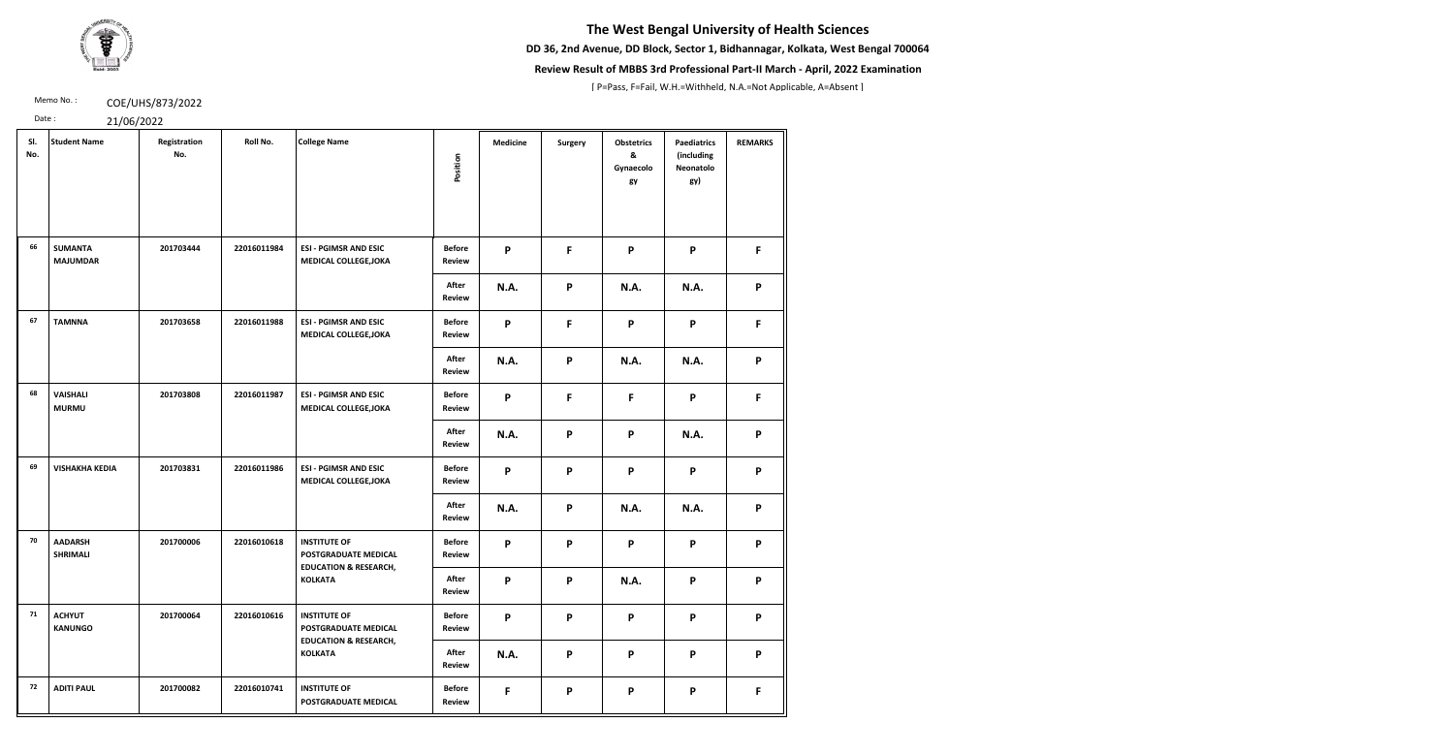**DD 36, 2nd Avenue, DD Block, Sector 1, Bidhannagar, Kolkata, West Bengal 700064**



### **Review Result of MBBS 3rd Professional Part-II March - April, 2022 Examination**

[ P=Pass, F=Fail, W.H.=Withheld, N.A.=Not Applicable, A=Absent ]

Memo No.: **COE/UHS/873/2022** 

| SI.<br>No. | <b>Student Name</b>               | Registration<br>No. | Roll No.    | <b>College Name</b>                                                             | Position                       | <b>Medicine</b> | <b>Surgery</b> | <b>Obstetrics</b><br>&<br>Gynaecolo<br>gy | <b>Paediatrics</b><br>(including<br>Neonatolo<br>gy) | <b>REMARKS</b> |
|------------|-----------------------------------|---------------------|-------------|---------------------------------------------------------------------------------|--------------------------------|-----------------|----------------|-------------------------------------------|------------------------------------------------------|----------------|
| 66         | <b>SUMANTA</b><br><b>MAJUMDAR</b> | 201703444           | 22016011984 | <b>ESI - PGIMSR AND ESIC</b><br><b>MEDICAL COLLEGE, JOKA</b>                    | <b>Before</b><br>Review        | P               | F              | P                                         | P                                                    | F.             |
|            |                                   |                     |             |                                                                                 | After<br>Review                | <b>N.A.</b>     | P              | N.A.                                      | N.A.                                                 | P              |
| 67         | <b>TAMNNA</b>                     | 201703658           | 22016011988 | <b>ESI - PGIMSR AND ESIC</b><br><b>MEDICAL COLLEGE, JOKA</b>                    | <b>Before</b><br><b>Review</b> | P               | F              | P                                         | P                                                    | F.             |
|            |                                   |                     |             |                                                                                 | After<br>Review                | <b>N.A.</b>     | P              | <b>N.A.</b>                               | N.A.                                                 | P              |
| 68         | <b>VAISHALI</b><br><b>MURMU</b>   | 201703808           | 22016011987 | <b>ESI - PGIMSR AND ESIC</b><br><b>MEDICAL COLLEGE, JOKA</b>                    | <b>Before</b><br><b>Review</b> | P               | F              | F                                         | P                                                    | F.             |
|            |                                   |                     |             |                                                                                 | After<br>Review                | <b>N.A.</b>     | P              | P                                         | N.A.                                                 | P              |
| 69         | <b>VISHAKHA KEDIA</b>             | 201703831           | 22016011986 | <b>ESI - PGIMSR AND ESIC</b><br><b>MEDICAL COLLEGE, JOKA</b>                    | <b>Before</b><br><b>Review</b> | P               | P              | P                                         | P                                                    | P              |
|            |                                   |                     |             |                                                                                 | After<br>Review                | <b>N.A.</b>     | P              | <b>N.A.</b>                               | N.A.                                                 | P              |
| 70         | <b>AADARSH</b><br><b>SHRIMALI</b> | 201700006           | 22016010618 | <b>INSTITUTE OF</b><br>POSTGRADUATE MEDICAL<br><b>EDUCATION &amp; RESEARCH,</b> | <b>Before</b><br><b>Review</b> | P               | P              | P                                         | P                                                    | P              |
|            |                                   |                     |             | <b>KOLKATA</b>                                                                  | After<br><b>Review</b>         | P               | P              | <b>N.A.</b>                               | P                                                    | P              |
| 71         | <b>ACHYUT</b><br><b>KANUNGO</b>   | 201700064           | 22016010616 | <b>INSTITUTE OF</b><br>POSTGRADUATE MEDICAL<br><b>EDUCATION &amp; RESEARCH,</b> | <b>Before</b><br><b>Review</b> | P               | P              | P                                         | P                                                    | P              |
|            |                                   |                     |             | <b>KOLKATA</b>                                                                  | After<br><b>Review</b>         | <b>N.A.</b>     | $\mathsf{P}$   | P                                         | P                                                    | P              |
| 72         | <b>ADITI PAUL</b>                 | 201700082           | 22016010741 | <b>INSTITUTE OF</b><br>POSTGRADUATE MEDICAL                                     | <b>Before</b><br><b>Review</b> | F               | P              | P                                         | P                                                    | F.             |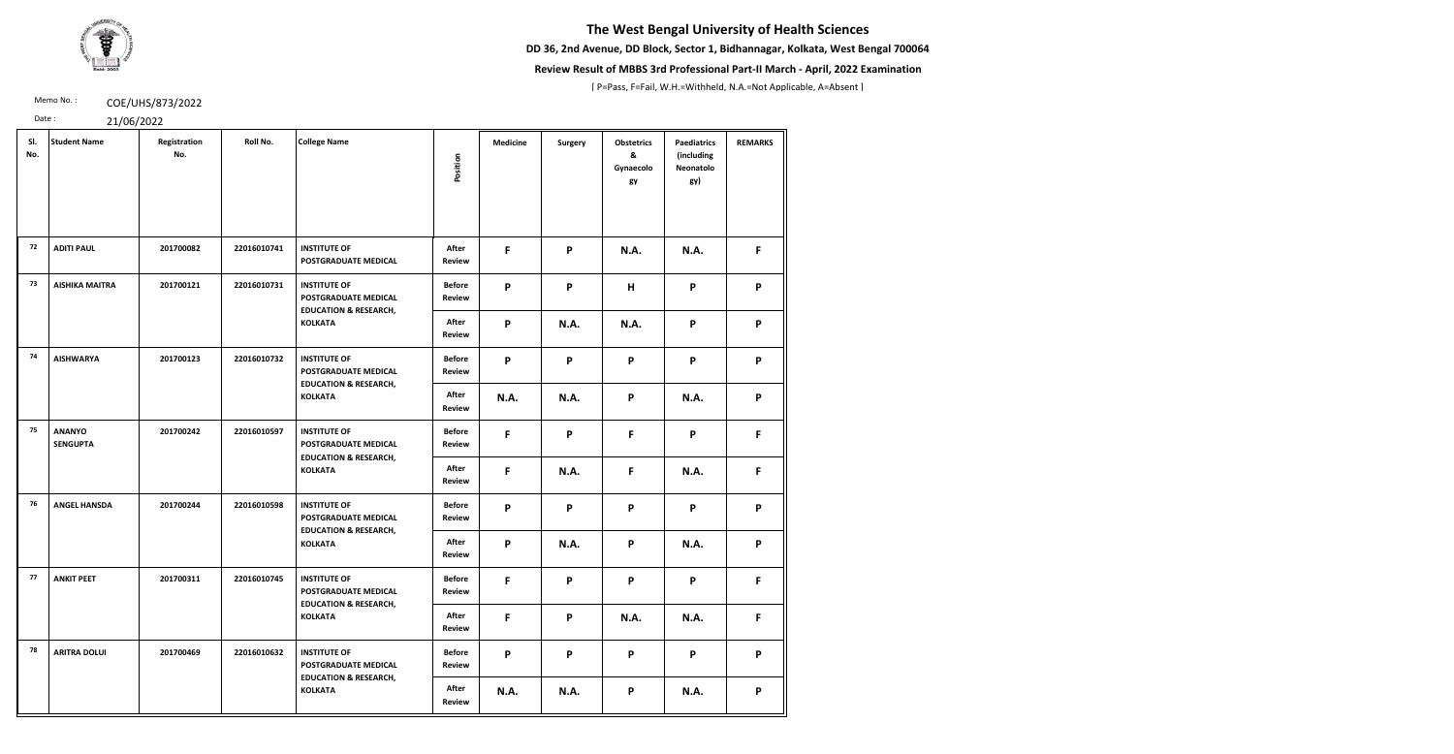**DD 36, 2nd Avenue, DD Block, Sector 1, Bidhannagar, Kolkata, West Bengal 700064**



### **Review Result of MBBS 3rd Professional Part-II March - April, 2022 Examination**

[ P=Pass, F=Fail, W.H.=Withheld, N.A.=Not Applicable, A=Absent ]

**REMARKS**

Memo No.: **COE/UHS/873/2022** 

**F P N.A. N.A. F**

| Date:      | 21/06/2022                       |                     |             |                                                    |                                |                 |             |                                           |                                                             |              |
|------------|----------------------------------|---------------------|-------------|----------------------------------------------------|--------------------------------|-----------------|-------------|-------------------------------------------|-------------------------------------------------------------|--------------|
| SI.<br>No. | <b>Student Name</b>              | Registration<br>No. | Roll No.    | <b>College Name</b>                                | Position                       | <b>Medicine</b> | Surgery     | <b>Obstetrics</b><br>&<br>Gynaecolo<br>gy | <b>Paediatrics</b><br>(including<br><b>Neonatolo</b><br>gy) | <b>REMAI</b> |
| 72         | <b>ADITI PAUL</b>                | 201700082           | 22016010741 | <b>INSTITUTE OF</b><br><b>POSTGRADUATE MEDICAL</b> | After<br><b>Review</b>         | F               | P           | <b>N.A.</b>                               | <b>N.A.</b>                                                 | F            |
| 73         | <b>AISHIKA MAITRA</b>            | 201700121           | 22016010731 | <b>INSTITUTE OF</b><br><b>POSTGRADUATE MEDICAL</b> | <b>Before</b><br><b>Review</b> | P               | P           | H                                         | P                                                           | P            |
|            |                                  |                     |             | <b>EDUCATION &amp; RESEARCH,</b><br><b>KOLKATA</b> | After<br><b>Review</b>         | P               | <b>N.A.</b> | <b>N.A.</b>                               | P                                                           | P            |
| 74         | <b>AISHWARYA</b>                 | 201700123           | 22016010732 | <b>INSTITUTE OF</b><br><b>POSTGRADUATE MEDICAL</b> | <b>Before</b><br><b>Review</b> | P               | P           | P                                         | P                                                           | P            |
|            |                                  |                     |             | <b>EDUCATION &amp; RESEARCH,</b><br><b>KOLKATA</b> | After<br><b>Review</b>         | <b>N.A.</b>     | <b>N.A.</b> | P                                         | <b>N.A.</b>                                                 | P            |
| 75         | <b>ANANYO</b><br><b>SENGUPTA</b> | 201700242           | 22016010597 | <b>INSTITUTE OF</b><br><b>POSTGRADUATE MEDICAL</b> | <b>Before</b><br><b>Review</b> | F               | P           | F                                         | P                                                           | F            |
|            |                                  |                     |             | <b>EDUCATION &amp; RESEARCH,</b>                   |                                |                 |             |                                           |                                                             |              |

**N.A. N.A. P N.A. P**

**KOLKATA**

**After Review**

**F N.A. F N.A. F**

**76 ANGEL HANSDA 201700244 22016010598 INSTITUTE OF** 

**POSTGRADUATE MEDICAL EDUCATION & RESEARCH,** 

**KOLKATA**

**Before Review**

**P P P P P**

**After Review**

**P N.A. P N.A. P**

**77 ANKIT PEET 201700311 22016010745 INSTITUTE OF** 

**POSTGRADUATE MEDICAL EDUCATION & RESEARCH,** 

**KOLKATA**

**Before Review**

**F P P P F**

**After Review** **F P N.A. N.A. F**

**78 ARITRA DOLUI 201700469 22016010632 INSTITUTE OF** 

**POSTGRADUATE MEDICAL EDUCATION & RESEARCH,** 

**KOLKATA**

**Before Review**

**P P P P P**

**After Review**

**N.A. N.A. P N.A. P**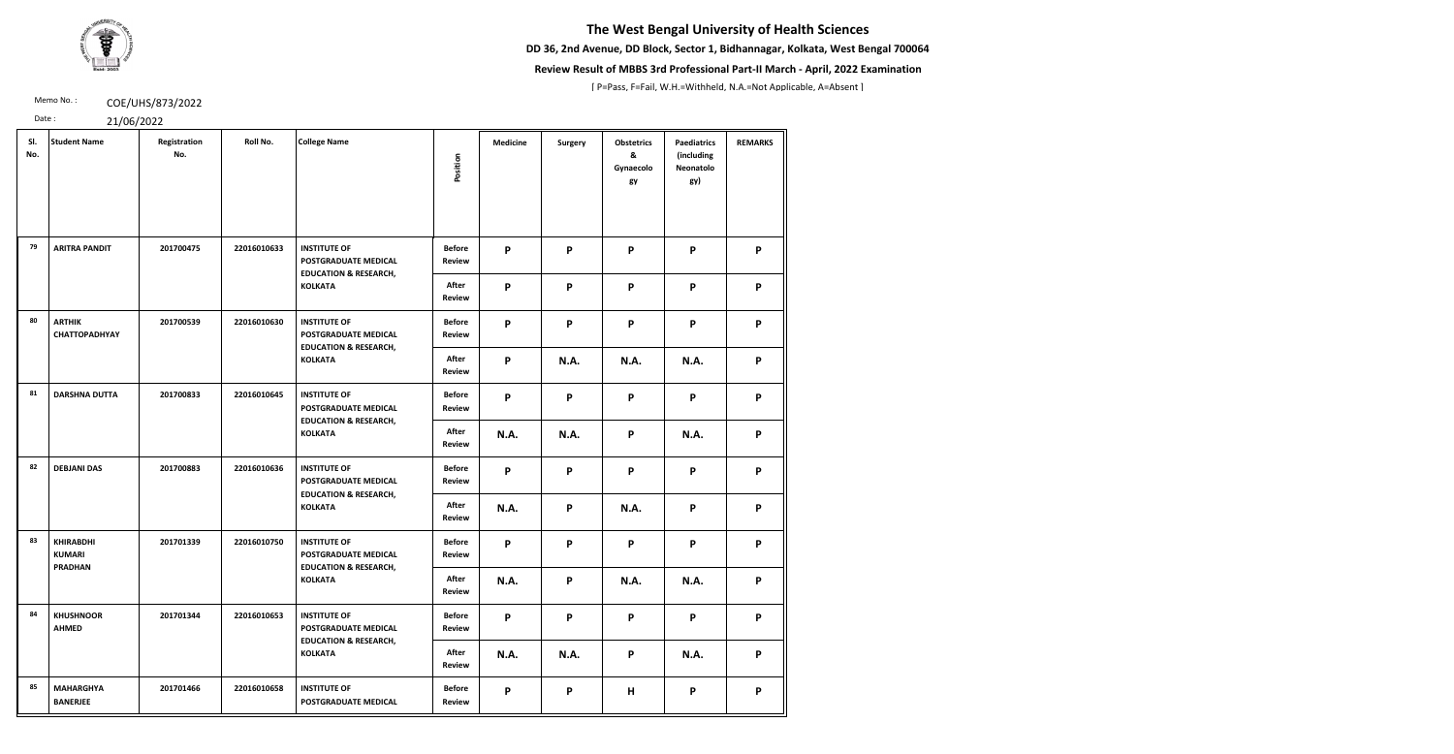**DD 36, 2nd Avenue, DD Block, Sector 1, Bidhannagar, Kolkata, West Bengal 700064**



### **Review Result of MBBS 3rd Professional Part-II March - April, 2022 Examination**

[ P=Pass, F=Fail, W.H.=Withheld, N.A.=Not Applicable, A=Absent ]

Memo No.: **COE/UHS/873/2022** 

| SI.<br>No. | <b>Student Name</b>                                 | Registration<br>No. | Roll No.    | <b>College Name</b>                                                             | Position                       | <b>Medicine</b> | <b>Surgery</b>            | <b>Obstetrics</b><br>&<br>Gynaecolo<br>gy | <b>Paediatrics</b><br>(including<br><b>Neonatolo</b><br>gy) | <b>REMARKS</b> |
|------------|-----------------------------------------------------|---------------------|-------------|---------------------------------------------------------------------------------|--------------------------------|-----------------|---------------------------|-------------------------------------------|-------------------------------------------------------------|----------------|
| 79         | <b>ARITRA PANDIT</b>                                | 201700475           | 22016010633 | <b>INSTITUTE OF</b><br>POSTGRADUATE MEDICAL<br><b>EDUCATION &amp; RESEARCH,</b> | <b>Before</b><br><b>Review</b> | P               | P                         | P                                         | P                                                           | P              |
|            |                                                     |                     |             | <b>KOLKATA</b>                                                                  | After<br><b>Review</b>         | $\mathsf{P}$    | $\mathsf{P}$              | P                                         | P                                                           | P              |
| 80         | <b>ARTHIK</b><br><b>CHATTOPADHYAY</b>               | 201700539           | 22016010630 | <b>INSTITUTE OF</b><br>POSTGRADUATE MEDICAL<br><b>EDUCATION &amp; RESEARCH,</b> | <b>Before</b><br><b>Review</b> | P               | P                         | P                                         | P                                                           | P              |
|            |                                                     |                     |             | <b>KOLKATA</b>                                                                  | After<br>Review                | $\mathsf{P}$    | <b>N.A.</b>               | N.A.                                      | <b>N.A.</b>                                                 | P              |
| 81         | <b>DARSHNA DUTTA</b>                                | 201700833           | 22016010645 | <b>INSTITUTE OF</b><br>POSTGRADUATE MEDICAL<br><b>EDUCATION &amp; RESEARCH,</b> | <b>Before</b><br>Review        | $\mathsf{P}$    | P                         | P                                         | P                                                           | P              |
|            |                                                     |                     |             | <b>KOLKATA</b>                                                                  | After<br><b>Review</b>         | <b>N.A.</b>     | <b>N.A.</b>               | P                                         | <b>N.A.</b>                                                 | P              |
| 82         | <b>DEBJANI DAS</b>                                  | 201700883           | 22016010636 | <b>INSTITUTE OF</b><br>POSTGRADUATE MEDICAL<br><b>EDUCATION &amp; RESEARCH,</b> | <b>Before</b><br><b>Review</b> | P               | P                         | P                                         | P                                                           | P              |
|            |                                                     |                     |             | <b>KOLKATA</b>                                                                  | After<br><b>Review</b>         | <b>N.A.</b>     | $\boldsymbol{\mathsf{P}}$ | N.A.                                      | P                                                           | P              |
| 83         | <b>KHIRABDHI</b><br><b>KUMARI</b><br><b>PRADHAN</b> | 201701339           | 22016010750 | <b>INSTITUTE OF</b><br>POSTGRADUATE MEDICAL<br><b>EDUCATION &amp; RESEARCH,</b> | <b>Before</b><br>Review        | $\mathsf{P}$    | P                         | P                                         | P                                                           | P              |
|            |                                                     |                     |             | <b>KOLKATA</b>                                                                  | After<br><b>Review</b>         | N.A.            | P                         | <b>N.A.</b>                               | <b>N.A.</b>                                                 | P              |
| 84         | <b>KHUSHNOOR</b><br><b>AHMED</b>                    | 201701344           | 22016010653 | <b>INSTITUTE OF</b><br>POSTGRADUATE MEDICAL<br><b>EDUCATION &amp; RESEARCH,</b> | <b>Before</b><br>Review        | P               | P                         | P                                         | P                                                           | P              |
|            |                                                     |                     |             | <b>KOLKATA</b>                                                                  | After<br>Review                | N.A.            | N.A.                      | P                                         | <b>N.A.</b>                                                 | P              |
| 85         | <b>MAHARGHYA</b><br><b>BANERJEE</b>                 | 201701466           | 22016010658 | <b>INSTITUTE OF</b><br>POSTGRADUATE MEDICAL                                     | <b>Before</b><br><b>Review</b> | P               | P                         | H                                         | P                                                           | P              |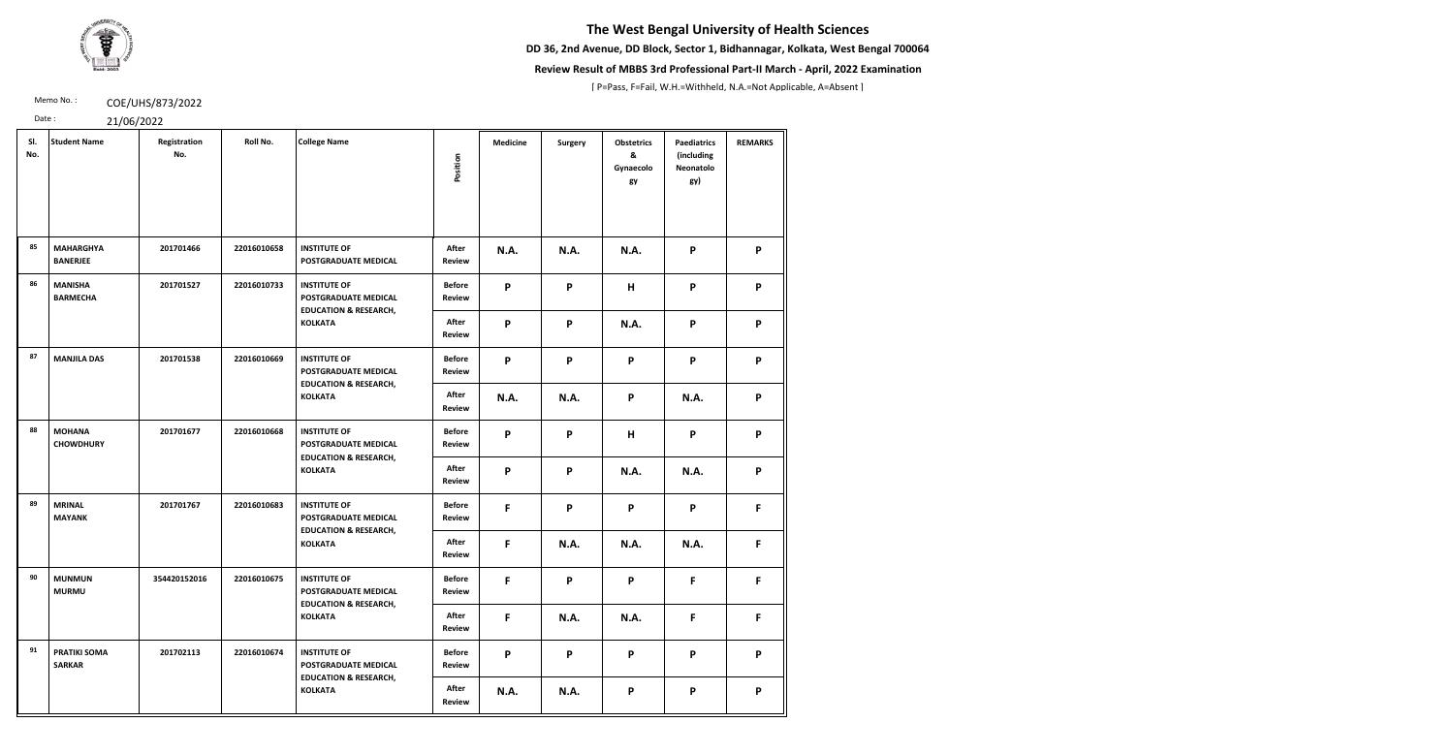**DD 36, 2nd Avenue, DD Block, Sector 1, Bidhannagar, Kolkata, West Bengal 700064**



### **Review Result of MBBS 3rd Professional Part-II March - April, 2022 Examination**

[ P=Pass, F=Fail, W.H.=Withheld, N.A.=Not Applicable, A=Absent ]

Memo No.: **COE/UHS/873/2022** 

| SI.<br>No. | <b>Student Name</b>                  | Registration<br>No. | Roll No.    | <b>College Name</b>                                                             | Position                       | <b>Medicine</b> | <b>Surgery</b> | <b>Obstetrics</b><br>&<br>Gynaecolo<br>gy | <b>Paediatrics</b><br>(including<br>Neonatolo<br>gy) | <b>REMARKS</b> |
|------------|--------------------------------------|---------------------|-------------|---------------------------------------------------------------------------------|--------------------------------|-----------------|----------------|-------------------------------------------|------------------------------------------------------|----------------|
| 85         | <b>MAHARGHYA</b><br><b>BANERJEE</b>  | 201701466           | 22016010658 | <b>INSTITUTE OF</b><br>POSTGRADUATE MEDICAL                                     | After<br><b>Review</b>         | <b>N.A.</b>     | <b>N.A.</b>    | <b>N.A.</b>                               | P                                                    | P              |
| 86         | <b>MANISHA</b><br><b>BARMECHA</b>    | 201701527           | 22016010733 | <b>INSTITUTE OF</b><br>POSTGRADUATE MEDICAL<br><b>EDUCATION &amp; RESEARCH,</b> | <b>Before</b><br><b>Review</b> | P               | P              | H                                         | P                                                    | P              |
|            |                                      |                     |             | <b>KOLKATA</b>                                                                  | After<br><b>Review</b>         | P               | P              | <b>N.A.</b>                               | P                                                    | P              |
| 87         | <b>MANJILA DAS</b>                   | 201701538           | 22016010669 | <b>INSTITUTE OF</b><br>POSTGRADUATE MEDICAL<br><b>EDUCATION &amp; RESEARCH,</b> | <b>Before</b><br><b>Review</b> | P               | P              | P                                         | P                                                    | P              |
|            |                                      |                     |             | <b>KOLKATA</b>                                                                  | <b>After</b><br><b>Review</b>  | N.A.            | <b>N.A.</b>    | P                                         | N.A.                                                 | P              |
| 88         | <b>MOHANA</b><br><b>CHOWDHURY</b>    | 201701677           | 22016010668 | <b>INSTITUTE OF</b><br>POSTGRADUATE MEDICAL<br><b>EDUCATION &amp; RESEARCH,</b> | <b>Before</b><br><b>Review</b> | P               | P              | H                                         | P                                                    | P              |
|            |                                      |                     |             | <b>KOLKATA</b>                                                                  | After<br><b>Review</b>         | P               | P              | <b>N.A.</b>                               | N.A.                                                 | P              |
| 89         | <b>MRINAL</b><br><b>MAYANK</b>       | 201701767           | 22016010683 | <b>INSTITUTE OF</b><br>POSTGRADUATE MEDICAL<br><b>EDUCATION &amp; RESEARCH,</b> | <b>Before</b><br><b>Review</b> | F               | P              | P                                         | P                                                    | F.             |
|            |                                      |                     |             | <b>KOLKATA</b>                                                                  | After<br><b>Review</b>         | F               | <b>N.A.</b>    | <b>N.A.</b>                               | <b>N.A.</b>                                          | F.             |
| 90         | <b>MUNMUN</b><br><b>MURMU</b>        | 354420152016        | 22016010675 | <b>INSTITUTE OF</b><br>POSTGRADUATE MEDICAL<br><b>EDUCATION &amp; RESEARCH,</b> | <b>Before</b><br><b>Review</b> | F               | P              | P                                         | F                                                    | F.             |
|            |                                      |                     |             | <b>KOLKATA</b>                                                                  | <b>After</b><br><b>Review</b>  | F               | <b>N.A.</b>    | <b>N.A.</b>                               | F                                                    | F.             |
| 91         | <b>PRATIKI SOMA</b><br><b>SARKAR</b> | 201702113           | 22016010674 | <b>INSTITUTE OF</b><br>POSTGRADUATE MEDICAL<br><b>EDUCATION &amp; RESEARCH,</b> | <b>Before</b><br><b>Review</b> | P               | P              | P                                         | P                                                    | P              |
|            |                                      |                     |             | <b>KOLKATA</b>                                                                  | After<br><b>Review</b>         | N.A.            | <b>N.A.</b>    | P                                         | P                                                    | P              |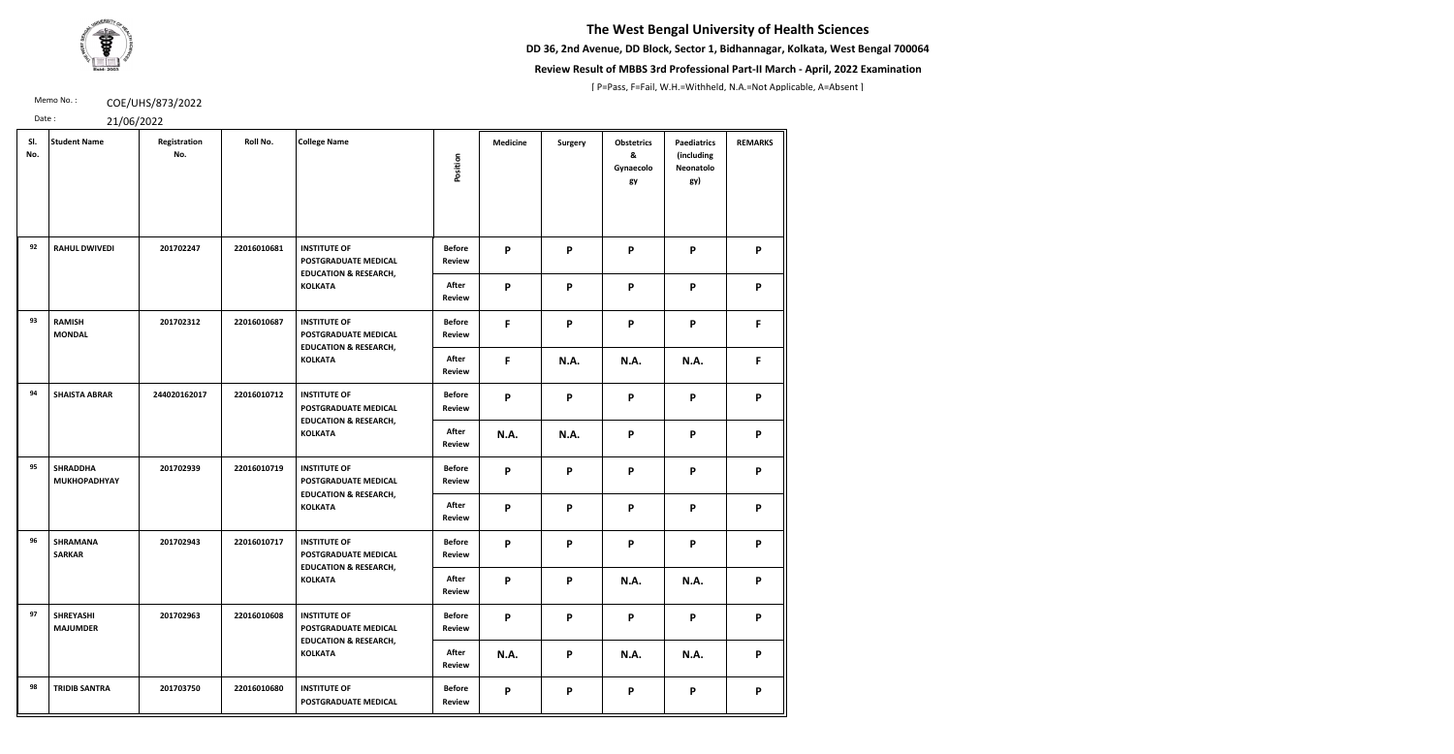**DD 36, 2nd Avenue, DD Block, Sector 1, Bidhannagar, Kolkata, West Bengal 700064**



### **Review Result of MBBS 3rd Professional Part-II March - April, 2022 Examination**

[ P=Pass, F=Fail, W.H.=Withheld, N.A.=Not Applicable, A=Absent ]

Memo No.: **COE/UHS/873/2022** 

| SI.<br>No. | <b>Student Name</b>                    | Registration<br>No. | Roll No.    | <b>College Name</b>                                                                    | Position                       | <b>Medicine</b> | <b>Surgery</b> | <b>Obstetrics</b><br>&<br>Gynaecolo<br>gy | <b>Paediatrics</b><br>(including<br>Neonatolo<br>gy) | <b>REMARKS</b> |
|------------|----------------------------------------|---------------------|-------------|----------------------------------------------------------------------------------------|--------------------------------|-----------------|----------------|-------------------------------------------|------------------------------------------------------|----------------|
| 92         | <b>RAHUL DWIVEDI</b>                   | 201702247           | 22016010681 | <b>INSTITUTE OF</b><br><b>POSTGRADUATE MEDICAL</b><br><b>EDUCATION &amp; RESEARCH,</b> | <b>Before</b><br><b>Review</b> | P               | P              | P                                         | P                                                    | P              |
|            |                                        |                     |             | <b>KOLKATA</b>                                                                         | After<br><b>Review</b>         | P               | $\mathsf{P}$   | P                                         | P                                                    | P              |
| 93         | <b>RAMISH</b><br><b>MONDAL</b>         | 201702312           | 22016010687 | <b>INSTITUTE OF</b><br><b>POSTGRADUATE MEDICAL</b><br><b>EDUCATION &amp; RESEARCH,</b> | <b>Before</b><br><b>Review</b> | F               | P              | P                                         | P                                                    | F.             |
|            |                                        |                     |             | <b>KOLKATA</b>                                                                         | After<br><b>Review</b>         | F               | <b>N.A.</b>    | <b>N.A.</b>                               | <b>N.A.</b>                                          | F.             |
| 94         | <b>SHAISTA ABRAR</b>                   | 244020162017        | 22016010712 | <b>INSTITUTE OF</b><br>POSTGRADUATE MEDICAL<br><b>EDUCATION &amp; RESEARCH,</b>        | <b>Before</b><br><b>Review</b> | P               | P              | P                                         | P                                                    | P              |
|            |                                        |                     |             | <b>KOLKATA</b>                                                                         | After<br><b>Review</b>         | <b>N.A.</b>     | <b>N.A.</b>    | P                                         | P                                                    | P              |
| 95         | <b>SHRADDHA</b><br><b>MUKHOPADHYAY</b> | 201702939           | 22016010719 | <b>INSTITUTE OF</b><br><b>POSTGRADUATE MEDICAL</b><br><b>EDUCATION &amp; RESEARCH,</b> | <b>Before</b><br><b>Review</b> | P               | $\mathsf{P}$   | P                                         | P                                                    | P              |
|            |                                        |                     |             | <b>KOLKATA</b>                                                                         | After<br><b>Review</b>         | P               | P              | P                                         | P                                                    | P              |
| 96         | <b>SHRAMANA</b><br><b>SARKAR</b>       | 201702943           | 22016010717 | <b>INSTITUTE OF</b><br>POSTGRADUATE MEDICAL<br><b>EDUCATION &amp; RESEARCH,</b>        | <b>Before</b><br><b>Review</b> | P               | P              | P                                         | P                                                    | P              |
|            |                                        |                     |             | <b>KOLKATA</b>                                                                         | After<br><b>Review</b>         | P               | P              | <b>N.A.</b>                               | <b>N.A.</b>                                          | P              |
| 97         | <b>SHREYASHI</b><br><b>MAJUMDER</b>    | 201702963           | 22016010608 | <b>INSTITUTE OF</b><br><b>POSTGRADUATE MEDICAL</b><br><b>EDUCATION &amp; RESEARCH,</b> | <b>Before</b><br><b>Review</b> | P               | P              | P                                         | P                                                    | P              |
|            |                                        |                     |             | <b>KOLKATA</b>                                                                         | After<br><b>Review</b>         | <b>N.A.</b>     | P              | <b>N.A.</b>                               | <b>N.A.</b>                                          | P              |
| 98         | <b>TRIDIB SANTRA</b>                   | 201703750           | 22016010680 | <b>INSTITUTE OF</b><br>POSTGRADUATE MEDICAL                                            | <b>Before</b><br><b>Review</b> | P               | P              | P                                         | P                                                    | P              |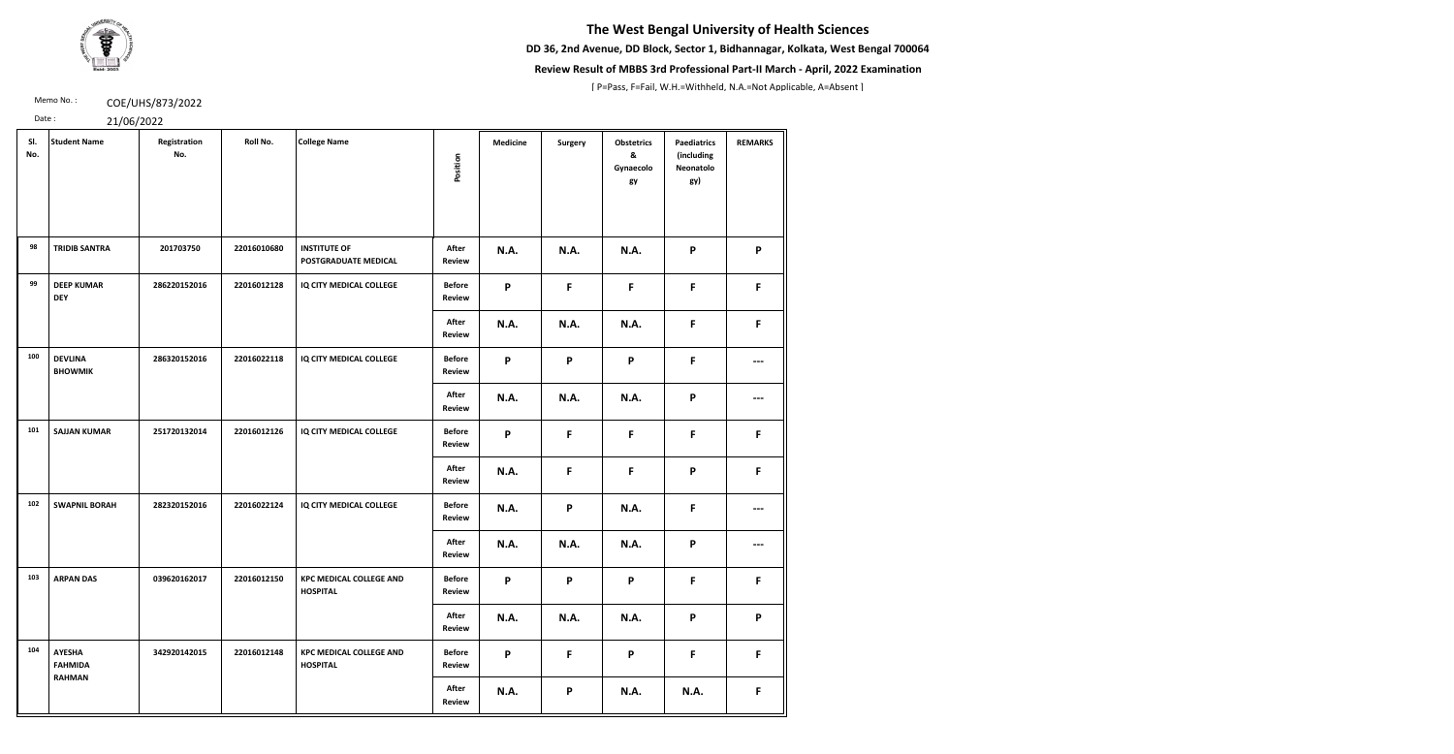**DD 36, 2nd Avenue, DD Block, Sector 1, Bidhannagar, Kolkata, West Bengal 700064**



### **Review Result of MBBS 3rd Professional Part-II March - April, 2022 Examination**

[ P=Pass, F=Fail, W.H.=Withheld, N.A.=Not Applicable, A=Absent ]

Memo No.: **COE/UHS/873/2022** 

| SI.<br>No. | <b>Student Name</b>                              | Registration<br>No. | Roll No.    | <b>College Name</b>                                | Position                       | <b>Medicine</b> | <b>Surgery</b> | <b>Obstetrics</b><br>&<br>Gynaecolo<br>gy | <b>Paediatrics</b><br>(including<br>Neonatolo<br>gy) | <b>REMARKS</b> |
|------------|--------------------------------------------------|---------------------|-------------|----------------------------------------------------|--------------------------------|-----------------|----------------|-------------------------------------------|------------------------------------------------------|----------------|
| 98         | <b>TRIDIB SANTRA</b>                             | 201703750           | 22016010680 | <b>INSTITUTE OF</b><br><b>POSTGRADUATE MEDICAL</b> | After<br><b>Review</b>         | <b>N.A.</b>     | <b>N.A.</b>    | <b>N.A.</b>                               | P                                                    | P              |
| 99         | <b>DEEP KUMAR</b><br><b>DEY</b>                  | 286220152016        | 22016012128 | IQ CITY MEDICAL COLLEGE                            | <b>Before</b><br><b>Review</b> | P               | F              | F                                         | F                                                    | F              |
|            |                                                  |                     |             |                                                    | <b>After</b><br>Review         | <b>N.A.</b>     | <b>N.A.</b>    | <b>N.A.</b>                               | F                                                    | F              |
| 100        | <b>DEVLINA</b><br><b>BHOWMIK</b>                 | 286320152016        | 22016022118 | IQ CITY MEDICAL COLLEGE                            | <b>Before</b><br><b>Review</b> | P               | P              | P                                         | F                                                    | ---            |
|            |                                                  |                     |             |                                                    | After<br>Review                | <b>N.A.</b>     | <b>N.A.</b>    | <b>N.A.</b>                               | P                                                    | ---            |
| 101        | <b>SAJJAN KUMAR</b>                              | 251720132014        | 22016012126 | IQ CITY MEDICAL COLLEGE                            | <b>Before</b><br><b>Review</b> | P               | $\mathsf F$    | F                                         | F                                                    | F.             |
|            |                                                  |                     |             |                                                    | After<br>Review                | <b>N.A.</b>     | F              | F                                         | P                                                    | F.             |
| 102        | <b>SWAPNIL BORAH</b>                             | 282320152016        | 22016022124 | IQ CITY MEDICAL COLLEGE                            | <b>Before</b><br><b>Review</b> | N.A.            | P              | <b>N.A.</b>                               | F                                                    | ---            |
|            |                                                  |                     |             |                                                    | After<br><b>Review</b>         | N.A.            | <b>N.A.</b>    | <b>N.A.</b>                               | P                                                    | ---            |
| 103        | <b>ARPAN DAS</b>                                 | 039620162017        | 22016012150 | <b>KPC MEDICAL COLLEGE AND</b><br><b>HOSPITAL</b>  | <b>Before</b><br><b>Review</b> | P               | P              | P                                         | F                                                    | F              |
|            |                                                  |                     |             |                                                    | After<br><b>Review</b>         | <b>N.A.</b>     | <b>N.A.</b>    | <b>N.A.</b>                               | P                                                    | P              |
| 104        | <b>AYESHA</b><br><b>FAHMIDA</b><br><b>RAHMAN</b> | 342920142015        | 22016012148 | <b>KPC MEDICAL COLLEGE AND</b><br><b>HOSPITAL</b>  | <b>Before</b><br><b>Review</b> | P               | F              | P                                         | F                                                    | F.             |
|            |                                                  |                     |             |                                                    | After<br>Review                | <b>N.A.</b>     | P              | <b>N.A.</b>                               | <b>N.A.</b>                                          | F.             |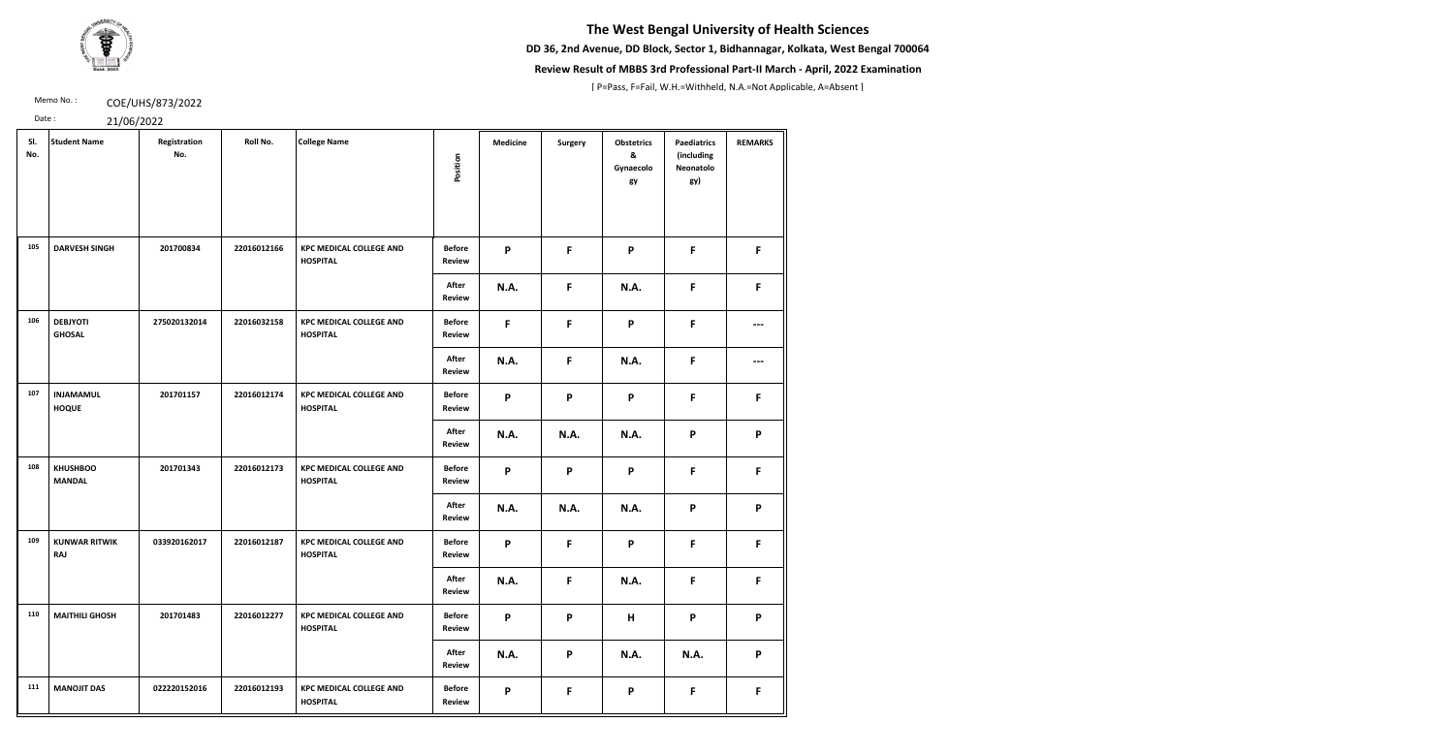**DD 36, 2nd Avenue, DD Block, Sector 1, Bidhannagar, Kolkata, West Bengal 700064**



### **Review Result of MBBS 3rd Professional Part-II March - April, 2022 Examination**

[ P=Pass, F=Fail, W.H.=Withheld, N.A.=Not Applicable, A=Absent ]

Memo No.: **COE/UHS/873/2022** 

| SI.<br>No. | <b>Student Name</b>                | Registration<br>No. | Roll No.    | <b>College Name</b>                               |                                | <b>Medicine</b> | Surgery                   | <b>Obstetrics</b><br>& | <b>Paediatrics</b><br>(including | <b>REMARKS</b> |
|------------|------------------------------------|---------------------|-------------|---------------------------------------------------|--------------------------------|-----------------|---------------------------|------------------------|----------------------------------|----------------|
|            |                                    |                     |             |                                                   | Position                       |                 |                           | Gynaecolo<br>gy        | Neonatolo<br>gy)                 |                |
| 105        | <b>DARVESH SINGH</b>               | 201700834           | 22016012166 | <b>KPC MEDICAL COLLEGE AND</b><br><b>HOSPITAL</b> | <b>Before</b><br>Review        | P               | F                         | P                      | F                                | F.             |
|            |                                    |                     |             |                                                   | After<br><b>Review</b>         | N.A.            | F                         | <b>N.A.</b>            | F                                | F              |
| 106        | <b>DEBJYOTI</b><br><b>GHOSAL</b>   | 275020132014        | 22016032158 | <b>KPC MEDICAL COLLEGE AND</b><br><b>HOSPITAL</b> | <b>Before</b><br><b>Review</b> | F               | F                         | P                      | F                                | ---            |
|            |                                    |                     |             |                                                   | After<br><b>Review</b>         | N.A.            | F                         | <b>N.A.</b>            | F                                | ---            |
| 107        | <b>INJAMAMUL</b><br><b>HOQUE</b>   | 201701157           | 22016012174 | <b>KPC MEDICAL COLLEGE AND</b><br><b>HOSPITAL</b> | <b>Before</b><br><b>Review</b> | P               | P                         | P                      | F                                | F              |
|            |                                    |                     |             |                                                   | After<br>Review                | N.A.            | <b>N.A.</b>               | <b>N.A.</b>            | P                                | P              |
| 108        | <b>KHUSHBOO</b><br><b>MANDAL</b>   | 201701343           | 22016012173 | <b>KPC MEDICAL COLLEGE AND</b><br><b>HOSPITAL</b> | <b>Before</b><br><b>Review</b> | P               | $\boldsymbol{\mathsf{P}}$ | P                      | $\mathsf F$                      | F              |
|            |                                    |                     |             |                                                   | After<br><b>Review</b>         | <b>N.A.</b>     | <b>N.A.</b>               | <b>N.A.</b>            | P                                | P              |
| 109        | <b>KUNWAR RITWIK</b><br><b>RAJ</b> | 033920162017        | 22016012187 | <b>KPC MEDICAL COLLEGE AND</b><br><b>HOSPITAL</b> | <b>Before</b><br><b>Review</b> | P               | F                         | P                      | F                                | F              |
|            |                                    |                     |             |                                                   | After<br><b>Review</b>         | N.A.            | F                         | N.A.                   | F                                | F.             |
| 110        | <b>MAITHILI GHOSH</b>              | 201701483           | 22016012277 | <b>KPC MEDICAL COLLEGE AND</b><br><b>HOSPITAL</b> | <b>Before</b><br><b>Review</b> | P               | P                         | H                      | P                                | P              |
|            |                                    |                     |             |                                                   | After<br><b>Review</b>         | N.A.            | P                         | <b>N.A.</b>            | <b>N.A.</b>                      | P              |
| 111        | <b>MANOJIT DAS</b>                 | 022220152016        | 22016012193 | <b>KPC MEDICAL COLLEGE AND</b><br><b>HOSPITAL</b> | <b>Before</b><br><b>Review</b> | P               | F.                        | P                      | F.                               | F.             |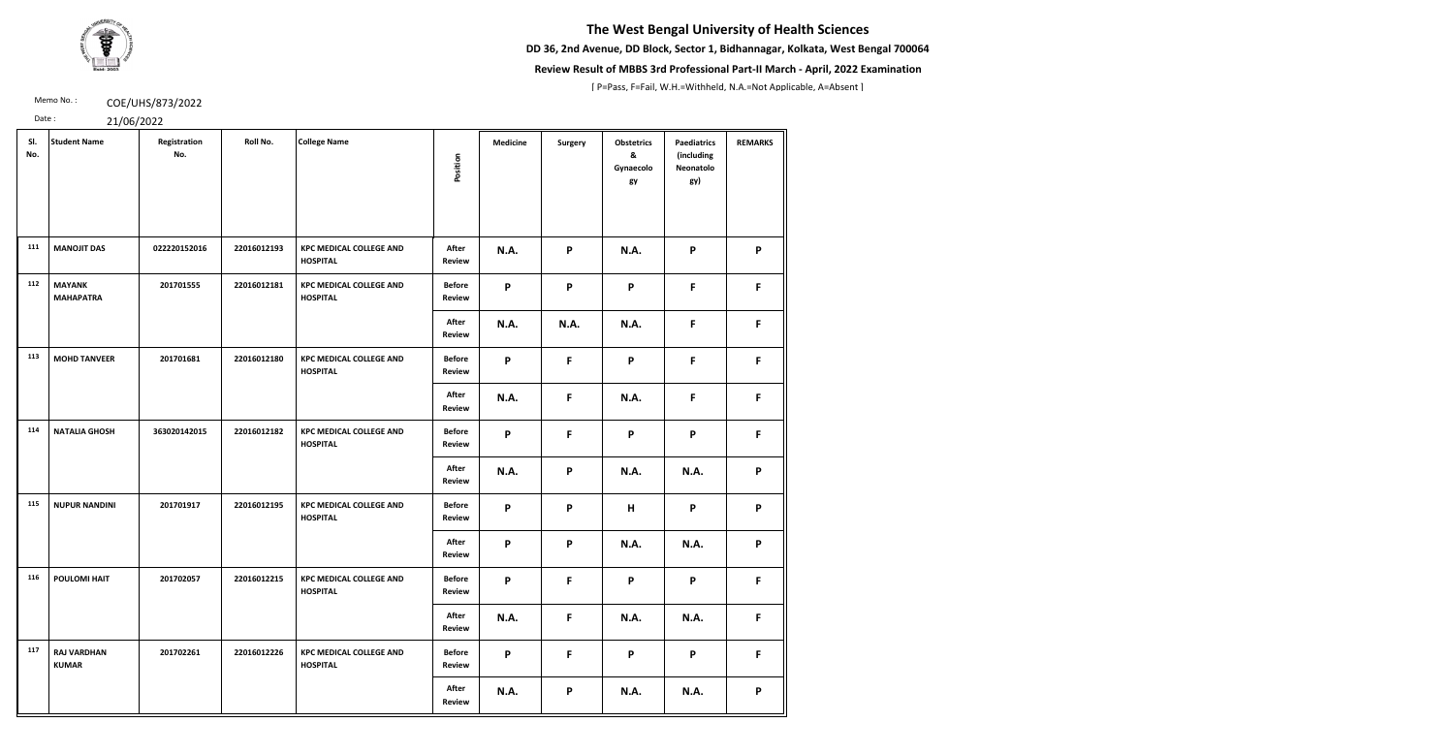**DD 36, 2nd Avenue, DD Block, Sector 1, Bidhannagar, Kolkata, West Bengal 700064**



### **Review Result of MBBS 3rd Professional Part-II March - April, 2022 Examination**

[ P=Pass, F=Fail, W.H.=Withheld, N.A.=Not Applicable, A=Absent ]

Memo No.: **COE/UHS/873/2022** 

| SI.<br>No. | <b>Student Name</b>                | Registration<br>No. | Roll No.    | <b>College Name</b>                               | Position                       | <b>Medicine</b> | <b>Surgery</b> | <b>Obstetrics</b><br>&<br>Gynaecolo<br>gy | <b>Paediatrics</b><br>(including<br>Neonatolo<br>gy) | <b>REMARKS</b> |
|------------|------------------------------------|---------------------|-------------|---------------------------------------------------|--------------------------------|-----------------|----------------|-------------------------------------------|------------------------------------------------------|----------------|
| 111        | <b>MANOJIT DAS</b>                 | 022220152016        | 22016012193 | <b>KPC MEDICAL COLLEGE AND</b><br><b>HOSPITAL</b> | After<br><b>Review</b>         | <b>N.A.</b>     | P              | <b>N.A.</b>                               | P                                                    | P              |
| 112        | <b>MAYANK</b><br><b>MAHAPATRA</b>  | 201701555           | 22016012181 | <b>KPC MEDICAL COLLEGE AND</b><br><b>HOSPITAL</b> | <b>Before</b><br><b>Review</b> | P               | P              | P                                         | F.                                                   | F              |
|            |                                    |                     |             |                                                   | After<br><b>Review</b>         | <b>N.A.</b>     | <b>N.A.</b>    | N.A.                                      | F.                                                   | F              |
| 113        | <b>MOHD TANVEER</b>                | 201701681           | 22016012180 | <b>KPC MEDICAL COLLEGE AND</b><br><b>HOSPITAL</b> | <b>Before</b><br><b>Review</b> | P               | F              | P                                         | F.                                                   | F              |
|            |                                    |                     |             |                                                   | After<br><b>Review</b>         | <b>N.A.</b>     | F              | N.A.                                      | F.                                                   | F              |
| 114        | <b>NATALIA GHOSH</b>               | 363020142015        | 22016012182 | <b>KPC MEDICAL COLLEGE AND</b><br><b>HOSPITAL</b> | <b>Before</b><br><b>Review</b> | P               | F              | P                                         | P                                                    | F              |
|            |                                    |                     |             |                                                   | After<br><b>Review</b>         | <b>N.A.</b>     | P              | <b>N.A.</b>                               | N.A.                                                 | P              |
| 115        | <b>NUPUR NANDINI</b>               | 201701917           | 22016012195 | <b>KPC MEDICAL COLLEGE AND</b><br><b>HOSPITAL</b> | <b>Before</b><br><b>Review</b> | P               | P              | H                                         | P                                                    | P              |
|            |                                    |                     |             |                                                   | After<br><b>Review</b>         | P               | P              | N.A.                                      | N.A.                                                 | P              |
| 116        | <b>POULOMI HAIT</b>                | 201702057           | 22016012215 | <b>KPC MEDICAL COLLEGE AND</b><br><b>HOSPITAL</b> | <b>Before</b><br><b>Review</b> | P               | F              | P                                         | P                                                    | F              |
|            |                                    |                     |             |                                                   | After<br><b>Review</b>         | <b>N.A.</b>     | F              | <b>N.A.</b>                               | <b>N.A.</b>                                          | F.             |
| 117        | <b>RAJ VARDHAN</b><br><b>KUMAR</b> | 201702261           | 22016012226 | <b>KPC MEDICAL COLLEGE AND</b><br><b>HOSPITAL</b> | <b>Before</b><br><b>Review</b> | P               | $\mathsf{F}$   | P                                         | P                                                    | F              |
|            |                                    |                     |             |                                                   | After<br><b>Review</b>         | <b>N.A.</b>     | P              | <b>N.A.</b>                               | <b>N.A.</b>                                          | P              |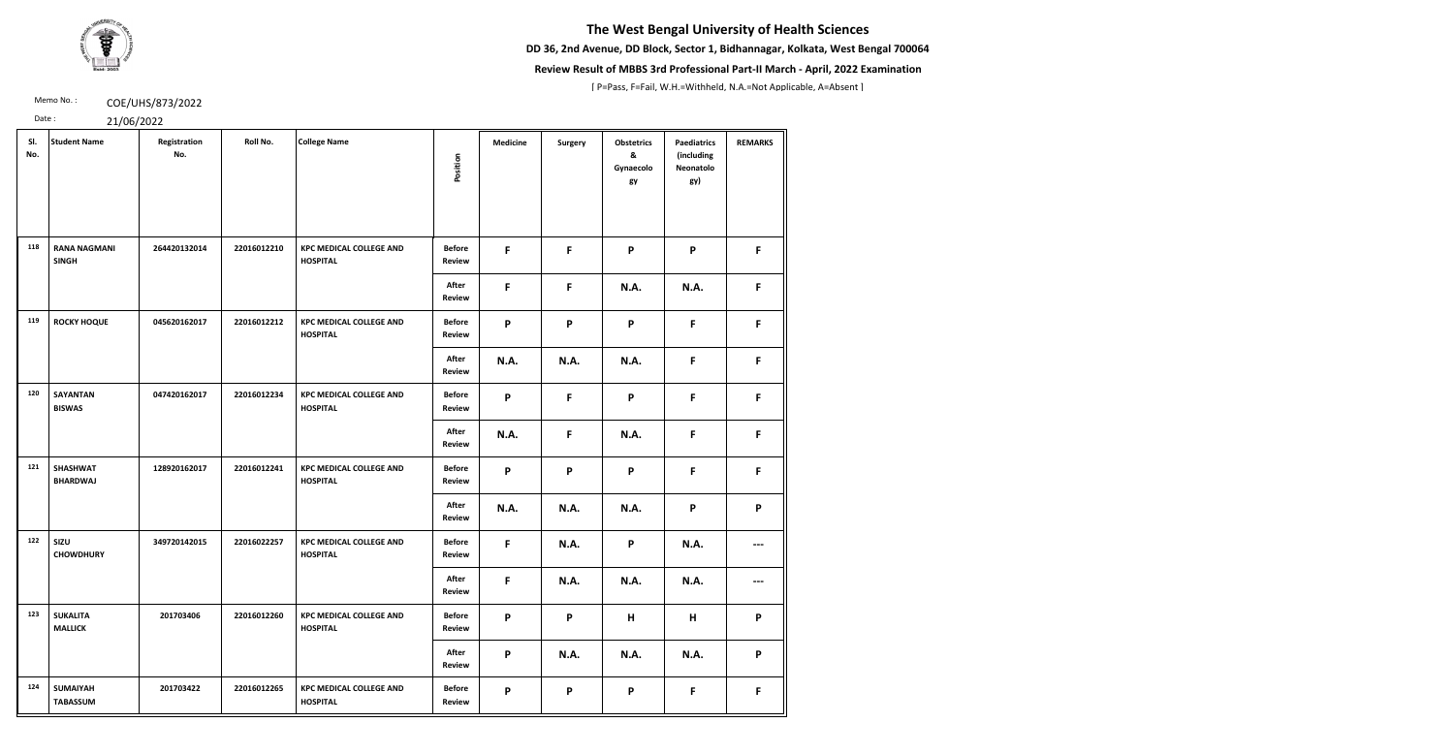**DD 36, 2nd Avenue, DD Block, Sector 1, Bidhannagar, Kolkata, West Bengal 700064**



### **Review Result of MBBS 3rd Professional Part-II March - April, 2022 Examination**

[ P=Pass, F=Fail, W.H.=Withheld, N.A.=Not Applicable, A=Absent ]

Memo No.: **COE/UHS/873/2022** 

| SI.<br>No. | <b>Student Name</b>                 | Registration<br>No. | Roll No.    | <b>College Name</b>                               | Position                       | <b>Medicine</b> | <b>Surgery</b> | <b>Obstetrics</b><br>&<br>Gynaecolo<br>gy | <b>Paediatrics</b><br>(including<br>Neonatolo<br>gy) | <b>REMARKS</b> |
|------------|-------------------------------------|---------------------|-------------|---------------------------------------------------|--------------------------------|-----------------|----------------|-------------------------------------------|------------------------------------------------------|----------------|
| 118        | <b>RANA NAGMANI</b><br><b>SINGH</b> | 264420132014        | 22016012210 | <b>KPC MEDICAL COLLEGE AND</b><br><b>HOSPITAL</b> | <b>Before</b><br><b>Review</b> | F.              | F              | P                                         | P                                                    | F.             |
|            |                                     |                     |             |                                                   | After<br><b>Review</b>         | $\mathsf{F}$    | F              | <b>N.A.</b>                               | N.A.                                                 | F              |
| 119        | <b>ROCKY HOQUE</b>                  | 045620162017        | 22016012212 | <b>KPC MEDICAL COLLEGE AND</b><br><b>HOSPITAL</b> | <b>Before</b><br>Review        | P               | P              | P                                         | F                                                    | F.             |
|            |                                     |                     |             |                                                   | After<br><b>Review</b>         | <b>N.A.</b>     | <b>N.A.</b>    | <b>N.A.</b>                               | F                                                    | F.             |
| 120        | <b>SAYANTAN</b><br><b>BISWAS</b>    | 047420162017        | 22016012234 | <b>KPC MEDICAL COLLEGE AND</b><br><b>HOSPITAL</b> | <b>Before</b><br><b>Review</b> | P               | F              | P                                         | F                                                    | F              |
|            |                                     |                     |             |                                                   | After<br><b>Review</b>         | <b>N.A.</b>     | F              | <b>N.A.</b>                               | F                                                    | F              |
| 121        | <b>SHASHWAT</b><br><b>BHARDWAJ</b>  | 128920162017        | 22016012241 | <b>KPC MEDICAL COLLEGE AND</b><br><b>HOSPITAL</b> | <b>Before</b><br><b>Review</b> | P               | P              | P                                         | F                                                    | F              |
|            |                                     |                     |             |                                                   | After<br>Review                | <b>N.A.</b>     | <b>N.A.</b>    | <b>N.A.</b>                               | P                                                    | P              |
| 122        | SIZU<br><b>CHOWDHURY</b>            | 349720142015        | 22016022257 | <b>KPC MEDICAL COLLEGE AND</b><br><b>HOSPITAL</b> | <b>Before</b><br><b>Review</b> | F               | <b>N.A.</b>    | P                                         | <b>N.A.</b>                                          | ---            |
|            |                                     |                     |             |                                                   | After<br><b>Review</b>         | F.              | <b>N.A.</b>    | <b>N.A.</b>                               | <b>N.A.</b>                                          | ---            |
| 123        | <b>SUKALITA</b><br><b>MALLICK</b>   | 201703406           | 22016012260 | <b>KPC MEDICAL COLLEGE AND</b><br><b>HOSPITAL</b> | <b>Before</b><br><b>Review</b> | P               | $\mathsf{P}$   | H                                         | H                                                    | P              |
|            |                                     |                     |             |                                                   | After<br><b>Review</b>         | P               | <b>N.A.</b>    | <b>N.A.</b>                               | <b>N.A.</b>                                          | P              |
| 124        | <b>SUMAIYAH</b><br><b>TABASSUM</b>  | 201703422           | 22016012265 | <b>KPC MEDICAL COLLEGE AND</b><br><b>HOSPITAL</b> | <b>Before</b><br><b>Review</b> | P               | P              | P                                         | F                                                    | F              |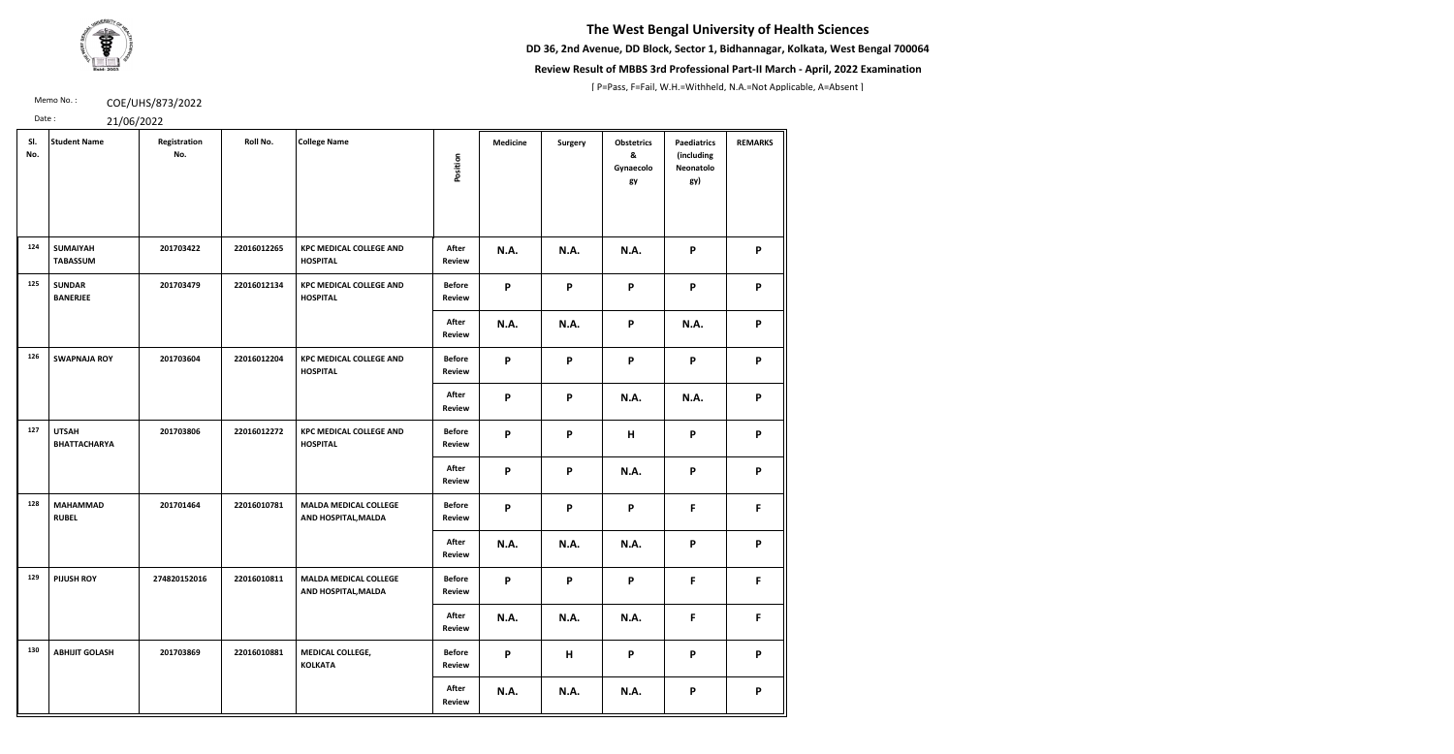**DD 36, 2nd Avenue, DD Block, Sector 1, Bidhannagar, Kolkata, West Bengal 700064**



### **Review Result of MBBS 3rd Professional Part-II March - April, 2022 Examination**

[ P=Pass, F=Fail, W.H.=Withheld, N.A.=Not Applicable, A=Absent ]

Memo No.: **COE/UHS/873/2022** 

| SI.<br>No. | <b>Student Name</b>                 | Registration<br>No. | Roll No.    | <b>College Name</b>                                 | Position                       | <b>Medicine</b>           | <b>Surgery</b> | <b>Obstetrics</b><br>&<br>Gynaecolo<br>gy | <b>Paediatrics</b><br>(including<br>Neonatolo<br>gy) | <b>REMARKS</b> |
|------------|-------------------------------------|---------------------|-------------|-----------------------------------------------------|--------------------------------|---------------------------|----------------|-------------------------------------------|------------------------------------------------------|----------------|
| 124        | <b>SUMAIYAH</b><br><b>TABASSUM</b>  | 201703422           | 22016012265 | <b>KPC MEDICAL COLLEGE AND</b><br><b>HOSPITAL</b>   | After<br><b>Review</b>         | N.A.                      | <b>N.A.</b>    | <b>N.A.</b>                               | P                                                    | P              |
| 125        | <b>SUNDAR</b><br><b>BANERJEE</b>    | 201703479           | 22016012134 | <b>KPC MEDICAL COLLEGE AND</b><br><b>HOSPITAL</b>   | <b>Before</b><br><b>Review</b> | P                         | P              | P                                         | P                                                    | P              |
|            |                                     |                     |             |                                                     | After<br><b>Review</b>         | <b>N.A.</b>               | <b>N.A.</b>    | P                                         | N.A.                                                 | P              |
| 126        | <b>SWAPNAJA ROY</b>                 | 201703604           | 22016012204 | <b>KPC MEDICAL COLLEGE AND</b><br><b>HOSPITAL</b>   | <b>Before</b><br><b>Review</b> | P                         | P              | P                                         | P                                                    | P              |
|            |                                     |                     |             |                                                     | After<br><b>Review</b>         | P                         | P              | <b>N.A.</b>                               | N.A.                                                 | P              |
| 127        | <b>UTSAH</b><br><b>BHATTACHARYA</b> | 201703806           | 22016012272 | <b>KPC MEDICAL COLLEGE AND</b><br><b>HOSPITAL</b>   | <b>Before</b><br><b>Review</b> | P                         | P              | H                                         | P                                                    | P              |
|            |                                     |                     |             |                                                     | After<br><b>Review</b>         | P                         | P              | N.A.                                      | P                                                    | P              |
| 128        | <b>MAHAMMAD</b><br><b>RUBEL</b>     | 201701464           | 22016010781 | <b>MALDA MEDICAL COLLEGE</b><br>AND HOSPITAL, MALDA | <b>Before</b><br><b>Review</b> | P                         | P              | P                                         | F                                                    | F              |
|            |                                     |                     |             |                                                     | After<br><b>Review</b>         | N.A.                      | <b>N.A.</b>    | <b>N.A.</b>                               | P                                                    | P              |
| 129        | <b>PIJUSH ROY</b>                   | 274820152016        | 22016010811 | <b>MALDA MEDICAL COLLEGE</b><br>AND HOSPITAL, MALDA | <b>Before</b><br><b>Review</b> | P                         | P              | P                                         | $\mathsf F$                                          | F              |
|            |                                     |                     |             |                                                     | After<br><b>Review</b>         | N.A.                      | <b>N.A.</b>    | <b>N.A.</b>                               | F                                                    | F              |
| 130        | <b>ABHIJIT GOLASH</b>               | 201703869           | 22016010881 | MEDICAL COLLEGE,<br><b>KOLKATA</b>                  | <b>Before</b><br><b>Review</b> | $\boldsymbol{\mathsf{P}}$ | H              | P                                         | $\mathsf{P}$                                         | P              |
|            |                                     |                     |             |                                                     | After<br><b>Review</b>         | N.A.                      | <b>N.A.</b>    | <b>N.A.</b>                               | P                                                    | P              |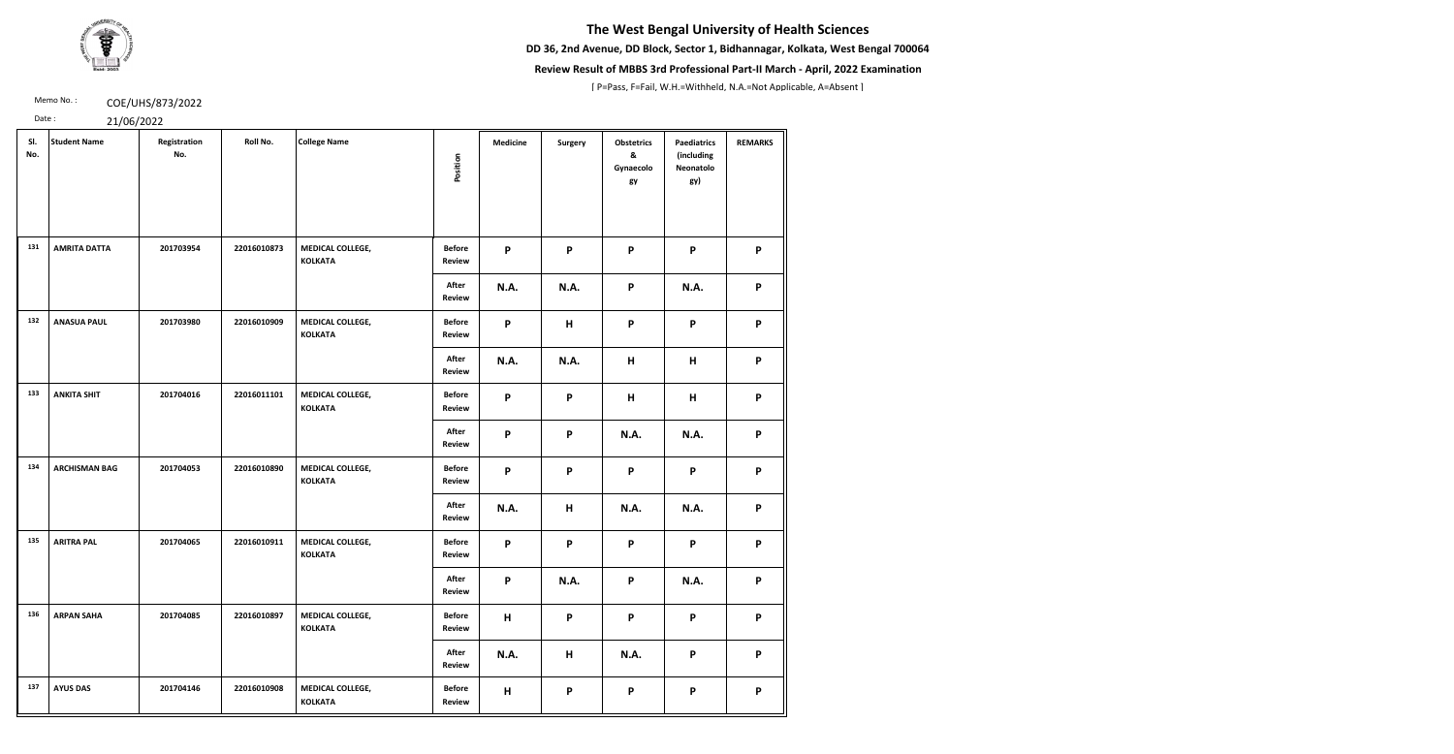**DD 36, 2nd Avenue, DD Block, Sector 1, Bidhannagar, Kolkata, West Bengal 700064**



### **Review Result of MBBS 3rd Professional Part-II March - April, 2022 Examination**

[ P=Pass, F=Fail, W.H.=Withheld, N.A.=Not Applicable, A=Absent ]

Memo No.: **COE/UHS/873/2022** 

| SI.<br>No. | <b>Student Name</b>  | Registration<br>No. | Roll No.    | <b>College Name</b>                | Position                       | <b>Medicine</b> | Surgery     | <b>Obstetrics</b><br>&<br>Gynaecolo<br>gy | <b>Paediatrics</b><br>(including<br>Neonatolo<br>gy) | <b>REMARKS</b> |
|------------|----------------------|---------------------|-------------|------------------------------------|--------------------------------|-----------------|-------------|-------------------------------------------|------------------------------------------------------|----------------|
| 131        | <b>AMRITA DATTA</b>  | 201703954           | 22016010873 | MEDICAL COLLEGE,<br><b>KOLKATA</b> | <b>Before</b><br><b>Review</b> | P               | P           | P                                         | P                                                    | P              |
|            |                      |                     |             |                                    | After<br><b>Review</b>         | <b>N.A.</b>     | <b>N.A.</b> | P                                         | N.A.                                                 | P              |
| 132        | <b>ANASUA PAUL</b>   | 201703980           | 22016010909 | MEDICAL COLLEGE,<br><b>KOLKATA</b> | <b>Before</b><br><b>Review</b> | P               | $\mathsf H$ | P                                         | $\mathsf{P}$                                         | P              |
|            |                      |                     |             |                                    | After<br><b>Review</b>         | <b>N.A.</b>     | <b>N.A.</b> | H                                         | H                                                    | P              |
| 133        | <b>ANKITA SHIT</b>   | 201704016           | 22016011101 | MEDICAL COLLEGE,<br><b>KOLKATA</b> | <b>Before</b><br>Review        | P               | P           | H                                         | H                                                    | P              |
|            |                      |                     |             |                                    | After<br><b>Review</b>         | P               | P           | <b>N.A.</b>                               | N.A.                                                 | P              |
| 134        | <b>ARCHISMAN BAG</b> | 201704053           | 22016010890 | MEDICAL COLLEGE,<br><b>KOLKATA</b> | <b>Before</b><br><b>Review</b> | P               | P           | P                                         | P                                                    | P              |
|            |                      |                     |             |                                    | After<br><b>Review</b>         | <b>N.A.</b>     | H           | N.A.                                      | <b>N.A.</b>                                          | P              |
| 135        | <b>ARITRA PAL</b>    | 201704065           | 22016010911 | MEDICAL COLLEGE,<br><b>KOLKATA</b> | <b>Before</b><br><b>Review</b> | P               | P           | P                                         | P                                                    | P              |
|            |                      |                     |             |                                    | After<br><b>Review</b>         | P               | <b>N.A.</b> | P                                         | <b>N.A.</b>                                          | P              |
| 136        | <b>ARPAN SAHA</b>    | 201704085           | 22016010897 | MEDICAL COLLEGE,<br><b>KOLKATA</b> | <b>Before</b><br><b>Review</b> | H               | P           | P                                         | P                                                    | P              |
|            |                      |                     |             |                                    | After<br><b>Review</b>         | <b>N.A.</b>     | Н           | <b>N.A.</b>                               | $\mathsf{P}$                                         | P              |
| 137        | <b>AYUS DAS</b>      | 201704146           | 22016010908 | MEDICAL COLLEGE,<br><b>KOLKATA</b> | <b>Before</b><br><b>Review</b> | H               | P           | P                                         | P                                                    | P              |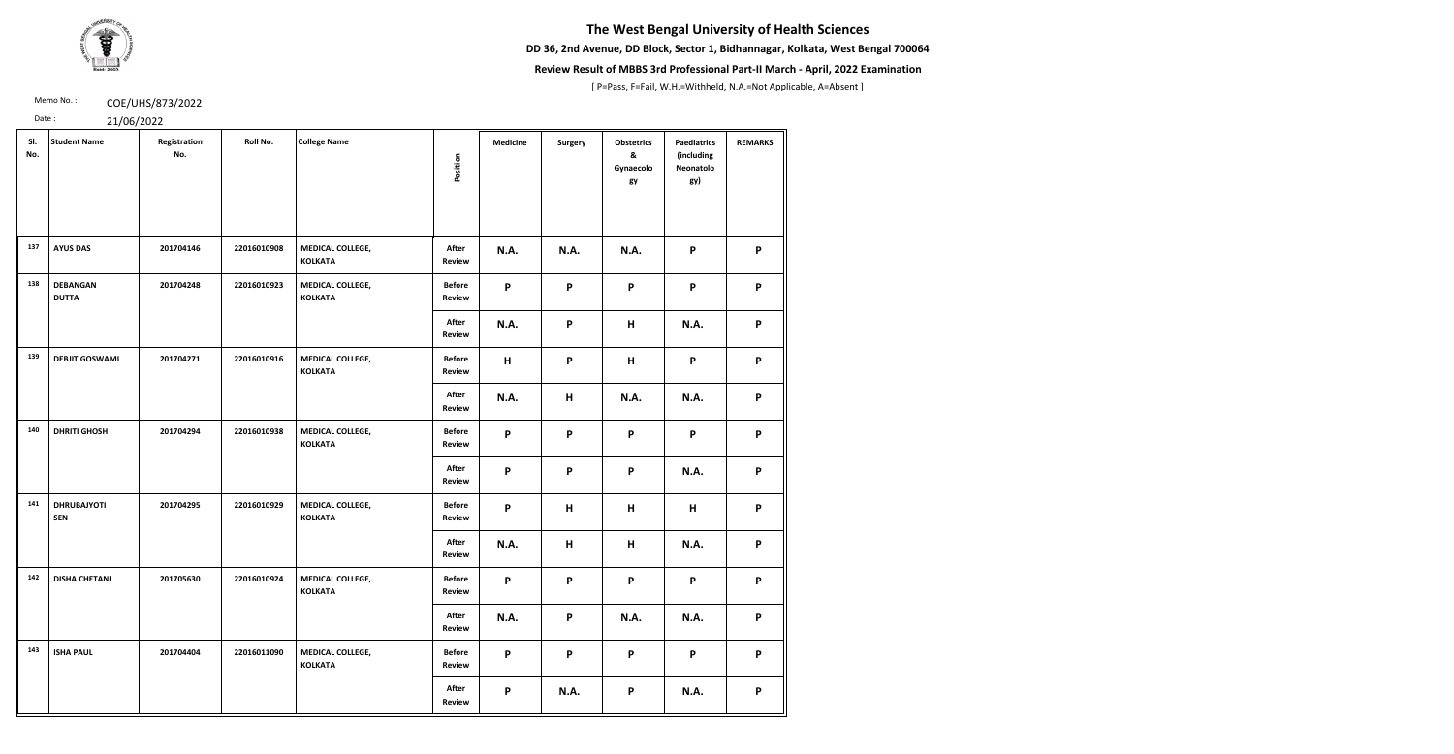**DD 36, 2nd Avenue, DD Block, Sector 1, Bidhannagar, Kolkata, West Bengal 700064**



### **Review Result of MBBS 3rd Professional Part-II March - April, 2022 Examination**

[ P=Pass, F=Fail, W.H.=Withheld, N.A.=Not Applicable, A=Absent ]

Memo No.: **COE/UHS/873/2022** 

| SI.<br>No. | <b>Student Name</b>              | Registration<br>No. | Roll No.    | <b>College Name</b>                | Position                       | <b>Medicine</b>           | <b>Surgery</b>            | <b>Obstetrics</b><br>&<br>Gynaecolo<br>gy | <b>Paediatrics</b><br>(including<br>Neonatolo<br>gy) | <b>REMARKS</b> |
|------------|----------------------------------|---------------------|-------------|------------------------------------|--------------------------------|---------------------------|---------------------------|-------------------------------------------|------------------------------------------------------|----------------|
| 137        | <b>AYUS DAS</b>                  | 201704146           | 22016010908 | MEDICAL COLLEGE,<br><b>KOLKATA</b> | After<br><b>Review</b>         | N.A.                      | <b>N.A.</b>               | <b>N.A.</b>                               | P                                                    | P              |
| 138        | <b>DEBANGAN</b><br><b>DUTTA</b>  | 201704248           | 22016010923 | MEDICAL COLLEGE,<br><b>KOLKATA</b> | <b>Before</b><br><b>Review</b> | P                         | $\boldsymbol{\mathsf{P}}$ | $\mathsf{P}$                              | P                                                    | P              |
|            |                                  |                     |             |                                    | After<br><b>Review</b>         | <b>N.A.</b>               | P                         | H                                         | N.A.                                                 | P              |
| 139        | <b>DEBJIT GOSWAMI</b>            | 201704271           | 22016010916 | MEDICAL COLLEGE,<br><b>KOLKATA</b> | <b>Before</b><br><b>Review</b> | H                         | P                         | H                                         | P                                                    | P              |
|            |                                  |                     |             |                                    | After<br><b>Review</b>         | N.A.                      | H                         | <b>N.A.</b>                               | N.A.                                                 | P              |
| 140        | <b>DHRITI GHOSH</b>              | 201704294           | 22016010938 | MEDICAL COLLEGE,<br><b>KOLKATA</b> | <b>Before</b><br><b>Review</b> | P                         | P                         | P                                         | P                                                    | P              |
|            |                                  |                     |             |                                    | After<br>Review                | $\mathsf{P}$              | P                         | P                                         | N.A.                                                 | P              |
| 141        | <b>DHRUBAJYOTI</b><br><b>SEN</b> | 201704295           | 22016010929 | MEDICAL COLLEGE,<br><b>KOLKATA</b> | <b>Before</b><br><b>Review</b> | $\boldsymbol{\mathsf{P}}$ | H                         | H                                         | H                                                    | P              |
|            |                                  |                     |             |                                    | After<br>Review                | N.A.                      | H                         | H                                         | N.A.                                                 | P              |
| 142        | <b>DISHA CHETANI</b>             | 201705630           | 22016010924 | MEDICAL COLLEGE,<br><b>KOLKATA</b> | <b>Before</b><br><b>Review</b> | P                         | P                         | P                                         | P                                                    | P              |
|            |                                  |                     |             |                                    | After<br><b>Review</b>         | N.A.                      | P                         | <b>N.A.</b>                               | N.A.                                                 | P              |
| 143        | <b>ISHA PAUL</b>                 | 201704404           | 22016011090 | MEDICAL COLLEGE,<br><b>KOLKATA</b> | <b>Before</b><br><b>Review</b> | P                         | P                         | P                                         | P                                                    | P              |
|            |                                  |                     |             |                                    | After<br><b>Review</b>         | P                         | <b>N.A.</b>               | P                                         | N.A.                                                 | P              |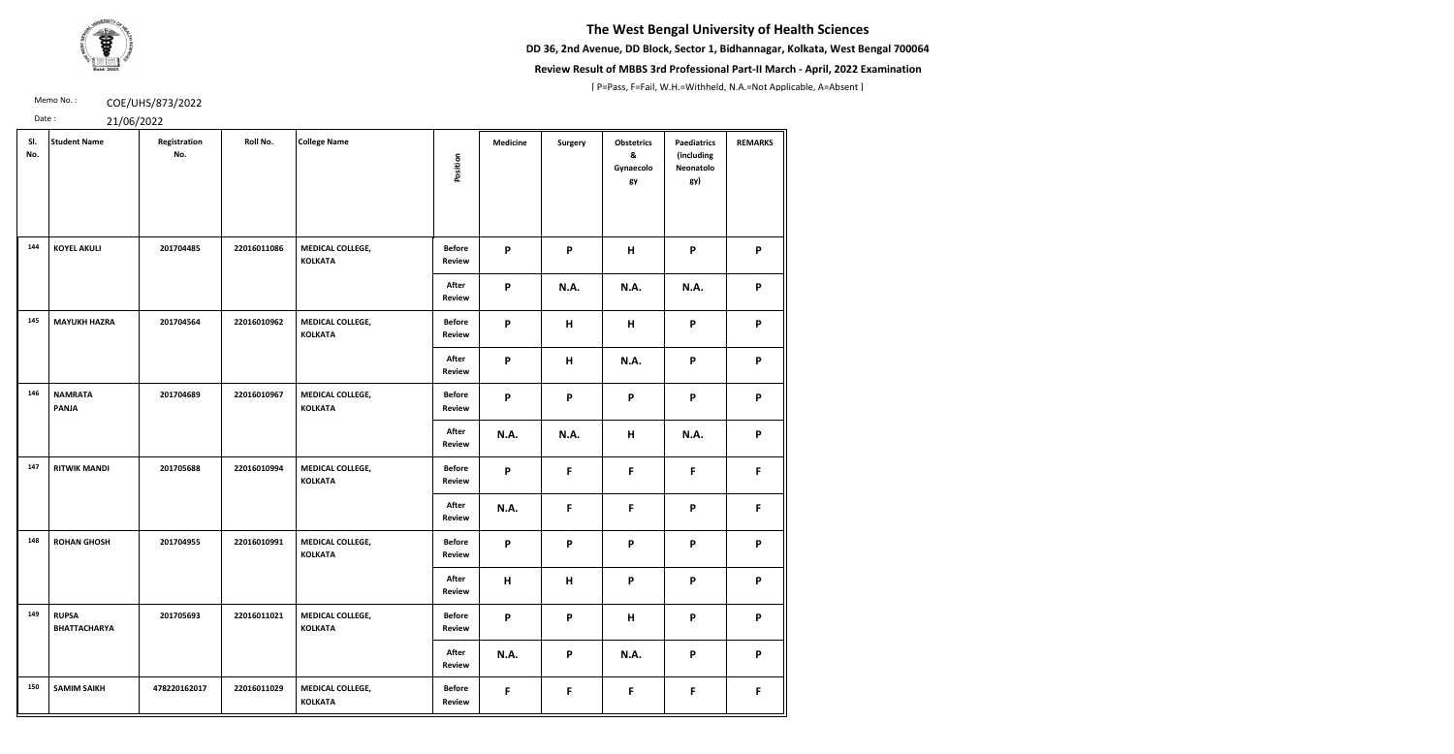**DD 36, 2nd Avenue, DD Block, Sector 1, Bidhannagar, Kolkata, West Bengal 700064**



### **Review Result of MBBS 3rd Professional Part-II March - April, 2022 Examination**

[ P=Pass, F=Fail, W.H.=Withheld, N.A.=Not Applicable, A=Absent ]

Memo No.: **COE/UHS/873/2022** 

| SI.<br>No. | <b>Student Name</b>                 | Registration<br>No. | Roll No.    | <b>College Name</b>                | Position                       | <b>Medicine</b>           | <b>Surgery</b> | <b>Obstetrics</b><br>&<br>Gynaecolo<br>gy | <b>Paediatrics</b><br>(including<br>Neonatolo<br>gy) | <b>REMARKS</b>            |
|------------|-------------------------------------|---------------------|-------------|------------------------------------|--------------------------------|---------------------------|----------------|-------------------------------------------|------------------------------------------------------|---------------------------|
| 144        | <b>KOYEL AKULI</b>                  | 201704485           | 22016011086 | MEDICAL COLLEGE,<br><b>KOLKATA</b> | <b>Before</b><br>Review        | P                         | P              | H                                         | P                                                    | P                         |
|            |                                     |                     |             |                                    | After<br>Review                | P                         | <b>N.A.</b>    | <b>N.A.</b>                               | N.A.                                                 | P                         |
| 145        | <b>MAYUKH HAZRA</b>                 | 201704564           | 22016010962 | MEDICAL COLLEGE,<br><b>KOLKATA</b> | <b>Before</b><br><b>Review</b> | P                         | H              | н                                         | P                                                    | P                         |
|            |                                     |                     |             |                                    | After<br><b>Review</b>         | P                         | H              | <b>N.A.</b>                               | $\boldsymbol{\mathsf{P}}$                            | P                         |
| 146        | <b>NAMRATA</b><br><b>PANJA</b>      | 201704689           | 22016010967 | MEDICAL COLLEGE,<br><b>KOLKATA</b> | <b>Before</b><br><b>Review</b> | P                         | P              | P                                         | P                                                    | P                         |
|            |                                     |                     |             |                                    | After<br><b>Review</b>         | N.A.                      | <b>N.A.</b>    | H                                         | N.A.                                                 | $\boldsymbol{\mathsf{P}}$ |
| 147        | <b>RITWIK MANDI</b>                 | 201705688           | 22016010994 | MEDICAL COLLEGE,<br><b>KOLKATA</b> | <b>Before</b><br><b>Review</b> | P                         | F              | F.                                        | F                                                    | F                         |
|            |                                     |                     |             |                                    | After<br><b>Review</b>         | N.A.                      | F              | F                                         | P                                                    | F                         |
| 148        | <b>ROHAN GHOSH</b>                  | 201704955           | 22016010991 | MEDICAL COLLEGE,<br><b>KOLKATA</b> | <b>Before</b><br>Review        | $\boldsymbol{\mathsf{P}}$ | P              | P                                         | P                                                    | P                         |
|            |                                     |                     |             |                                    | After<br>Review                | H                         | H              | P                                         | P                                                    | P                         |
| 149        | <b>RUPSA</b><br><b>BHATTACHARYA</b> | 201705693           | 22016011021 | MEDICAL COLLEGE,<br><b>KOLKATA</b> | <b>Before</b><br><b>Review</b> | P                         | P              | H                                         | P                                                    | P                         |
|            |                                     |                     |             |                                    | After<br><b>Review</b>         | N.A.                      | P              | <b>N.A.</b>                               | P                                                    | P                         |
| 150        | <b>SAMIM SAIKH</b>                  | 478220162017        | 22016011029 | MEDICAL COLLEGE,<br><b>KOLKATA</b> | <b>Before</b><br><b>Review</b> | F                         | $\mathsf F$    | F.                                        | $\mathsf F$                                          | $\mathsf{F}$              |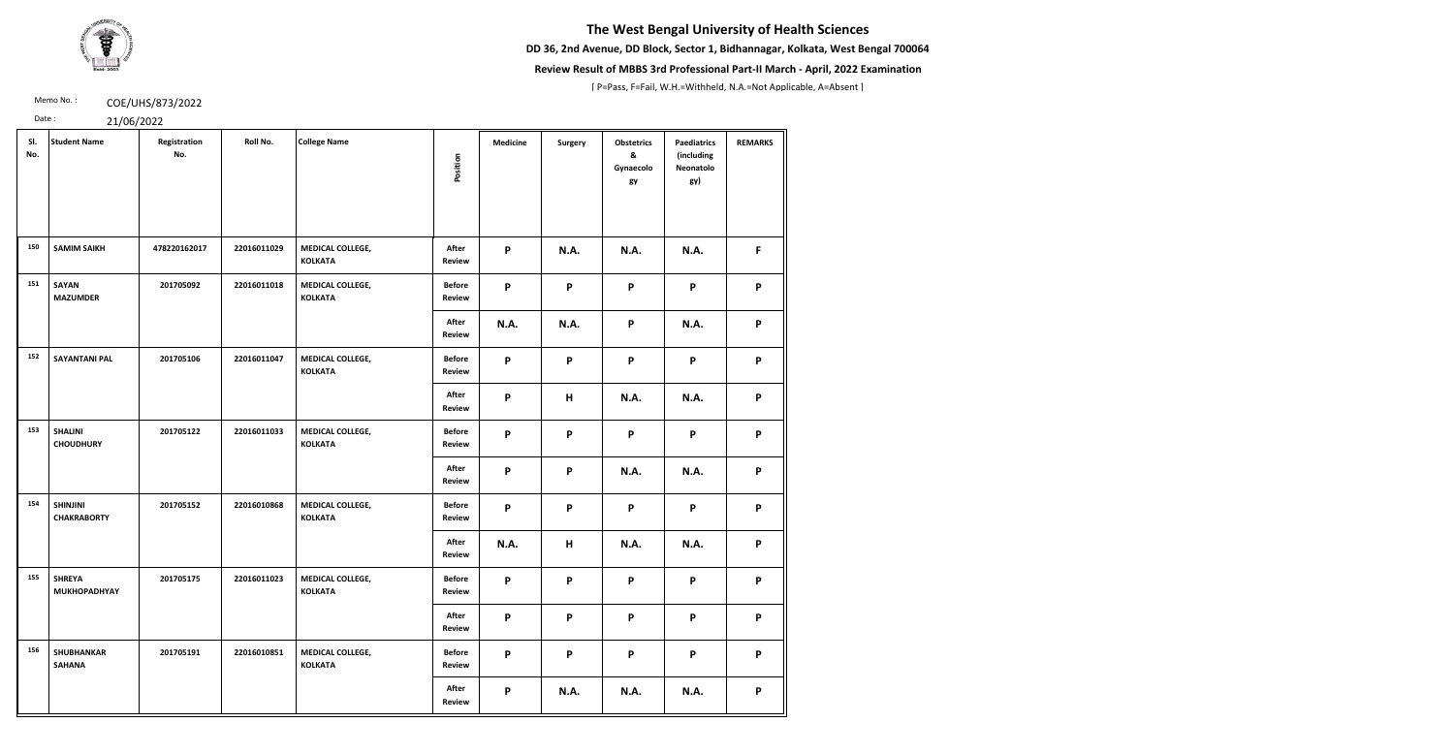**DD 36, 2nd Avenue, DD Block, Sector 1, Bidhannagar, Kolkata, West Bengal 700064**



### **Review Result of MBBS 3rd Professional Part-II March - April, 2022 Examination**

[ P=Pass, F=Fail, W.H.=Withheld, N.A.=Not Applicable, A=Absent ]

Memo No.: **COE/UHS/873/2022** 

| SI.<br>No. | <b>Student Name</b>                   | Registration<br>No. | Roll No.    | <b>College Name</b>                | Position                       | <b>Medicine</b>           | <b>Surgery</b> | <b>Obstetrics</b><br>&<br>Gynaecolo<br>gy | <b>Paediatrics</b><br>(including<br>Neonatolo<br>gy) | <b>REMARKS</b> |
|------------|---------------------------------------|---------------------|-------------|------------------------------------|--------------------------------|---------------------------|----------------|-------------------------------------------|------------------------------------------------------|----------------|
| 150        | <b>SAMIM SAIKH</b>                    | 478220162017        | 22016011029 | MEDICAL COLLEGE,<br><b>KOLKATA</b> | After<br><b>Review</b>         | P                         | <b>N.A.</b>    | <b>N.A.</b>                               | <b>N.A.</b>                                          | F.             |
| 151        | <b>SAYAN</b><br><b>MAZUMDER</b>       | 201705092           | 22016011018 | MEDICAL COLLEGE,<br><b>KOLKATA</b> | <b>Before</b><br><b>Review</b> | P                         | P              | P                                         | P                                                    | P              |
|            |                                       |                     |             |                                    | After<br>Review                | <b>N.A.</b>               | <b>N.A.</b>    | P                                         | N.A.                                                 | P              |
| 152        | <b>SAYANTANI PAL</b>                  | 201705106           | 22016011047 | MEDICAL COLLEGE,<br><b>KOLKATA</b> | <b>Before</b><br><b>Review</b> | P                         | P              | P                                         | P                                                    | P              |
|            |                                       |                     |             |                                    | After<br><b>Review</b>         | $\boldsymbol{\mathsf{P}}$ | H              | <b>N.A.</b>                               | N.A.                                                 | P              |
| 153        | <b>SHALINI</b><br><b>CHOUDHURY</b>    | 201705122           | 22016011033 | MEDICAL COLLEGE,<br><b>KOLKATA</b> | <b>Before</b><br>Review        | P                         | P              | P                                         | P                                                    | P              |
|            |                                       |                     |             |                                    | After<br>Review                | P                         | P              | <b>N.A.</b>                               | N.A.                                                 | P              |
| 154        | <b>SHINJINI</b><br><b>CHAKRABORTY</b> | 201705152           | 22016010868 | MEDICAL COLLEGE,<br><b>KOLKATA</b> | <b>Before</b><br><b>Review</b> | P                         | P              | P                                         | P                                                    | P              |
|            |                                       |                     |             |                                    | After<br><b>Review</b>         | N.A.                      | H              | <b>N.A.</b>                               | N.A.                                                 | P              |
| 155        | <b>SHREYA</b><br><b>MUKHOPADHYAY</b>  | 201705175           | 22016011023 | MEDICAL COLLEGE,<br><b>KOLKATA</b> | <b>Before</b><br><b>Review</b> | P                         | P              | P                                         | P                                                    | P              |
|            |                                       |                     |             |                                    | After<br><b>Review</b>         | P                         | P              | P                                         | P                                                    | P              |
| 156        | <b>SHUBHANKAR</b><br><b>SAHANA</b>    | 201705191           | 22016010851 | MEDICAL COLLEGE,<br><b>KOLKATA</b> | <b>Before</b><br><b>Review</b> | P                         | P              | P                                         | P                                                    | P              |
|            |                                       |                     |             |                                    | After<br><b>Review</b>         | P                         | <b>N.A.</b>    | <b>N.A.</b>                               | <b>N.A.</b>                                          | P              |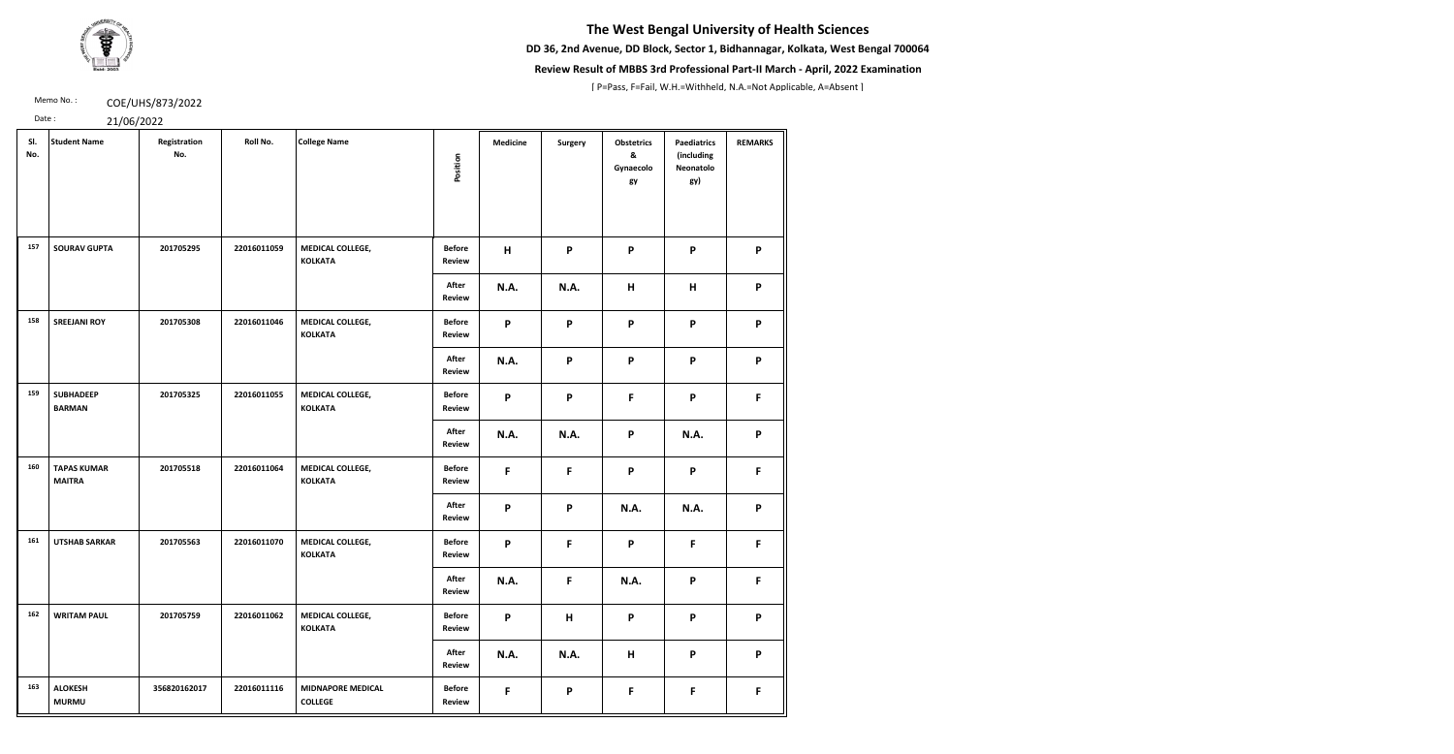**DD 36, 2nd Avenue, DD Block, Sector 1, Bidhannagar, Kolkata, West Bengal 700064**



### **Review Result of MBBS 3rd Professional Part-II March - April, 2022 Examination**

[ P=Pass, F=Fail, W.H.=Withheld, N.A.=Not Applicable, A=Absent ]

Memo No.: **COE/UHS/873/2022** 

| SI.<br>No. | <b>Student Name</b>                 | Registration<br>No. | Roll No.    | <b>College Name</b>                        | Position                       | <b>Medicine</b>           | Surgery     | <b>Obstetrics</b><br>&<br>Gynaecolo<br>gy | <b>Paediatrics</b><br>(including<br>Neonatolo<br>gy) | <b>REMARKS</b> |
|------------|-------------------------------------|---------------------|-------------|--------------------------------------------|--------------------------------|---------------------------|-------------|-------------------------------------------|------------------------------------------------------|----------------|
| 157        | <b>SOURAV GUPTA</b>                 | 201705295           | 22016011059 | MEDICAL COLLEGE,<br><b>KOLKATA</b>         | <b>Before</b><br><b>Review</b> | H                         | P           | P                                         | $\mathsf{P}$                                         | P              |
|            |                                     |                     |             |                                            | After<br><b>Review</b>         | <b>N.A.</b>               | <b>N.A.</b> | Н                                         | H                                                    | P              |
| 158        | <b>SREEJANI ROY</b>                 | 201705308           | 22016011046 | MEDICAL COLLEGE,<br><b>KOLKATA</b>         | <b>Before</b><br>Review        | P                         | P           | P                                         | P                                                    | P              |
|            |                                     |                     |             |                                            | After<br><b>Review</b>         | <b>N.A.</b>               | P           | $\boldsymbol{\mathsf{P}}$                 | $\mathsf{P}$                                         | P              |
| 159        | <b>SUBHADEEP</b><br><b>BARMAN</b>   | 201705325           | 22016011055 | MEDICAL COLLEGE,<br><b>KOLKATA</b>         | <b>Before</b><br>Review        | P                         | P           | $\mathsf F$                               | P                                                    | F.             |
|            |                                     |                     |             |                                            | After<br><b>Review</b>         | N.A.                      | <b>N.A.</b> | P                                         | <b>N.A.</b>                                          | P              |
| 160        | <b>TAPAS KUMAR</b><br><b>MAITRA</b> | 201705518           | 22016011064 | MEDICAL COLLEGE,<br><b>KOLKATA</b>         | <b>Before</b><br>Review        | F                         | F           | P                                         | P                                                    | F              |
|            |                                     |                     |             |                                            | After<br><b>Review</b>         | $\boldsymbol{\mathsf{P}}$ | P           | <b>N.A.</b>                               | <b>N.A.</b>                                          | P              |
| 161        | <b>UTSHAB SARKAR</b>                | 201705563           | 22016011070 | MEDICAL COLLEGE,<br><b>KOLKATA</b>         | <b>Before</b><br>Review        | P                         | F           | P                                         | F                                                    | F.             |
|            |                                     |                     |             |                                            | After<br><b>Review</b>         | N.A.                      | F           | N.A.                                      | P                                                    | F.             |
| 162        | <b>WRITAM PAUL</b>                  | 201705759           | 22016011062 | MEDICAL COLLEGE,<br><b>KOLKATA</b>         | <b>Before</b><br>Review        | P                         | H           | P                                         | P                                                    | P              |
|            |                                     |                     |             |                                            | After<br><b>Review</b>         | N.A.                      | N.A.        | $\pmb{\mathsf{H}}$                        | P                                                    | P              |
| 163        | <b>ALOKESH</b><br><b>MURMU</b>      | 356820162017        | 22016011116 | <b>MIDNAPORE MEDICAL</b><br><b>COLLEGE</b> | <b>Before</b><br><b>Review</b> | F                         | P           | F                                         | F                                                    | F.             |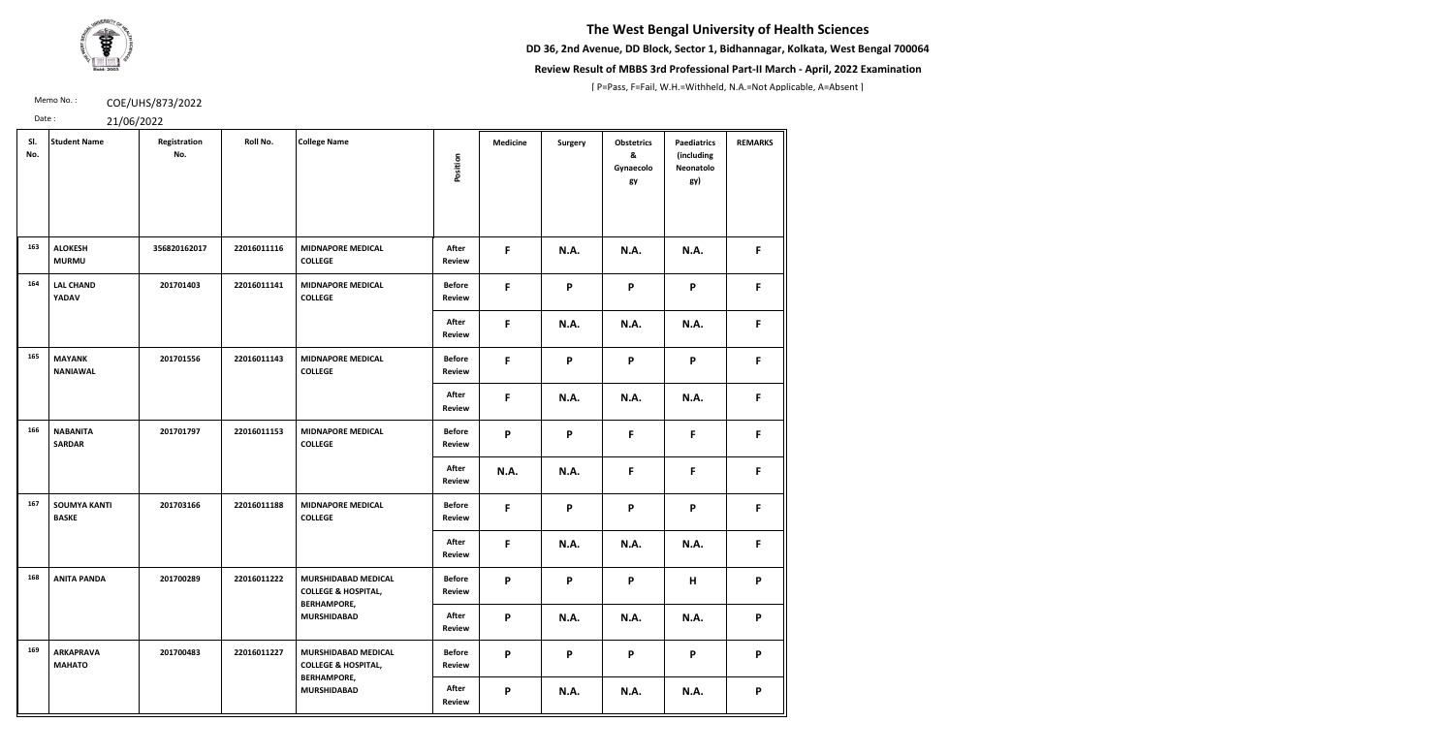**DD 36, 2nd Avenue, DD Block, Sector 1, Bidhannagar, Kolkata, West Bengal 700064**



### **Review Result of MBBS 3rd Professional Part-II March - April, 2022 Examination**

[ P=Pass, F=Fail, W.H.=Withheld, N.A.=Not Applicable, A=Absent ]

Memo No.: **COE/UHS/873/2022** 

| SI.<br>No. | <b>Student Name</b>                 | Registration<br>No. | Roll No.    | <b>College Name</b><br>Position                                             |                                | <b>Medicine</b> | <b>Surgery</b> | <b>Obstetrics</b><br>&<br>Gynaecolo<br>gy | <b>Paediatrics</b><br>(including<br>Neonatolo<br>gy) | <b>REMARKS</b> |
|------------|-------------------------------------|---------------------|-------------|-----------------------------------------------------------------------------|--------------------------------|-----------------|----------------|-------------------------------------------|------------------------------------------------------|----------------|
| 163        | <b>ALOKESH</b><br><b>MURMU</b>      | 356820162017        | 22016011116 | <b>MIDNAPORE MEDICAL</b><br><b>COLLEGE</b>                                  | After<br><b>Review</b>         | F               | <b>N.A.</b>    | <b>N.A.</b>                               | N.A.                                                 | F.             |
| 164        | <b>LAL CHAND</b><br><b>YADAV</b>    | 201701403           | 22016011141 | <b>MIDNAPORE MEDICAL</b><br><b>COLLEGE</b>                                  | <b>Before</b><br><b>Review</b> | F               | P              | P                                         | P                                                    | F              |
|            |                                     |                     |             |                                                                             | After<br><b>Review</b>         | F               | <b>N.A.</b>    | <b>N.A.</b>                               | N.A.                                                 | F              |
| 165        | <b>MAYANK</b><br><b>NANIAWAL</b>    | 201701556           | 22016011143 | <b>MIDNAPORE MEDICAL</b><br><b>COLLEGE</b>                                  | <b>Before</b><br><b>Review</b> | F               | P              | P                                         | P                                                    | F.             |
|            |                                     |                     |             |                                                                             | After<br><b>Review</b>         | F               | <b>N.A.</b>    | <b>N.A.</b>                               | N.A.                                                 | F.             |
| 166        | <b>NABANITA</b><br><b>SARDAR</b>    | 201701797           | 22016011153 | <b>MIDNAPORE MEDICAL</b><br><b>COLLEGE</b>                                  | <b>Before</b><br>Review        | P               | P              | F                                         | $\mathsf{F}$                                         | F.             |
|            |                                     |                     |             |                                                                             | After<br><b>Review</b>         | <b>N.A.</b>     | <b>N.A.</b>    | F                                         | F                                                    | F              |
| 167        | <b>SOUMYA KANTI</b><br><b>BASKE</b> | 201703166           | 22016011188 | <b>MIDNAPORE MEDICAL</b><br><b>COLLEGE</b>                                  | <b>Before</b><br><b>Review</b> | F               | P              | P                                         | P                                                    | F              |
|            |                                     |                     |             |                                                                             | After<br><b>Review</b>         | F               | <b>N.A.</b>    | <b>N.A.</b>                               | N.A.                                                 | F.             |
| 168        | <b>ANITA PANDA</b>                  | 201700289           | 22016011222 | MURSHIDABAD MEDICAL<br><b>COLLEGE &amp; HOSPITAL,</b><br><b>BERHAMPORE,</b> | <b>Before</b><br><b>Review</b> | P               | P              | P                                         | H                                                    | P              |
|            |                                     |                     |             | <b>MURSHIDABAD</b>                                                          | After<br><b>Review</b>         | P               | <b>N.A.</b>    | <b>N.A.</b>                               | N.A.                                                 | P              |
| 169        | <b>ARKAPRAVA</b><br><b>MAHATO</b>   | 201700483           | 22016011227 | MURSHIDABAD MEDICAL<br><b>COLLEGE &amp; HOSPITAL,</b><br><b>BERHAMPORE,</b> | <b>Before</b><br><b>Review</b> | P               | P              | P                                         | P                                                    | P              |
|            |                                     |                     |             | <b>MURSHIDABAD</b>                                                          | After<br><b>Review</b>         | P               | <b>N.A.</b>    | <b>N.A.</b>                               | <b>N.A.</b>                                          | P              |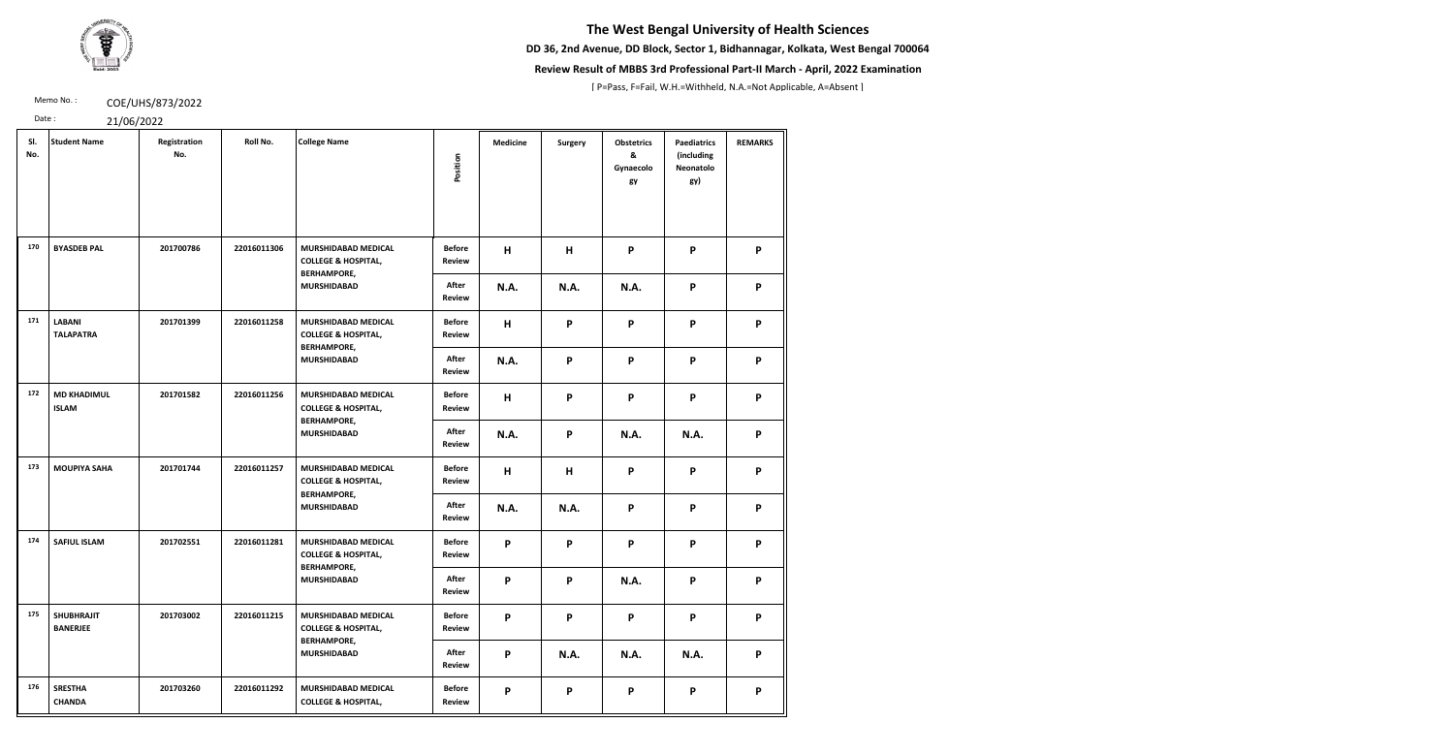**DD 36, 2nd Avenue, DD Block, Sector 1, Bidhannagar, Kolkata, West Bengal 700064**



### **Review Result of MBBS 3rd Professional Part-II March - April, 2022 Examination**

[ P=Pass, F=Fail, W.H.=Withheld, N.A.=Not Applicable, A=Absent ]

Memo No.: **COE/UHS/873/2022** 

| SI.<br>No. | <b>Student Name</b>                  | Registration<br>No. | Roll No.    | <b>College Name</b>                                                                | Position                       | <b>Medicine</b> | <b>Surgery</b> | <b>Obstetrics</b><br>&<br>Gynaecolo<br>gy | <b>Paediatrics</b><br>(including<br>Neonatolo<br>gy) | <b>REMARKS</b> |
|------------|--------------------------------------|---------------------|-------------|------------------------------------------------------------------------------------|--------------------------------|-----------------|----------------|-------------------------------------------|------------------------------------------------------|----------------|
| 170        | <b>BYASDEB PAL</b>                   | 201700786           | 22016011306 | MURSHIDABAD MEDICAL<br><b>COLLEGE &amp; HOSPITAL,</b><br><b>BERHAMPORE,</b>        | <b>Before</b><br><b>Review</b> | H               | H              | P                                         | P                                                    | P              |
|            |                                      |                     |             | <b>MURSHIDABAD</b>                                                                 | After<br><b>Review</b>         | N.A.            | <b>N.A.</b>    | N.A.                                      | P                                                    | P              |
| 171        | <b>LABANI</b><br><b>TALAPATRA</b>    | 201701399           | 22016011258 | <b>MURSHIDABAD MEDICAL</b><br><b>COLLEGE &amp; HOSPITAL,</b><br><b>BERHAMPORE,</b> | <b>Before</b><br><b>Review</b> | H               | P              | P                                         | P                                                    | P              |
|            |                                      |                     |             | <b>MURSHIDABAD</b>                                                                 | After<br><b>Review</b>         | N.A.            | P              | P                                         | P                                                    | P              |
| 172        | <b>MD KHADIMUL</b><br><b>ISLAM</b>   | 201701582           | 22016011256 | MURSHIDABAD MEDICAL<br><b>COLLEGE &amp; HOSPITAL,</b><br><b>BERHAMPORE,</b>        | <b>Before</b><br><b>Review</b> | H               | P              | P                                         | P                                                    | P              |
|            |                                      |                     |             | <b>MURSHIDABAD</b>                                                                 | After<br><b>Review</b>         | <b>N.A.</b>     | P              | N.A.                                      | <b>N.A.</b>                                          | P              |
| 173        | <b>MOUPIYA SAHA</b>                  | 201701744           | 22016011257 | <b>MURSHIDABAD MEDICAL</b><br><b>COLLEGE &amp; HOSPITAL,</b><br><b>BERHAMPORE,</b> | <b>Before</b><br><b>Review</b> | H               | H              | P                                         | P                                                    | P              |
|            |                                      |                     |             | <b>MURSHIDABAD</b>                                                                 | <b>After</b><br><b>Review</b>  | <b>N.A.</b>     | <b>N.A.</b>    | P                                         | P                                                    | P              |
| 174        | <b>SAFIUL ISLAM</b>                  | 201702551           | 22016011281 | MURSHIDABAD MEDICAL<br><b>COLLEGE &amp; HOSPITAL,</b><br><b>BERHAMPORE,</b>        | <b>Before</b><br><b>Review</b> | P               | P              | P                                         | P                                                    | P              |
|            |                                      |                     |             | <b>MURSHIDABAD</b>                                                                 | After<br><b>Review</b>         | P               | P              | N.A.                                      | P                                                    | P              |
| 175        | <b>SHUBHRAJIT</b><br><b>BANERJEE</b> | 201703002           | 22016011215 | MURSHIDABAD MEDICAL<br><b>COLLEGE &amp; HOSPITAL,</b><br><b>BERHAMPORE,</b>        | <b>Before</b><br><b>Review</b> | P               | P              | P                                         | P                                                    | P              |
|            |                                      |                     |             | <b>MURSHIDABAD</b>                                                                 | After<br><b>Review</b>         | P               | <b>N.A.</b>    | <b>N.A.</b>                               | N.A.                                                 | P              |
| 176        | <b>SRESTHA</b><br><b>CHANDA</b>      | 201703260           | 22016011292 | MURSHIDABAD MEDICAL<br><b>COLLEGE &amp; HOSPITAL,</b>                              | <b>Before</b><br><b>Review</b> | P               | P              | P                                         | P                                                    | P              |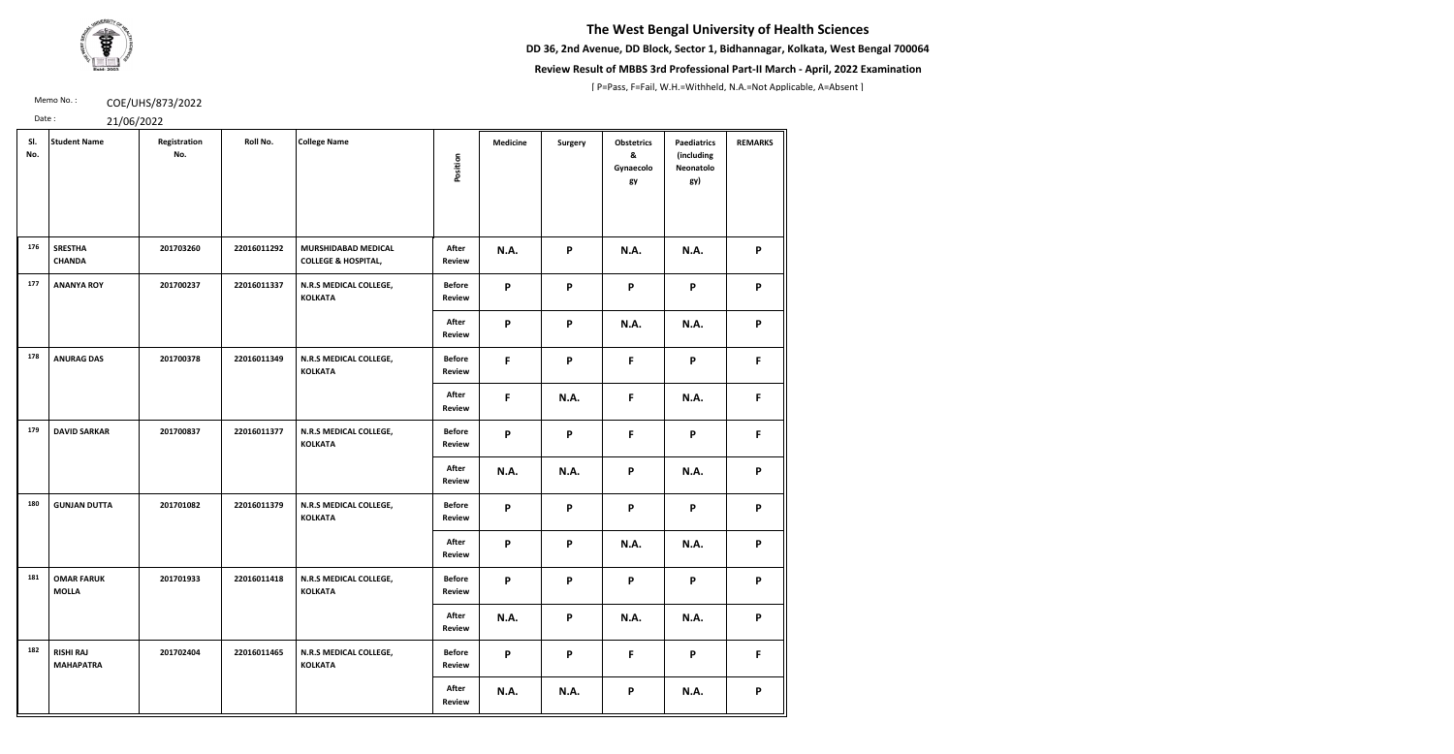**DD 36, 2nd Avenue, DD Block, Sector 1, Bidhannagar, Kolkata, West Bengal 700064**



### **Review Result of MBBS 3rd Professional Part-II March - April, 2022 Examination**

[ P=Pass, F=Fail, W.H.=Withheld, N.A.=Not Applicable, A=Absent ]

Memo No.: **COE/UHS/873/2022** 

| Date: | 21/06/2022 |
|-------|------------|
|-------|------------|

| SI.<br>No. | <b>Student Name</b>                  | Registration<br>No. | Roll No.    | <b>College Name</b>                                   | Position                       | <b>Medicine</b>           | Surgery                   | <b>Obstetrics</b><br>&<br>Gynaecolo<br>gy | <b>Paediatrics</b><br>(including<br>Neonatolo<br>gy) | <b>REMARKS</b> |
|------------|--------------------------------------|---------------------|-------------|-------------------------------------------------------|--------------------------------|---------------------------|---------------------------|-------------------------------------------|------------------------------------------------------|----------------|
| 176        | <b>SRESTHA</b><br><b>CHANDA</b>      | 201703260           | 22016011292 | MURSHIDABAD MEDICAL<br><b>COLLEGE &amp; HOSPITAL,</b> | After<br><b>Review</b>         | N.A.                      | $\boldsymbol{\mathsf{P}}$ | <b>N.A.</b>                               | <b>N.A.</b>                                          | P              |
| 177        | <b>ANANYA ROY</b>                    | 201700237           | 22016011337 | N.R.S MEDICAL COLLEGE,<br><b>KOLKATA</b>              | <b>Before</b><br><b>Review</b> | $\mathsf{P}$              | P                         | P                                         | P                                                    | P              |
|            |                                      |                     |             |                                                       | After<br><b>Review</b>         | $\mathsf{P}$              | P                         | <b>N.A.</b>                               | <b>N.A.</b>                                          | P              |
| 178        | <b>ANURAG DAS</b>                    | 201700378           | 22016011349 | N.R.S MEDICAL COLLEGE,<br><b>KOLKATA</b>              | <b>Before</b><br><b>Review</b> | $\mathsf{F}$              | P                         | F.                                        | P                                                    | F              |
|            |                                      |                     |             |                                                       | After<br>Review                | $\mathsf{F}$              | <b>N.A.</b>               | F.                                        | <b>N.A.</b>                                          | F              |
| 179        | <b>DAVID SARKAR</b>                  | 201700837           | 22016011377 | N.R.S MEDICAL COLLEGE,<br><b>KOLKATA</b>              | <b>Before</b><br><b>Review</b> | $\mathsf{P}$              | P                         | F.                                        | P                                                    | F              |
|            |                                      |                     |             |                                                       | After<br><b>Review</b>         | <b>N.A.</b>               | <b>N.A.</b>               | P                                         | N.A.                                                 | P              |
| 180        | <b>GUNJAN DUTTA</b>                  | 201701082           | 22016011379 | N.R.S MEDICAL COLLEGE,<br><b>KOLKATA</b>              | <b>Before</b><br><b>Review</b> | $\boldsymbol{\mathsf{P}}$ | P                         | P                                         | P                                                    | P              |
|            |                                      |                     |             |                                                       | After<br><b>Review</b>         | $\mathsf{P}$              | P                         | <b>N.A.</b>                               | <b>N.A.</b>                                          | P              |
| 181        | <b>OMAR FARUK</b><br><b>MOLLA</b>    | 201701933           | 22016011418 | N.R.S MEDICAL COLLEGE,<br><b>KOLKATA</b>              | <b>Before</b><br><b>Review</b> | P                         | P                         | P                                         | P                                                    | P              |
|            |                                      |                     |             |                                                       | After<br><b>Review</b>         | <b>N.A.</b>               | P                         | <b>N.A.</b>                               | <b>N.A.</b>                                          | P              |
| 182        | <b>RISHI RAJ</b><br><b>MAHAPATRA</b> | 201702404           | 22016011465 | N.R.S MEDICAL COLLEGE,<br><b>KOLKATA</b>              | <b>Before</b><br><b>Review</b> | P                         | P                         | F.                                        | P                                                    | F              |
|            |                                      |                     |             |                                                       | After<br><b>Review</b>         | N.A.                      | N.A.                      | P                                         | <b>N.A.</b>                                          | P              |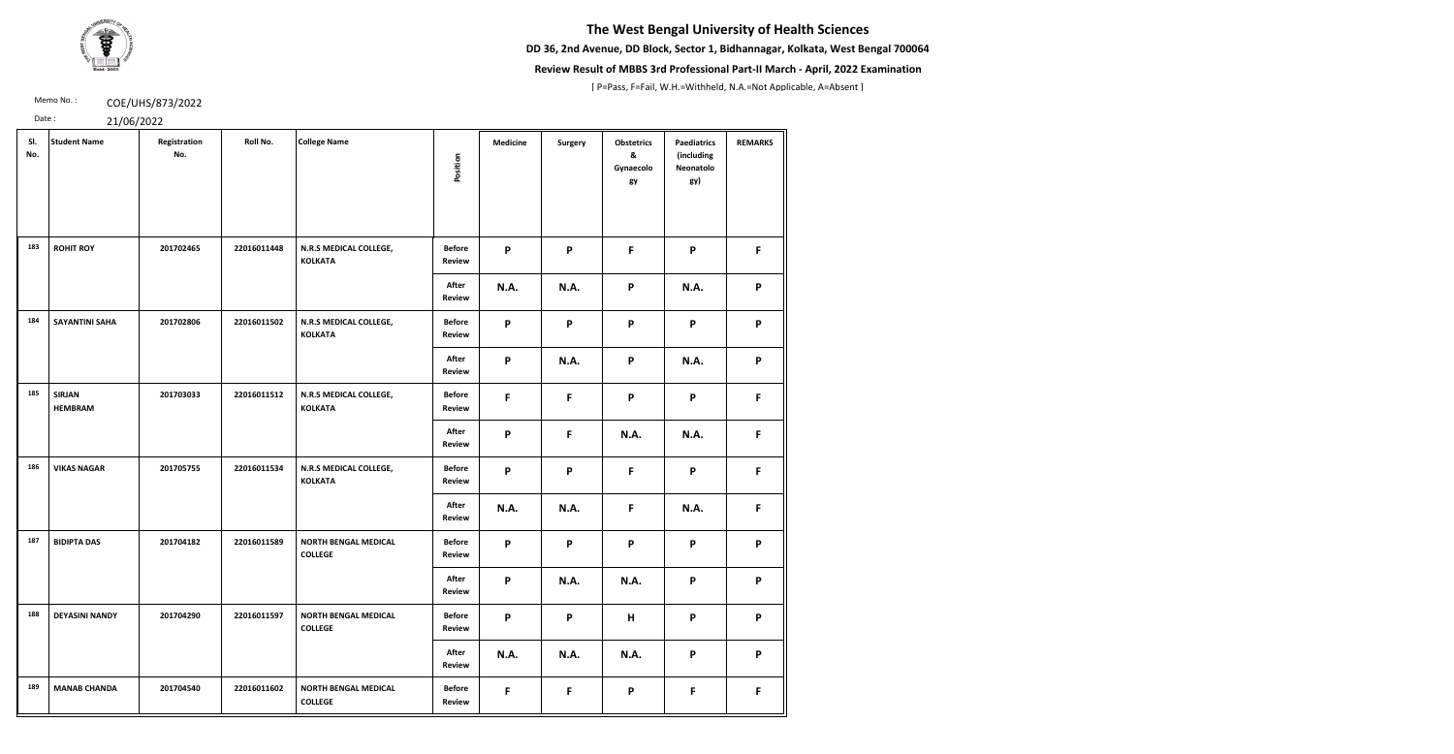**DD 36, 2nd Avenue, DD Block, Sector 1, Bidhannagar, Kolkata, West Bengal 700064**



### **Review Result of MBBS 3rd Professional Part-II March - April, 2022 Examination**

[ P=Pass, F=Fail, W.H.=Withheld, N.A.=Not Applicable, A=Absent ]

Memo No.: **COE/UHS/873/2022** 

| SI.<br>No. | <b>Student Name</b>             | Registration<br>No. | Roll No.    | <b>College Name</b>                           | Position                       | <b>Medicine</b>           | <b>Surgery</b> | <b>Obstetrics</b><br>&<br>Gynaecolo<br>gy | <b>Paediatrics</b><br>(including<br>Neonatolo<br>gy) | <b>REMARKS</b> |
|------------|---------------------------------|---------------------|-------------|-----------------------------------------------|--------------------------------|---------------------------|----------------|-------------------------------------------|------------------------------------------------------|----------------|
| 183        | <b>ROHIT ROY</b>                | 201702465           | 22016011448 | N.R.S MEDICAL COLLEGE,<br><b>KOLKATA</b>      | <b>Before</b><br><b>Review</b> | P                         | P              | F                                         | P                                                    | F              |
|            |                                 |                     |             |                                               | After<br><b>Review</b>         | N.A.                      | <b>N.A.</b>    | P                                         | <b>N.A.</b>                                          | P              |
| 184        | <b>SAYANTINI SAHA</b>           | 201702806           | 22016011502 | N.R.S MEDICAL COLLEGE,<br><b>KOLKATA</b>      | <b>Before</b><br><b>Review</b> | P                         | P              | P                                         | P                                                    | P              |
|            |                                 |                     |             |                                               | After<br><b>Review</b>         | P                         | <b>N.A.</b>    | P                                         | <b>N.A.</b>                                          | P              |
| 185        | <b>SIRJAN</b><br><b>HEMBRAM</b> | 201703033           | 22016011512 | N.R.S MEDICAL COLLEGE,<br><b>KOLKATA</b>      | <b>Before</b><br><b>Review</b> | $\mathsf{F}$              | F              | P                                         | P                                                    | F              |
|            |                                 |                     |             |                                               | After<br><b>Review</b>         | $\boldsymbol{\mathsf{P}}$ | F              | <b>N.A.</b>                               | <b>N.A.</b>                                          | F              |
| 186        | <b>VIKAS NAGAR</b>              | 201705755           | 22016011534 | N.R.S MEDICAL COLLEGE,<br><b>KOLKATA</b>      | <b>Before</b><br><b>Review</b> | P                         | P              | F                                         | P                                                    | F              |
|            |                                 |                     |             |                                               | After<br><b>Review</b>         | <b>N.A.</b>               | <b>N.A.</b>    | F                                         | <b>N.A.</b>                                          | F              |
| 187        | <b>BIDIPTA DAS</b>              | 201704182           | 22016011589 | <b>NORTH BENGAL MEDICAL</b><br><b>COLLEGE</b> | <b>Before</b><br><b>Review</b> | P                         | P              | P                                         | P                                                    | P              |
|            |                                 |                     |             |                                               | After<br><b>Review</b>         | P                         | <b>N.A.</b>    | <b>N.A.</b>                               | P                                                    | P              |
| 188        | <b>DEYASINI NANDY</b>           | 201704290           | 22016011597 | <b>NORTH BENGAL MEDICAL</b><br><b>COLLEGE</b> | <b>Before</b><br><b>Review</b> | P                         | P              | H                                         | P                                                    | P              |
|            |                                 |                     |             |                                               | After<br><b>Review</b>         | N.A.                      | <b>N.A.</b>    | N.A.                                      | P                                                    | P              |
| 189        | <b>MANAB CHANDA</b>             | 201704540           | 22016011602 | <b>NORTH BENGAL MEDICAL</b><br><b>COLLEGE</b> | <b>Before</b><br><b>Review</b> | F                         | F              | P                                         | $\mathsf F$                                          | F.             |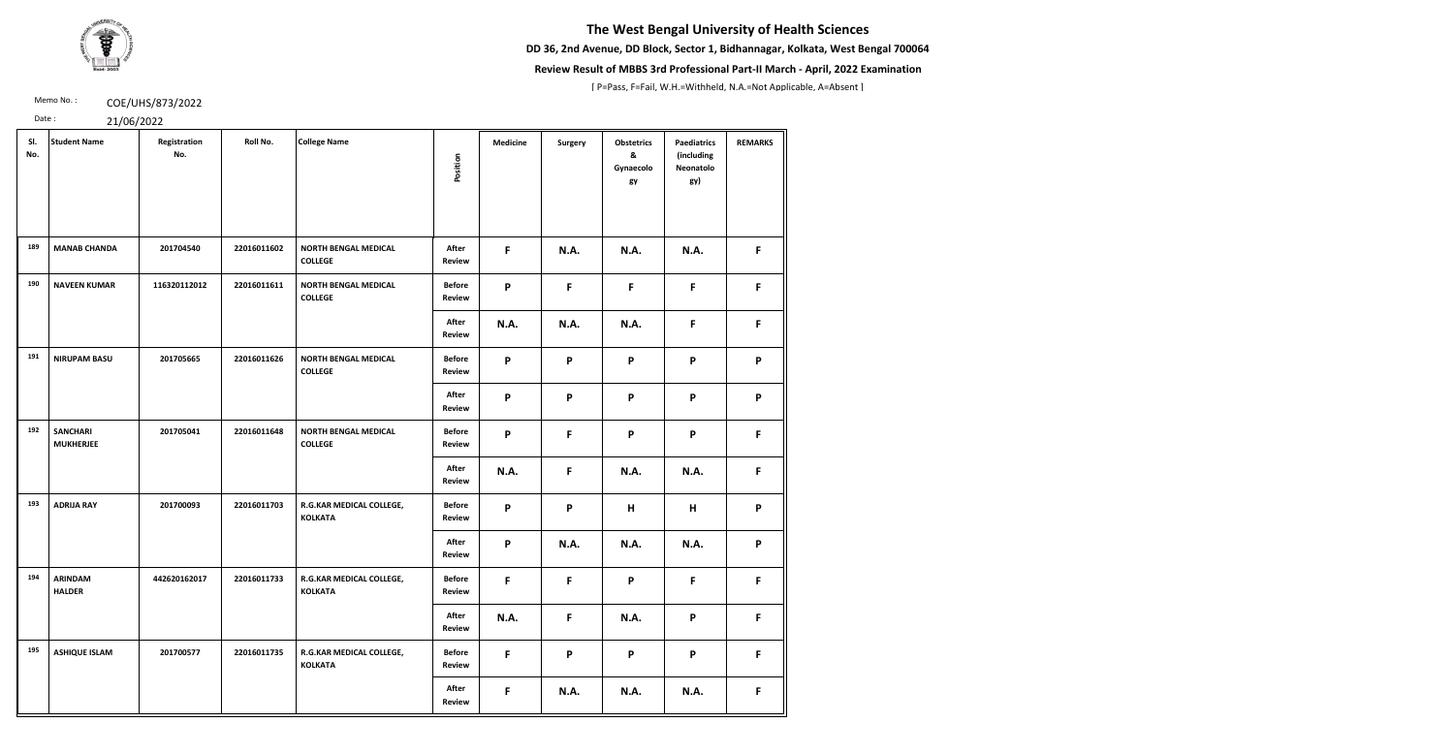**DD 36, 2nd Avenue, DD Block, Sector 1, Bidhannagar, Kolkata, West Bengal 700064**



### **Review Result of MBBS 3rd Professional Part-II March - April, 2022 Examination**

[ P=Pass, F=Fail, W.H.=Withheld, N.A.=Not Applicable, A=Absent ]

Memo No.: **COE/UHS/873/2022** 

| SI.<br>No. | <b>Student Name</b>                 | Registration<br>No. | Roll No.    | <b>College Name</b>                           | Position                       | <b>Medicine</b> | Surgery      | <b>Obstetrics</b><br>&<br>Gynaecolo<br>gy | <b>Paediatrics</b><br>(including<br>Neonatolo<br>gy) | <b>REMARKS</b> |
|------------|-------------------------------------|---------------------|-------------|-----------------------------------------------|--------------------------------|-----------------|--------------|-------------------------------------------|------------------------------------------------------|----------------|
| 189        | <b>MANAB CHANDA</b>                 | 201704540           | 22016011602 | <b>NORTH BENGAL MEDICAL</b><br><b>COLLEGE</b> | After<br><b>Review</b>         | F.              | <b>N.A.</b>  | N.A.                                      | N.A.                                                 | F              |
| 190        | <b>NAVEEN KUMAR</b>                 | 116320112012        | 22016011611 | <b>NORTH BENGAL MEDICAL</b><br><b>COLLEGE</b> | <b>Before</b><br><b>Review</b> | P               | F            | F                                         | $\mathsf F$                                          | F              |
|            |                                     |                     |             |                                               | After<br><b>Review</b>         | <b>N.A.</b>     | <b>N.A.</b>  | <b>N.A.</b>                               | F                                                    | F              |
| 191        | <b>NIRUPAM BASU</b>                 | 201705665           | 22016011626 | <b>NORTH BENGAL MEDICAL</b><br><b>COLLEGE</b> | <b>Before</b><br><b>Review</b> | P               | P            | P                                         | P                                                    | P              |
|            |                                     |                     |             |                                               | After<br>Review                | P               | P            | P                                         | P                                                    | P              |
| 192        | <b>SANCHARI</b><br><b>MUKHERJEE</b> | 201705041           | 22016011648 | <b>NORTH BENGAL MEDICAL</b><br><b>COLLEGE</b> | <b>Before</b><br><b>Review</b> | P               | F            | P                                         | P                                                    | F              |
|            |                                     |                     |             |                                               | After<br><b>Review</b>         | <b>N.A.</b>     | F.           | N.A.                                      | N.A.                                                 | F              |
| 193        | <b>ADRIJA RAY</b>                   | 201700093           | 22016011703 | R.G.KAR MEDICAL COLLEGE,<br><b>KOLKATA</b>    | <b>Before</b><br><b>Review</b> | P               | P            | Н                                         | H                                                    | P              |
|            |                                     |                     |             |                                               | After<br>Review                | P               | <b>N.A.</b>  | <b>N.A.</b>                               | N.A.                                                 | P              |
| 194        | <b>ARINDAM</b><br><b>HALDER</b>     | 442620162017        | 22016011733 | R.G.KAR MEDICAL COLLEGE,<br><b>KOLKATA</b>    | <b>Before</b><br>Review        | F               | $\mathsf{F}$ | P                                         | $\mathsf{F}$                                         | F              |
|            |                                     |                     |             |                                               | After<br><b>Review</b>         | <b>N.A.</b>     | F            | <b>N.A.</b>                               | P                                                    | F              |
| 195        | <b>ASHIQUE ISLAM</b>                | 201700577           | 22016011735 | R.G.KAR MEDICAL COLLEGE,<br><b>KOLKATA</b>    | <b>Before</b><br><b>Review</b> | F               | P            | P                                         | P                                                    | F              |
|            |                                     |                     |             |                                               | After<br><b>Review</b>         | F               | <b>N.A.</b>  | <b>N.A.</b>                               | <b>N.A.</b>                                          | F.             |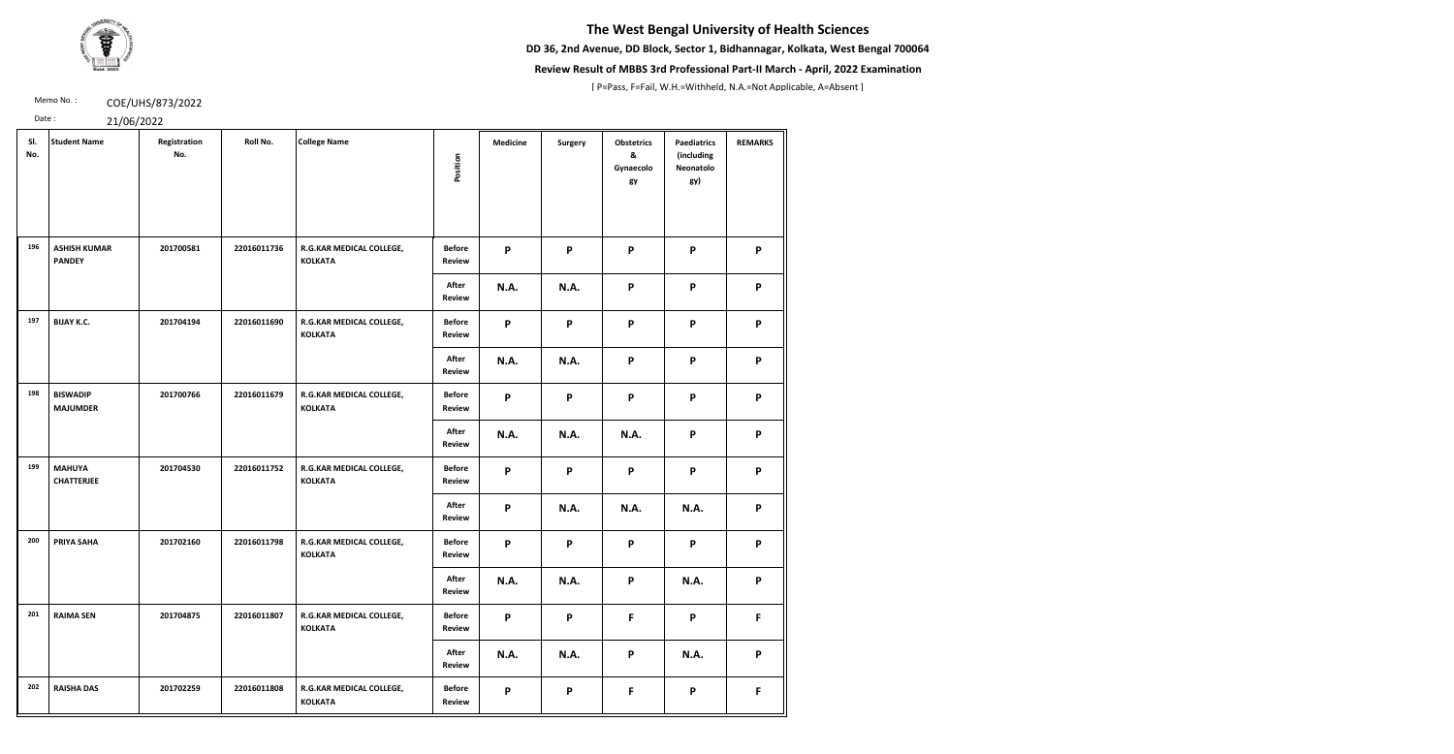**DD 36, 2nd Avenue, DD Block, Sector 1, Bidhannagar, Kolkata, West Bengal 700064**



### **Review Result of MBBS 3rd Professional Part-II March - April, 2022 Examination**

[ P=Pass, F=Fail, W.H.=Withheld, N.A.=Not Applicable, A=Absent ]

Memo No.: **COE/UHS/873/2022** 

| SI.<br>No. | <b>Student Name</b>                  | Registration<br>No. | Roll No.    | <b>College Name</b>                        | Position                       | <b>Medicine</b> | <b>Surgery</b> | <b>Obstetrics</b><br>&<br>Gynaecolo<br>gy | <b>Paediatrics</b><br>(including<br>Neonatolo<br>gy) | <b>REMARKS</b> |
|------------|--------------------------------------|---------------------|-------------|--------------------------------------------|--------------------------------|-----------------|----------------|-------------------------------------------|------------------------------------------------------|----------------|
| 196        | <b>ASHISH KUMAR</b><br><b>PANDEY</b> | 201700581           | 22016011736 | R.G.KAR MEDICAL COLLEGE,<br><b>KOLKATA</b> | <b>Before</b><br>Review        | P               | P              | $\mathsf{P}$                              | P                                                    | P              |
|            |                                      |                     |             |                                            | After<br><b>Review</b>         | <b>N.A.</b>     | <b>N.A.</b>    | P                                         | $\boldsymbol{\mathsf{P}}$                            | P              |
| 197        | <b>BIJAY K.C.</b>                    | 201704194           | 22016011690 | R.G.KAR MEDICAL COLLEGE,<br><b>KOLKATA</b> | <b>Before</b><br><b>Review</b> | P               | P              | P                                         | P                                                    | P              |
|            |                                      |                     |             |                                            | After<br>Review                | <b>N.A.</b>     | <b>N.A.</b>    | P                                         | P                                                    | P              |
| 198        | <b>BISWADIP</b><br><b>MAJUMDER</b>   | 201700766           | 22016011679 | R.G.KAR MEDICAL COLLEGE,<br><b>KOLKATA</b> | <b>Before</b><br>Review        | P               | P              | P                                         | P                                                    | P              |
|            |                                      |                     |             |                                            | After<br>Review                | <b>N.A.</b>     | <b>N.A.</b>    | <b>N.A.</b>                               | P                                                    | P              |
| 199        | <b>MAHUYA</b><br><b>CHATTERJEE</b>   | 201704530           | 22016011752 | R.G.KAR MEDICAL COLLEGE,<br><b>KOLKATA</b> | <b>Before</b><br><b>Review</b> | P               | P              | P                                         | P                                                    | P              |
|            |                                      |                     |             |                                            | After<br>Review                | P               | <b>N.A.</b>    | <b>N.A.</b>                               | <b>N.A.</b>                                          | P              |
| 200        | PRIYA SAHA                           | 201702160           | 22016011798 | R.G.KAR MEDICAL COLLEGE,<br><b>KOLKATA</b> | <b>Before</b><br>Review        | P               | P              | P                                         | P                                                    | P              |
|            |                                      |                     |             |                                            | After<br><b>Review</b>         | <b>N.A.</b>     | <b>N.A.</b>    | $\mathsf{P}$                              | <b>N.A.</b>                                          | P              |
| 201        | <b>RAIMA SEN</b>                     | 201704875           | 22016011807 | R.G.KAR MEDICAL COLLEGE,<br><b>KOLKATA</b> | <b>Before</b><br>Review        | P               | P              | F                                         | P                                                    | F.             |
|            |                                      |                     |             |                                            | After<br><b>Review</b>         | <b>N.A.</b>     | <b>N.A.</b>    | P                                         | <b>N.A.</b>                                          | P              |
| 202        | <b>RAISHA DAS</b>                    | 201702259           | 22016011808 | R.G.KAR MEDICAL COLLEGE,<br><b>KOLKATA</b> | <b>Before</b><br><b>Review</b> | P               | P              | F                                         | P                                                    | F              |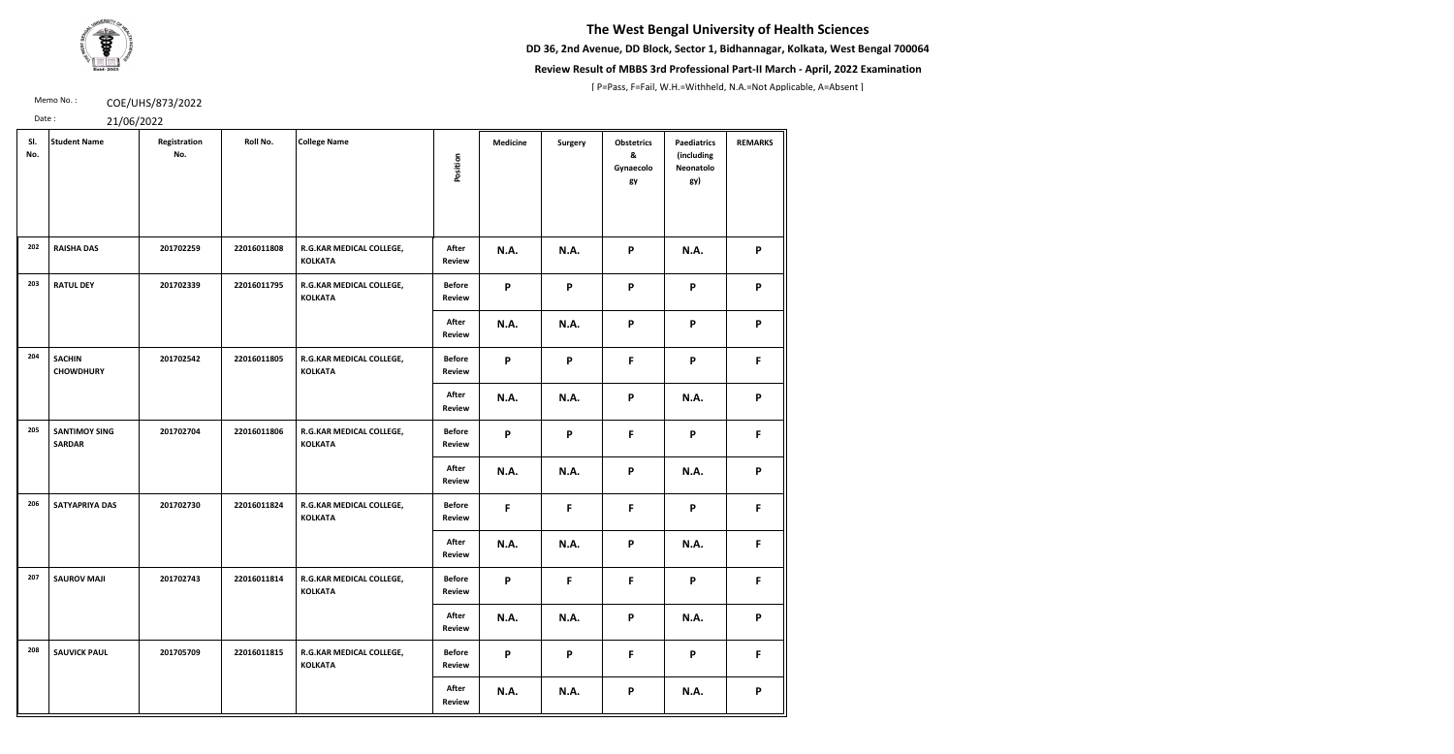**DD 36, 2nd Avenue, DD Block, Sector 1, Bidhannagar, Kolkata, West Bengal 700064**



### **Review Result of MBBS 3rd Professional Part-II March - April, 2022 Examination**

[ P=Pass, F=Fail, W.H.=Withheld, N.A.=Not Applicable, A=Absent ]

Memo No.: **COE/UHS/873/2022** 

| SI.<br>No. | <b>Student Name</b>                   | Registration<br>No. | Roll No.    | <b>College Name</b>                        | Position                       | <b>Medicine</b> | <b>Surgery</b> | <b>Obstetrics</b><br>&<br>Gynaecolo<br>gy | <b>Paediatrics</b><br>(including<br>Neonatolo<br>gy) | <b>REMARKS</b> |
|------------|---------------------------------------|---------------------|-------------|--------------------------------------------|--------------------------------|-----------------|----------------|-------------------------------------------|------------------------------------------------------|----------------|
| 202        | <b>RAISHA DAS</b>                     | 201702259           | 22016011808 | R.G.KAR MEDICAL COLLEGE,<br><b>KOLKATA</b> | After<br><b>Review</b>         | N.A.            | <b>N.A.</b>    | P                                         | N.A.                                                 | P              |
| 203        | <b>RATUL DEY</b>                      | 201702339           | 22016011795 | R.G.KAR MEDICAL COLLEGE,<br><b>KOLKATA</b> | <b>Before</b><br><b>Review</b> | P               | P              | P                                         | P                                                    | P              |
|            |                                       |                     |             |                                            | After<br><b>Review</b>         | <b>N.A.</b>     | <b>N.A.</b>    | P                                         | P                                                    | P              |
| 204        | <b>SACHIN</b><br><b>CHOWDHURY</b>     | 201702542           | 22016011805 | R.G.KAR MEDICAL COLLEGE,<br><b>KOLKATA</b> | <b>Before</b><br><b>Review</b> | P               | P              | F.                                        | P                                                    | F.             |
|            |                                       |                     |             |                                            | After<br><b>Review</b>         | <b>N.A.</b>     | <b>N.A.</b>    | P                                         | <b>N.A.</b>                                          | P              |
| 205        | <b>SANTIMOY SING</b><br><b>SARDAR</b> | 201702704           | 22016011806 | R.G.KAR MEDICAL COLLEGE,<br><b>KOLKATA</b> | <b>Before</b><br>Review        | P               | P              | F.                                        | P                                                    | F              |
|            |                                       |                     |             |                                            | After<br><b>Review</b>         | <b>N.A.</b>     | <b>N.A.</b>    | P                                         | <b>N.A.</b>                                          | P              |
| 206        | <b>SATYAPRIYA DAS</b>                 | 201702730           | 22016011824 | R.G.KAR MEDICAL COLLEGE,<br><b>KOLKATA</b> | <b>Before</b><br>Review        | F               | F              | F.                                        | P                                                    | F.             |
|            |                                       |                     |             |                                            | After<br><b>Review</b>         | N.A.            | N.A.           | P                                         | N.A.                                                 | F              |
| 207        | <b>SAUROV MAJI</b>                    | 201702743           | 22016011814 | R.G.KAR MEDICAL COLLEGE,<br><b>KOLKATA</b> | <b>Before</b><br><b>Review</b> | P               | F.             | F.                                        | P                                                    | F              |
|            |                                       |                     |             |                                            | After<br><b>Review</b>         | N.A.            | <b>N.A.</b>    | P                                         | <b>N.A.</b>                                          | P              |
| 208        | <b>SAUVICK PAUL</b>                   | 201705709           | 22016011815 | R.G.KAR MEDICAL COLLEGE,<br><b>KOLKATA</b> | <b>Before</b><br><b>Review</b> | P               | P              | F.                                        | P                                                    | $\mathsf F$    |
|            |                                       |                     |             |                                            | After<br><b>Review</b>         | <b>N.A.</b>     | N.A.           | P                                         | N.A.                                                 | P              |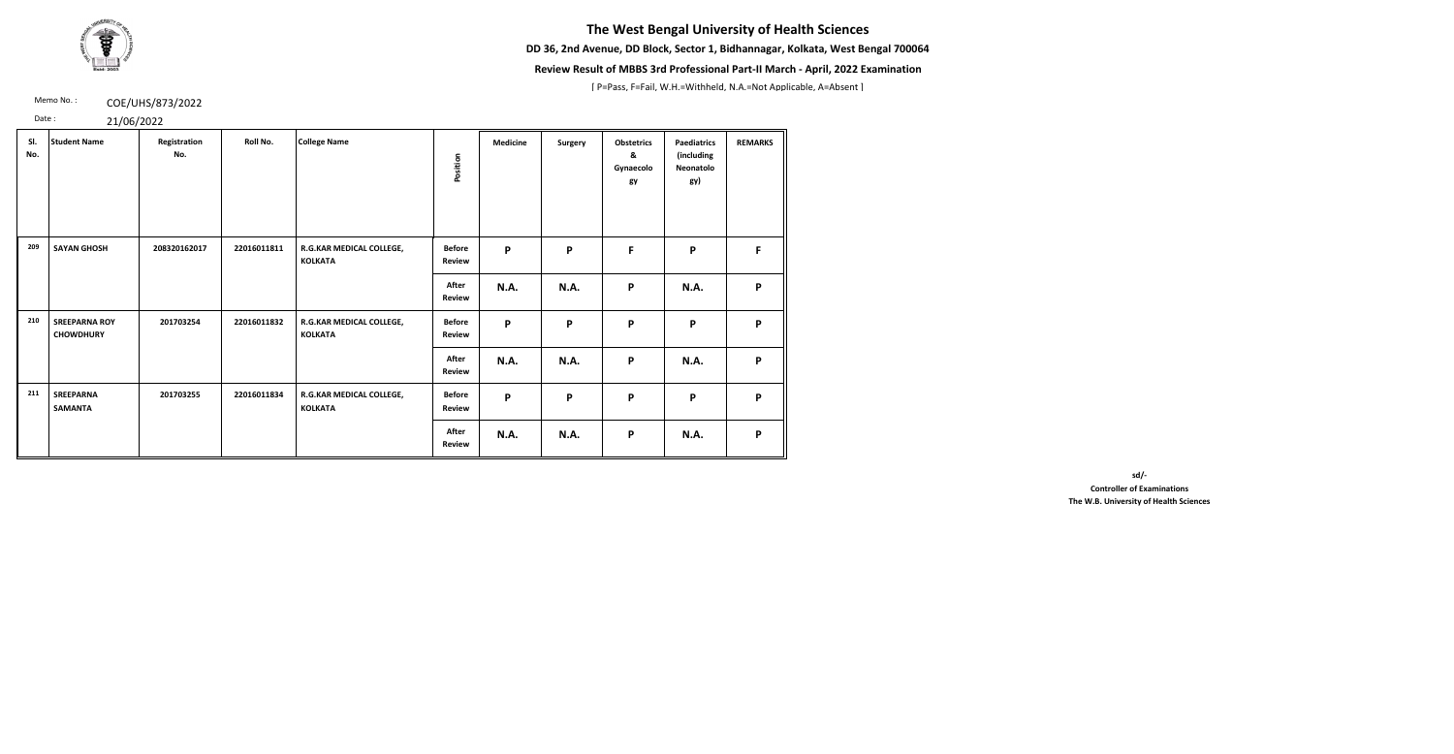**DD 36, 2nd Avenue, DD Block, Sector 1, Bidhannagar, Kolkata, West Bengal 700064**



### **Review Result of MBBS 3rd Professional Part-II March - April, 2022 Examination**

[ P=Pass, F=Fail, W.H.=Withheld, N.A.=Not Applicable, A=Absent ]

Memo No.: **COE/UHS/873/2022** 

Date : 21/06/2022

| SI.<br>No. | <b>Student Name</b>                      | Registration<br>No. | Roll No.    | <b>College Name</b>                        | Position                       | <b>Medicine</b> | Surgery | <b>Obstetrics</b><br>&<br>Gynaecolo<br>gy | <b>Paediatrics</b><br>(including<br>Neonatolo<br>gy) | <b>REMARKS</b> |
|------------|------------------------------------------|---------------------|-------------|--------------------------------------------|--------------------------------|-----------------|---------|-------------------------------------------|------------------------------------------------------|----------------|
| 209        | <b>SAYAN GHOSH</b>                       | 208320162017        | 22016011811 | R.G.KAR MEDICAL COLLEGE,<br><b>KOLKATA</b> | <b>Before</b><br><b>Review</b> | P               | P       | F                                         | P                                                    | F              |
|            |                                          |                     |             |                                            | After<br><b>Review</b>         | <b>N.A.</b>     | N.A.    | $\boldsymbol{\mathsf{P}}$                 | <b>N.A.</b>                                          | P              |
| 210        | <b>SREEPARNA ROY</b><br><b>CHOWDHURY</b> | 201703254           | 22016011832 | R.G.KAR MEDICAL COLLEGE,<br><b>KOLKATA</b> | <b>Before</b><br><b>Review</b> | P               | P       | $\boldsymbol{\mathsf{P}}$                 | P                                                    | P              |
|            |                                          |                     |             |                                            | After<br><b>Review</b>         | <b>N.A.</b>     | N.A.    | $\boldsymbol{\mathsf{P}}$                 | <b>N.A.</b>                                          | P              |
| 211        | <b>SREEPARNA</b><br><b>SAMANTA</b>       | 201703255           | 22016011834 | R.G.KAR MEDICAL COLLEGE,<br><b>KOLKATA</b> | <b>Before</b><br><b>Review</b> | P               | P       | $\boldsymbol{\mathsf{P}}$                 | P                                                    | P              |
|            |                                          |                     |             |                                            | After<br><b>Review</b>         | <b>N.A.</b>     | N.A.    | P                                         | <b>N.A.</b>                                          | P              |

**sd/-** 

**Controller of Examinations The W.B. University of Health Sciences**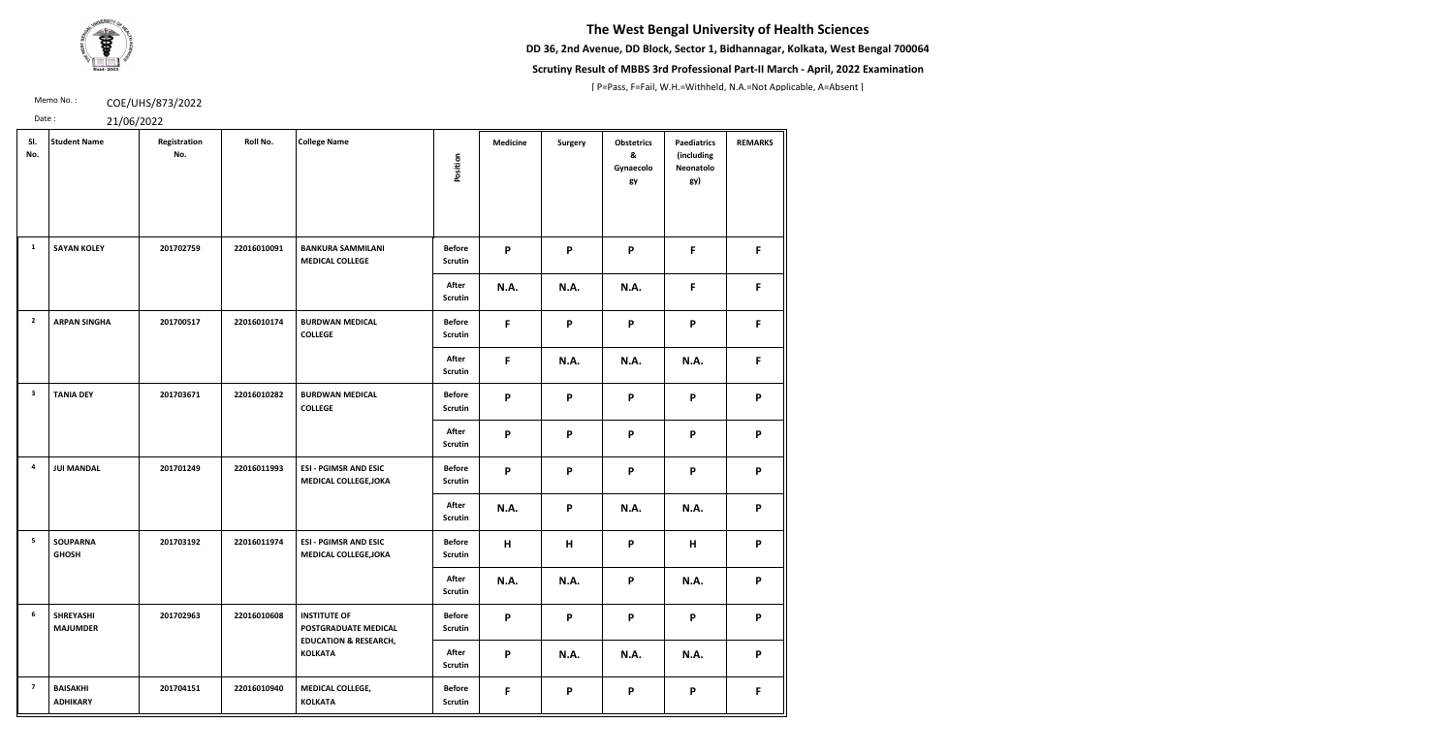**DD 36, 2nd Avenue, DD Block, Sector 1, Bidhannagar, Kolkata, West Bengal 700064**



### **Scrutiny Result of MBBS 3rd Professional Part-II March - April, 2022 Examination**

[ P=Pass, F=Fail, W.H.=Withheld, N.A.=Not Applicable, A=Absent ]

Memo No.: **COE/UHS/873/2022** 

| SI.<br>No.              | <b>Student Name</b>                 | Registration<br>No. | Roll No.    | <b>College Name</b>                                                             | Position                        | <b>Medicine</b>           | <b>Surgery</b> | <b>Obstetrics</b><br>&<br>Gynaecolo<br>gy | <b>Paediatrics</b><br>(including<br>Neonatolo<br>gy) | <b>REMARKS</b> |
|-------------------------|-------------------------------------|---------------------|-------------|---------------------------------------------------------------------------------|---------------------------------|---------------------------|----------------|-------------------------------------------|------------------------------------------------------|----------------|
| $\mathbf{1}$            | <b>SAYAN KOLEY</b>                  | 201702759           | 22016010091 | <b>BANKURA SAMMILANI</b><br><b>MEDICAL COLLEGE</b>                              | <b>Before</b><br>Scrutin        | P                         | P              | P                                         | F                                                    | F              |
|                         |                                     |                     |             |                                                                                 | After<br>Scrutin                | <b>N.A.</b>               | <b>N.A.</b>    | N.A.                                      | F                                                    | F              |
| $\overline{2}$          | <b>ARPAN SINGHA</b>                 | 201700517           | 22016010174 | <b>BURDWAN MEDICAL</b><br><b>COLLEGE</b>                                        | <b>Before</b><br><b>Scrutin</b> | F                         | P              | P                                         | P                                                    | F.             |
|                         |                                     |                     |             |                                                                                 | After<br><b>Scrutin</b>         | F                         | <b>N.A.</b>    | <b>N.A.</b>                               | N.A.                                                 | F              |
| $\overline{\mathbf{3}}$ | <b>TANIA DEY</b>                    | 201703671           | 22016010282 | <b>BURDWAN MEDICAL</b><br><b>COLLEGE</b>                                        | <b>Before</b><br><b>Scrutin</b> | P                         | P              | P                                         | P                                                    | P              |
|                         |                                     |                     |             |                                                                                 | After<br><b>Scrutin</b>         | $\boldsymbol{\mathsf{P}}$ | P              | P                                         | $\mathsf{P}$                                         | P              |
| 4                       | <b>JUI MANDAL</b>                   | 201701249           | 22016011993 | <b>ESI - PGIMSR AND ESIC</b><br><b>MEDICAL COLLEGE, JOKA</b>                    | <b>Before</b><br>Scrutin        | P                         | P              | P                                         | P                                                    | P              |
|                         |                                     |                     |             |                                                                                 | After<br><b>Scrutin</b>         | N.A.                      | P              | <b>N.A.</b>                               | <b>N.A.</b>                                          | P              |
| 5                       | <b>SOUPARNA</b><br><b>GHOSH</b>     | 201703192           | 22016011974 | <b>ESI - PGIMSR AND ESIC</b><br><b>MEDICAL COLLEGE, JOKA</b>                    | <b>Before</b><br><b>Scrutin</b> | H                         | н              | P                                         | H                                                    | P              |
|                         |                                     |                     |             |                                                                                 | After<br><b>Scrutin</b>         | N.A.                      | <b>N.A.</b>    | P                                         | <b>N.A.</b>                                          | P              |
| 6                       | <b>SHREYASHI</b><br><b>MAJUMDER</b> | 201702963           | 22016010608 | <b>INSTITUTE OF</b><br>POSTGRADUATE MEDICAL<br><b>EDUCATION &amp; RESEARCH,</b> | <b>Before</b><br><b>Scrutin</b> | P                         | P              | P                                         | P                                                    | P              |
|                         |                                     |                     |             | <b>KOLKATA</b>                                                                  | After<br><b>Scrutin</b>         | $\mathsf{P}$              | N.A.           | <b>N.A.</b>                               | <b>N.A.</b>                                          | P              |
| $\overline{7}$          | <b>BAISAKHI</b><br><b>ADHIKARY</b>  | 201704151           | 22016010940 | MEDICAL COLLEGE,<br><b>KOLKATA</b>                                              | <b>Before</b><br>Scrutin        | F                         | P              | P                                         | P                                                    | F              |